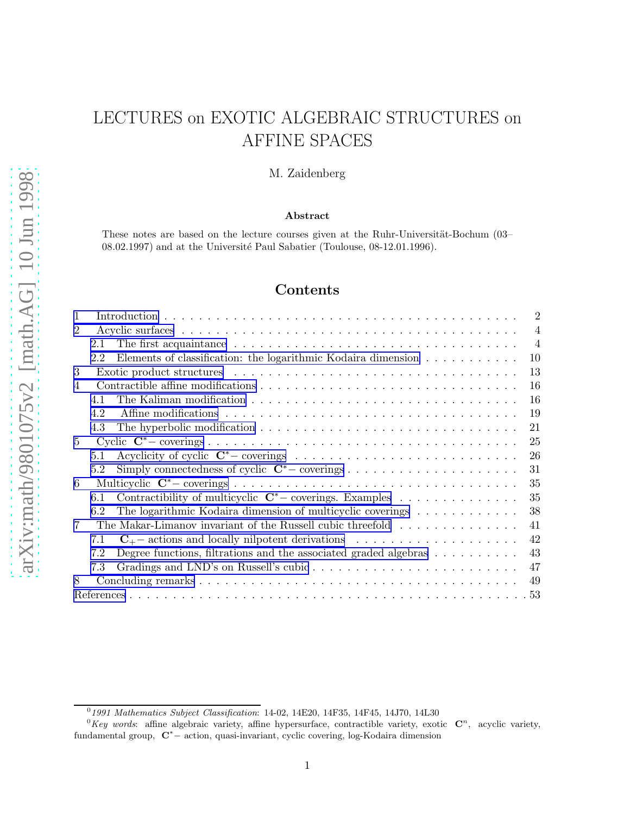# LECTURES on EXOTIC ALGEBRAIC STRUCTURES on AFFINE SPACES

M. Zaidenberg

#### Abstract

These notes are based on the lecture courses given at the Ruhr-Universität-Bochum (03–  $08.02.1997$ ) and at the Université Paul Sabatier (Toulouse,  $08-12.01.1996$ ).

# Contents

|                                                                                                                       | $\overline{2}$ |
|-----------------------------------------------------------------------------------------------------------------------|----------------|
| 2                                                                                                                     | $\overline{4}$ |
| 2.1                                                                                                                   | $\overline{4}$ |
| Elements of classification: the logarithmic Kodaira dimension<br>10<br>2.2                                            |                |
| 13<br>3                                                                                                               |                |
| 16<br>$\overline{4}$                                                                                                  |                |
| 16<br>The Kaliman modification $\dots \dots \dots \dots \dots \dots \dots \dots \dots \dots \dots \dots \dots$<br>4.1 |                |
| 19<br>4.2                                                                                                             |                |
| 21<br>4.3                                                                                                             |                |
| 25<br>$5^{\circ}$                                                                                                     |                |
| 26<br>5.1                                                                                                             |                |
| 31<br>5.2                                                                                                             |                |
| 35<br>6                                                                                                               |                |
| Contractibility of multicyclic $C^*$ – coverings. Examples<br>35<br>6.1                                               |                |
| The logarithmic Kodaira dimension of multicyclic coverings<br>38<br>6.2                                               |                |
| The Makar-Limanov invariant of the Russell cubic threefold<br>7<br>41                                                 |                |
| 42<br>$\mathbf{C}_{+}$ - actions and locally nilpotent derivations<br>7.1                                             |                |
| 43<br>Degree functions, filtrations and the associated graded algebras $\dots \dots \dots$<br>7.2                     |                |
| 47<br>7.3                                                                                                             |                |
| 49<br>8                                                                                                               |                |
|                                                                                                                       |                |

 $^{0}$ 1991 Mathematics Subject Classification: 14-02, 14E20, 14F35, 14F45, 14J70, 14L30

 ${}^{0}Key$  words: affine algebraic variety, affine hypersurface, contractible variety, exotic  $\mathbb{C}^{n}$ , acyclic variety, fundamental group, C <sup>∗</sup><sup>−</sup> action, quasi-invariant, cyclic covering, log-Kodaira dimension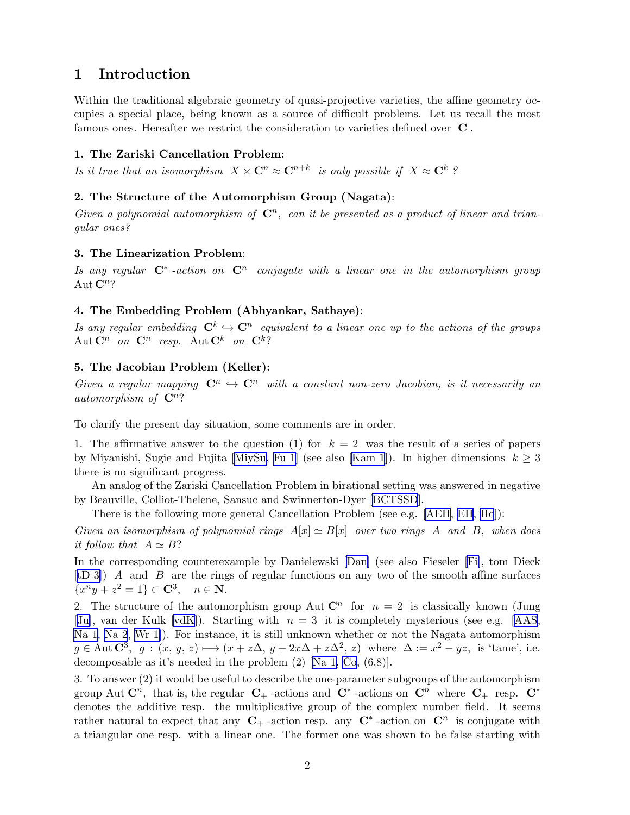# <span id="page-1-0"></span>1 Introduction

Within the traditional algebraic geometry of quasi-projective varieties, the affine geometry occupies a special place, being known as a source of difficult problems. Let us recall the most famous ones. Hereafter we restrict the consideration to varieties defined over C .

#### 1. The Zariski Cancellation Problem:

Is it true that an isomorphism  $X \times \mathbf{C}^n \approx \mathbf{C}^{n+k}$  is only possible if  $X \approx \mathbf{C}^k$ ?

#### 2. The Structure of the Automorphism Group (Nagata):

Given a polynomial automorphism of  $\mathbb{C}^n$ , can it be presented as a product of linear and triangular ones?

#### 3. The Linearization Problem:

Is any regular  $\mathbf{C}^*$  -action on  $\mathbf{C}^n$  conjugate with a linear one in the automorphism group Aut  $\mathbf{C}^n$ ?

#### 4. The Embedding Problem (Abhyankar, Sathaye):

Is any regular embedding  $\mathbf{C}^k \hookrightarrow \mathbf{C}^n$  equivalent to a linear one up to the actions of the groups Aut  $\mathbf{C}^n$  on  $\mathbf{C}^n$  resp. Aut  $\mathbf{C}^k$  on  $\mathbf{C}^k$ ?

### 5. The Jacobian Problem (Keller):

Given a regular mapping  $\mathbb{C}^n \hookrightarrow \mathbb{C}^n$  with a constant non-zero Jacobian, is it necessarily an automorphism of  $\mathbb{C}^n$ ?

To clarify the present day situation, some comments are in order.

1. The affirmative answer to the question (1) for  $k = 2$  was the result of a series of papers byMiyanishi, Sugie and Fujita [[MiySu,](#page-57-0) [Fu 1](#page-54-0)] (see also [\[Kam 1](#page-56-0)]). In higher dimensions  $k \geq 3$ there is no significant progress.

An analog of the Zariski Cancellation Problem in birational setting was answered in negative by Beauville, Colliot-Thelene, Sansuc and Swinnerton-Dyer [\[BCTSSD](#page-53-0)].

There is the following more general Cancellation Problem (see e.g. [\[AEH](#page-52-0), [EH](#page-53-0), [Ho](#page-54-0)]):

Given an isomorphism of polynomial rings  $A[x] \simeq B[x]$  over two rings A and B, when does it follow that  $A \simeq B$ ?

In the corresponding counterexample by Danielewski [\[Dan](#page-53-0)] (see also Fieseler [\[Fi\]](#page-54-0), tom Dieck  $[tD 3]$  A and B are the rings of regular functions on any two of the smooth affine surfaces  ${x}^ny + z^2 = 1$   $\subset \mathbf{C}^3$ ,  $n \in \mathbf{N}$ .

2. The structure of the automorphism group Aut  $\mathbb{C}^n$  for  $n = 2$  is classically known (Jung [\[Ju\]](#page-55-0), van der Kulk [\[vdK](#page-59-0)]). Starting with  $n = 3$  it is completely mysterious (see e.g. [\[AAS](#page-52-0), [Na 1, Na 2](#page-57-0), [Wr 1\]](#page-59-0)). For instance, it is still unknown whether or not the Nagata automorphism  $g \in \text{Aut } \mathbb{C}^3$ ,  $g : (x, y, z) \longmapsto (x + z\Delta, y + 2x\Delta + z\Delta^2, z)$  where  $\Delta := x^2 - yz$ , is 'tame', i.e. decomposable as it's needed in the problem (2)[[Na 1,](#page-57-0) [Co,](#page-53-0) (6.8)].

3. To answer (2) it would be useful to describe the one-parameter subgroups of the automorphism group Aut  $\mathbb{C}^n$ , that is, the regular  $\mathbb{C}_+$ -actions and  $\mathbb{C}^*$ -actions on  $\mathbb{C}^n$  where  $\mathbb{C}_+$  resp.  $\mathbb{C}^*$ denotes the additive resp. the multiplicative group of the complex number field. It seems rather natural to expect that any  $C_+$ -action resp. any  $C^*$ -action on  $C^n$  is conjugate with a triangular one resp. with a linear one. The former one was shown to be false starting with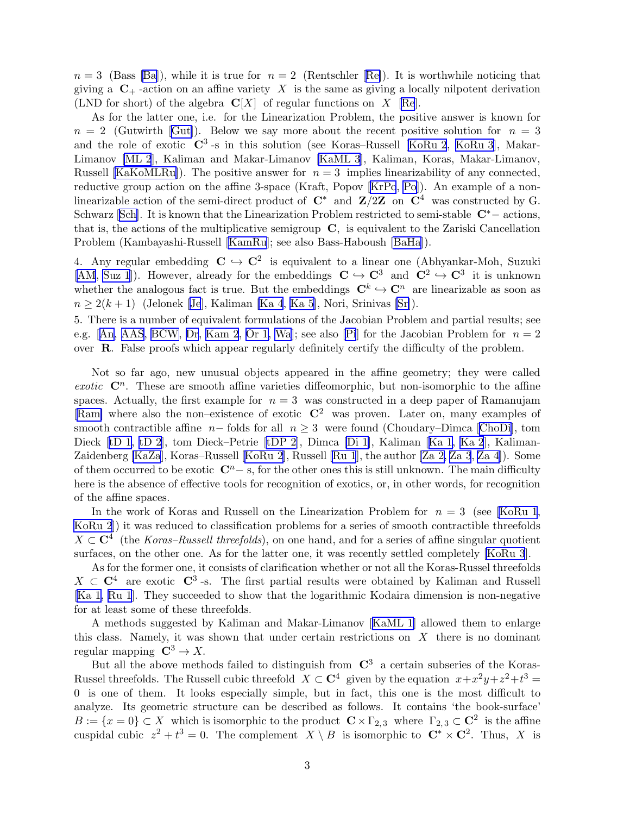$n = 3$  $n = 3$  $n = 3$  ([Ba](#page-52-0)ss [Ba]), while it is true for  $n = 2$  (Rentschler [[Re\]](#page-58-0)). It is worthwhile noticing that giving a  $C_{+}$ -action on an affine variety X is the same as giving a locally nilpotent derivation (LND for short) of the algebra  $\mathbb{C}[X]$  of regular functions on X [\[Re](#page-58-0)].

As for the latter one, i.e. for the Linearization Problem, the positive answer is known for  $n = 2$  $n = 2$  $n = 2$  (Gutwirth [[Gut\]](#page-54-0)). Below we say more about the recent positive solution for  $n = 3$ and the role of exotic  $\mathbb{C}^3$ -s in this solution (see Koras–Russell [\[KoRu 2](#page-56-0), [KoRu 3\]](#page-56-0), Makar-Limanov [\[ML 2](#page-57-0)], Kaliman and Makar-Limanov [\[KaML 3](#page-55-0)], Kaliman, Koras, Makar-Limanov, Russell [\[KaKoMLRu\]](#page-55-0)). The positive answer for  $n = 3$  implies linearizability of any connected, reductive group action on the affine 3-space (Kraft, Popov [\[KrPo](#page-56-0), [Po](#page-58-0)]). An example of a nonlinearizable action of the semi-direct product of  $C^*$  and  $Z/2Z$  on  $C^4$  was constructed by G. Schwarz [\[Sch\]](#page-58-0). It is known that the Linearization Problem restricted to semi-stable  $\mathbb{C}^*$  – actions, that is, the actions of the multiplicative semigroup C, is equivalent to the Zariski Cancellation Problem (Kambayashi-Russell [\[KamRu](#page-56-0)]; see also Bass-Haboush [\[BaHa](#page-52-0)]).

4. Any regular embedding  $C \hookrightarrow C^2$  is equivalent to a linear one (Abhyankar-Moh, Suzuki [\[AM](#page-52-0), [Suz 1](#page-58-0)]). However, already for the embeddings  $C \hookrightarrow C^3$  and  $C^2 \hookrightarrow C^3$  it is unknown whether the analogous fact is true. But the embeddings  $\mathbb{C}^k \hookrightarrow \mathbb{C}^n$  are linearizable as soon as  $n \geq 2(k+1)$  $n \geq 2(k+1)$  $n \geq 2(k+1)$  ([Je](#page-55-0)lonek [Je], Kaliman [\[Ka 4](#page-55-0), [Ka 5](#page-55-0)], Nori, Srinivas [\[Sr\]](#page-58-0)).

5. There is a number of equivalent formulations of the Jacobian Problem and partial results; see e.g.[[An, AAS](#page-52-0), [BCW,](#page-52-0) [Dr](#page-53-0), [Kam 2](#page-56-0), [Or 1,](#page-57-0) [Wa](#page-59-0)]; see also [\[Pi](#page-58-0)] for the Jacobian Problem for  $n = 2$ over R. False proofs which appear regularly definitely certify the difficulty of the problem.

Not so far ago, new unusual objects appeared in the affine geometry; they were called exotic  $\mathbb{C}^n$ . These are smooth affine varieties diffeomorphic, but non-isomorphic to the affine spaces. Actually, the first example for  $n = 3$  was constructed in a deep paper of Ramanujam [\[Ram\]](#page-58-0) where also the non–existence of exotic  $\mathbb{C}^2$  was proven. Later on, many examples of smooth contractible affine  $n-$  folds for all  $n \geq 3$  were found (Choudary–Dimca [\[ChoDi\]](#page-53-0), tom Dieck [\[tD 1, tD 2\]](#page-59-0), tom Dieck–Petrie [\[tDP 2](#page-53-0)], Dimca [\[Di 1\]](#page-53-0), Kaliman[[Ka 1, Ka 2](#page-55-0)], Kaliman-Zaidenberg [\[KaZa](#page-55-0)], Koras–Russell[[KoRu 2](#page-56-0)], Russell [\[Ru 1](#page-58-0)], the author [\[Za 2, Za 3](#page-59-0), [Za 4](#page-59-0)]). Some of them occurred to be exotic  $\mathbb{C}^n$  – s, for the other ones this is still unknown. The main difficulty here is the absence of effective tools for recognition of exotics, or, in other words, for recognition of the affine spaces.

In the work of Koras and Russell on the Linearization Problem for  $n = 3$  (see [\[KoRu 1](#page-56-0), [KoRu 2](#page-56-0)]) it was reduced to classification problems for a series of smooth contractible threefolds  $X \subset \mathbb{C}^4$  (the Koras–Russell threefolds), on one hand, and for a series of affine singular quotient surfaces, on the other one. As for the latter one, it was recently settled completely [\[KoRu 3](#page-56-0)].

As for the former one, it consists of clarification whether or not all the Koras-Russel threefolds  $X \subset \mathbb{C}^4$  are exotic  $\mathbb{C}^3$ -s. The first partial results were obtained by Kaliman and Russell [\[Ka 1](#page-55-0), [Ru 1](#page-58-0)]. They succeeded to show that the logarithmic Kodaira dimension is non-negative for at least some of these threefolds.

A methods suggested by Kaliman and Makar-Limanov[[KaML 1\]](#page-55-0) allowed them to enlarge this class. Namely, it was shown that under certain restrictions on  $X$  there is no dominant regular mapping  $\mathbb{C}^3 \to X$ .

But all the above methods failed to distinguish from  $\mathbb{C}^3$  a certain subseries of the Koras-Russel threefolds. The Russell cubic threefold  $X \subset \mathbb{C}^4$  given by the equation  $x + x^2y + z^2 + t^3 =$ 0 is one of them. It looks especially simple, but in fact, this one is the most difficult to analyze. Its geometric structure can be described as follows. It contains 'the book-surface'  $B := \{x = 0\} \subset X$  which is isomorphic to the product  $\mathbb{C} \times \Gamma_{2,3}$  where  $\Gamma_{2,3} \subset \mathbb{C}^2$  is the affine cuspidal cubic  $z^2 + t^3 = 0$ . The complement  $X \setminus B$  is isomorphic to  $\mathbb{C}^* \times \mathbb{C}^2$ . Thus, X is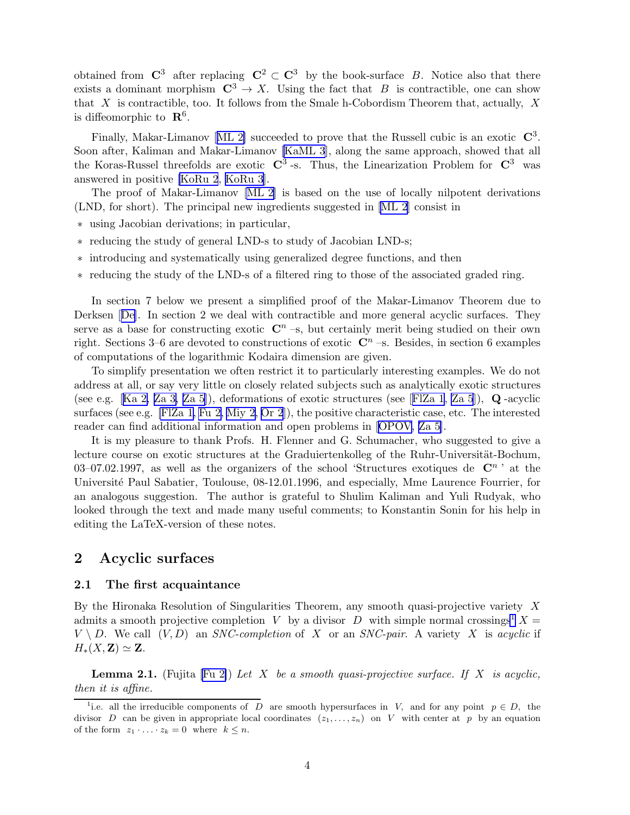<span id="page-3-0"></span>obtained from  $\mathbb{C}^3$  after replacing  $\mathbb{C}^2 \subset \mathbb{C}^3$  by the book-surface B. Notice also that there exists a dominant morphism  $C^3 \to X$ . Using the fact that B is contractible, one can show that X is contractible, too. It follows from the Smale h-Cobordism Theorem that, actually, X is diffeomorphic to  $\mathbb{R}^6$ .

Finally,Makar-Limanov [[ML 2\]](#page-57-0) succeeded to prove that the Russell cubic is an exotic  $\mathbb{C}^3$ . Soon after, Kaliman and Makar-Limanov [\[KaML 3](#page-55-0)], along the same approach, showed that all the Koras-Russel threefolds are exotic  $\mathbb{C}^3$ -s. Thus, the Linearization Problem for  $\mathbb{C}^3$  was answered in positive [\[KoRu 2](#page-56-0), [KoRu 3](#page-56-0)].

The proof of Makar-Limanov [\[ML 2](#page-57-0)] is based on the use of locally nilpotent derivations (LND, for short). The principal new ingredients suggested in [\[ML 2](#page-57-0)] consist in

- ∗ using Jacobian derivations; in particular,
- ∗ reducing the study of general LND-s to study of Jacobian LND-s;
- ∗ introducing and systematically using generalized degree functions, and then
- ∗ reducing the study of the LND-s of a filtered ring to those of the associated graded ring.

In section 7 below we present a simplified proof of the Makar-Limanov Theorem due to Derksen[[De\]](#page-53-0). In section 2 we deal with contractible and more general acyclic surfaces. They serve as a base for constructing exotic  $\mathbb{C}^n$  –s, but certainly merit being studied on their own right. Sections 3–6 are devoted to constructions of exotic  $\mathbb{C}^n$  –s. Besides, in section 6 examples of computations of the logarithmic Kodaira dimension are given.

To simplify presentation we often restrict it to particularly interesting examples. We do not address at all, or say very little on closely related subjects such as analytically exotic structures (seee.g. [[Ka 2,](#page-55-0) [Za 3, Za 5](#page-59-0)]), deformations of exotic structures (see [FIZa 1, [Za 5](#page-59-0)]),  $\bf{Q}$ -acyclic surfaces (see e.g. [\[FlZa 1, Fu 2,](#page-54-0) [Miy 2](#page-57-0), [Or 2](#page-58-0)]), the positive characteristic case, etc. The interested reader can find additional information and open problems in[[OPOV](#page-57-0), [Za 5](#page-59-0)].

It is my pleasure to thank Profs. H. Flenner and G. Schumacher, who suggested to give a lecture course on exotic structures at the Graduiertenkolleg of the Ruhr-Universität-Bochum, 03–07.02.1997, as well as the organizers of the school 'Structures exotiques de  $\mathbb{C}^n$ ' at the Université Paul Sabatier, Toulouse, 08-12.01.1996, and especially, Mme Laurence Fourrier, for an analogous suggestion. The author is grateful to Shulim Kaliman and Yuli Rudyak, who looked through the text and made many useful comments; to Konstantin Sonin for his help in editing the LaTeX-version of these notes.

# 2 Acyclic surfaces

#### 2.1 The first acquaintance

By the Hironaka Resolution of Singularities Theorem, any smooth quasi-projective variety X admits a smooth projective completion V by a divisor D with simple normal crossings<sup>1</sup> X =  $V \setminus D$ . We call  $(V, D)$  an SNC-completion of X or an SNC-pair. A variety X is acyclic if  $H_*(X,\mathbf{Z})\simeq \mathbf{Z}.$ 

**Lemma 2.1.** (Fujita [\[Fu 2\]](#page-54-0)) Let X be a smooth quasi-projective surface. If X is acyclic, then it is affine.

<sup>&</sup>lt;sup>1</sup>i.e. all the irreducible components of D are smooth hypersurfaces in V, and for any point  $p \in D$ , the divisor D can be given in appropriate local coordinates  $(z_1, \ldots, z_n)$  on V with center at p by an equation of the form  $z_1 \cdot \ldots \cdot z_k = 0$  where  $k \leq n$ .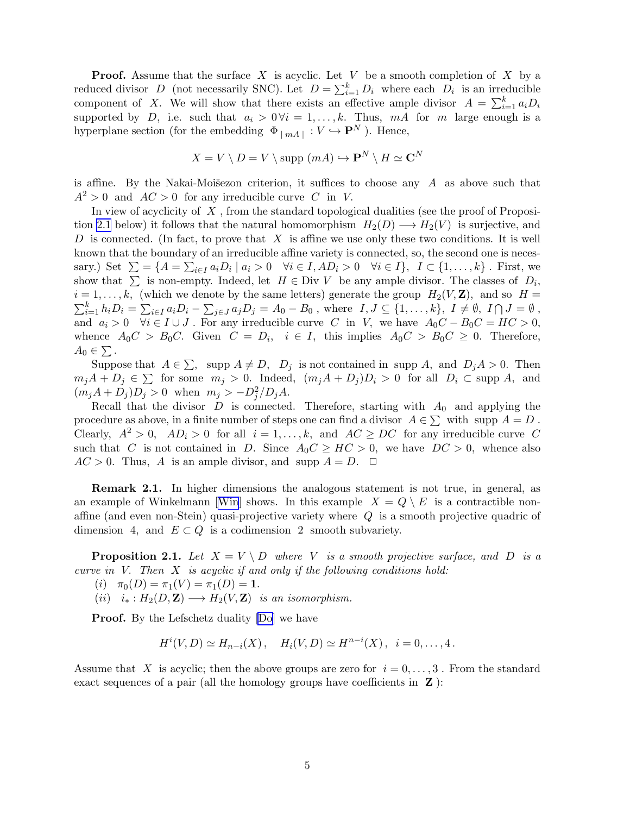<span id="page-4-0"></span>**Proof.** Assume that the surface  $X$  is acyclic. Let  $V$  be a smooth completion of  $X$  by a reduced divisor D (not necessarily SNC). Let  $D = \sum_{i=1}^{k} D_i$  where each  $D_i$  is an irreducible component of X. We will show that there exists an effective ample divisor  $A = \sum_{i=1}^{k} a_i D_i$ supported by D, i.e. such that  $a_i > 0 \forall i = 1, ..., k$ . Thus, mA for m large enough is a hyperplane section (for the embedding  $\Phi_{|mA|}: V \hookrightarrow \mathbf{P}^N$ ). Hence,

$$
X = V \setminus D = V \setminus \text{supp } (mA) \hookrightarrow \mathbf{P}^{N} \setminus H \simeq \mathbf{C}^{N}
$$

is affine. By the Nakai-Moisezon criterion, it suffices to choose any  $A$  as above such that  $A^2 > 0$  and  $AC > 0$  for any irreducible curve C in V.

In view of acyclicity of  $X$ , from the standard topological dualities (see the proof of Proposition 2.1 below) it follows that the natural homomorphism  $H_2(D) \longrightarrow H_2(V)$  is surjective, and D is connected. (In fact, to prove that  $X$  is affine we use only these two conditions. It is well known that the boundary of an irreducible affine variety is connected, so, the second one is necessary.) Set  $\Sigma = \{A = \sum_{i \in I} a_i D_i \mid a_i > 0 \quad \forall i \in I, AD_i > 0 \quad \forall i \in I\}, \ I \subset \{1, ..., k\}$ . First, we show that  $\sum$  is non-empty. Indeed, let  $H \in \text{Div } V$  be any ample divisor. The classes of  $D_i$ ,  $i = 1, \ldots, k$ , (which we denote by the same letters) generate the group  $H_2(V, \mathbf{Z})$ , and so  $H =$  $\sum_{i=1}^k h_i D_i = \sum_{i\in I} a_i D_i - \sum_{j\in J} a_j D_j = A_0 - B_0$ , where  $I, J \subseteq \{1, \ldots, k\}, I \neq \emptyset, I \cap J = \emptyset$ , and  $a_i > 0$   $\forall i \in I \cup J$ . For any irreducible curve C in V, we have  $A_0C - B_0C = HC > 0$ , whence  $A_0C > B_0C$ . Given  $C = D_i$ ,  $i \in I$ , this implies  $A_0C > B_0C \geq 0$ . Therefore,  $A_0 \in \sum$ .

Suppose that  $A \in \sum$ , supp  $A \neq D$ ,  $D_j$  is not contained in supp A, and  $D_j A > 0$ . Then  $m_jA + D_j \in \sum$  for some  $m_j > 0$ . Indeed,  $(m_jA + D_j)D_i > 0$  for all  $D_i \subset \text{supp } A$ , and  $(m_j A + D_j)D_j > 0$  when  $m_j > -D_j^2/D_j A$ .

Recall that the divisor  $D$  is connected. Therefore, starting with  $A_0$  and applying the procedure as above, in a finite number of steps one can find a divisor  $A \in \sum$  with supp  $A = D$ . Clearly,  $A^2 > 0$ ,  $AD_i > 0$  for all  $i = 1, ..., k$ , and  $AC \ge DC$  for any irreducible curve C such that C is not contained in D. Since  $A_0C \geq HC > 0$ , we have  $DC > 0$ , whence also  $AC > 0$ . Thus, A is an ample divisor, and supp  $A = D$ .  $\Box$ 

Remark 2.1. In higher dimensions the analogous statement is not true, in general, as anexample of [Win](#page-59-0)kelmann [Win] shows. In this example  $X = Q \setminus E$  is a contractible nonaffine (and even non-Stein) quasi-projective variety where  $Q$  is a smooth projective quadric of dimension 4, and  $E \subset Q$  is a codimension 2 smooth subvariety.

**Proposition 2.1.** Let  $X = V \setminus D$  where V is a smooth projective surface, and D is a curve in V. Then X is acyclic if and only if the following conditions hold:

- (i)  $\pi_0(D) = \pi_1(V) = \pi_1(D) = 1.$
- (ii)  $i_* : H_2(D, \mathbf{Z}) \longrightarrow H_2(V, \mathbf{Z})$  is an isomorphism.

**Proof.** By the Lefschetz duality [\[Do\]](#page-53-0) we have

$$
H^{i}(V, D) \simeq H_{n-i}(X), \quad H_{i}(V, D) \simeq H^{n-i}(X), \quad i = 0, ..., 4.
$$

Assume that X is acyclic; then the above groups are zero for  $i = 0, \ldots, 3$ . From the standard exact sequences of a pair (all the homology groups have coefficients in  $Z$ ):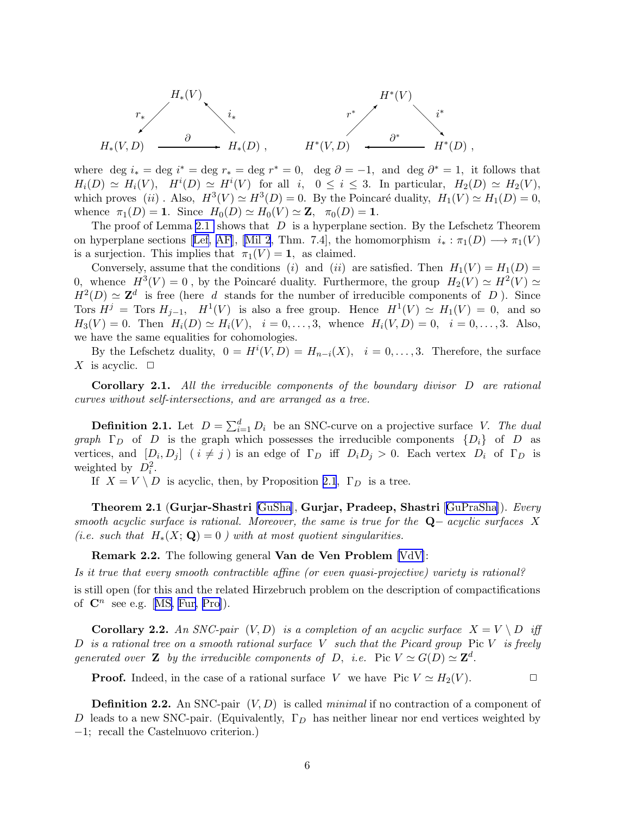<span id="page-5-0"></span>
$$
H^*(V)
$$
\n
$$
r_* \longrightarrow \begin{matrix} H_*(V) & & & & H^*(V) \\ & i_* & & & & r^* \\ & & \ddots & & & & i^* \\ & & & H^*(V,D) & & & \xrightarrow{\partial^*} & & H^*(D) \end{matrix}
$$

where deg  $i_* = \text{deg } i^* = \text{deg } r_* = \text{deg } r^* = 0$ , deg  $\partial = -1$ , and deg  $\partial^* = 1$ , it follows that  $H_i(D) \simeq H_i(V)$ ,  $H^i(D) \simeq H^i(V)$  for all  $i, 0 \leq i \leq 3$ . In particular,  $H_2(D) \simeq H_2(V)$ , which proves (ii). Also,  $H^3(V) \simeq H^3(D) = 0$ . By the Poincaré duality,  $H_1(V) \simeq H_1(D) = 0$ , whence  $\pi_1(D) = 1$ . Since  $H_0(D) \simeq H_0(V) \simeq \mathbb{Z}$ ,  $\pi_0(D) = 1$ .

The proof of Lemma [2.1](#page-3-0) shows that  $D$  is a hyperplane section. By the Lefschetz Theorem onhyperplane sections [[Lef,](#page-56-0) [AF](#page-52-0)], [\[Mil 2](#page-57-0), Thm. 7.4], the homomorphism  $i_* : \pi_1(D) \longrightarrow \pi_1(V)$ is a surjection. This implies that  $\pi_1(V) = 1$ , as claimed.

Conversely, assume that the conditions (i) and (ii) are satisfied. Then  $H_1(V) = H_1(D)$ 0, whence  $H^3(V) = 0$ , by the Poincaré duality. Furthermore, the group  $H_2(V) \simeq H^2(V) \simeq$  $H^2(D) \simeq \mathbb{Z}^d$  is free (here d stands for the number of irreducible components of D). Since Tors  $H^j$  = Tors  $H_{j-1}$ ,  $H^1(V)$  is also a free group. Hence  $H^1(V) \simeq H_1(V) = 0$ , and so  $H_3(V) = 0$ . Then  $H_i(D) \simeq H_i(V)$ ,  $i = 0, \ldots, 3$ , whence  $H_i(V, D) = 0$ ,  $i = 0, \ldots, 3$ . Also, we have the same equalities for cohomologies.

By the Lefschetz duality,  $0 = H^{i}(V, D) = H_{n-i}(X)$ ,  $i = 0, \ldots, 3$ . Therefore, the surface X is acyclic.  $\Box$ 

**Corollary 2.1.** All the irreducible components of the boundary divisor  $D$  are rational curves without self-intersections, and are arranged as a tree.

**Definition 2.1.** Let  $D = \sum_{i=1}^{d} D_i$  be an SNC-curve on a projective surface V. The dual graph  $\Gamma_D$  of D is the graph which possesses the irreducible components  $\{D_i\}$  of D as vertices, and  $[D_i, D_j]$   $(i \neq j)$  is an edge of  $\Gamma_D$  iff  $D_i D_j > 0$ . Each vertex  $D_i$  of  $\Gamma_D$  is weighted by  $D_i^2$ .

If  $X = V \setminus D$  is acyclic, then, by Proposition [2.1](#page-4-0),  $\Gamma_D$  is a tree.

Theorem 2.1 (Gurjar-Shastri [[GuSha](#page-54-0)], Gurjar, Pradeep, Shastri [[GuPraSha](#page-54-0)]). Every smooth acyclic surface is rational. Moreover, the same is true for the  $\mathbf{Q}-$  acyclic surfaces X (i.e. such that  $H_*(X; \mathbf{Q}) = 0$ ) with at most quotient singularities.

Remark 2.2. The following general Van de Ven Problem [\[VdV\]](#page-59-0):

Is it true that every smooth contractible affine (or even quasi-projective) variety is rational? is still open (for this and the related Hirzebruch problem on the description of compactifications of $\mathbb{C}^n$  see e.g. [[MS,](#page-57-0) [Fur,](#page-54-0) [Pro\]](#page-58-0)).

**Corollary 2.2.** An SNC-pair  $(V, D)$  is a completion of an acyclic surface  $X = V \setminus D$  iff D is a rational tree on a smooth rational surface V such that the Picard group Pic V is freely generated over **Z** by the irreducible components of D, i.e. Pic  $V \simeq G(D) \simeq \mathbb{Z}^d$ .

**Proof.** Indeed, in the case of a rational surface V we have Pic  $V \simeq H_2(V)$ .

**Definition 2.2.** An SNC-pair  $(V, D)$  is called *minimal* if no contraction of a component of D leads to a new SNC-pair. (Equivalently,  $\Gamma_D$  has neither linear nor end vertices weighted by −1; recall the Castelnuovo criterion.)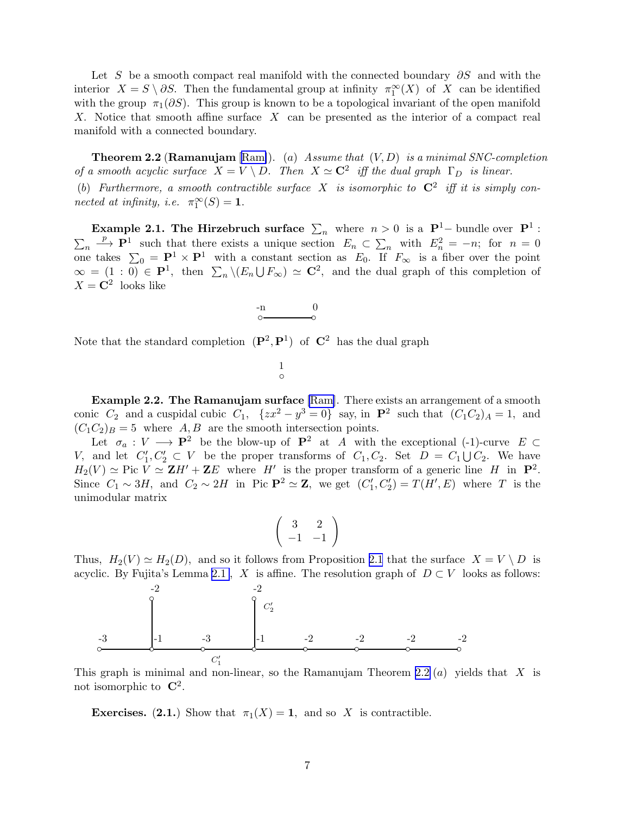<span id="page-6-0"></span>Let S be a smooth compact real manifold with the connected boundary  $\partial S$  and with the interior  $X = S \setminus \partial S$ . Then the fundamental group at infinity  $\pi_1^{\infty}(X)$  of X can be identified with the group  $\pi_1(\partial S)$ . This group is known to be a topological invariant of the open manifold X. Notice that smooth affine surface X can be presented as the interior of a compact real manifold with a connected boundary.

**Theorem 2.2 (Ramanujam** [[Ram\]](#page-58-0)). (a) Assume that  $(V, D)$  is a minimal SNC-completion of a smooth acyclic surface  $X = V \setminus D$ . Then  $X \simeq \mathbb{C}^2$  iff the dual graph  $\Gamma_D$  is linear. (b) Furthermore, a smooth contractible surface X is isomorphic to  $C^2$  iff it is simply connected at infinity, i.e.  $\pi_1^{\infty}(S) = 1$ .

Example 2.1. The Hirzebruch surface  $\sum_n$  where  $n > 0$  is a  $\mathbf{P}^1$ - bundle over  $\mathbf{P}^1$ :  $\sum_n$  $\stackrel{p}{\longrightarrow} \mathbf{P}^1$  such that there exists a unique section  $E_n \subset \sum_n$  with  $E_n^2 = -n$ ; for  $n = 0$ one takes  $\Sigma_0 = \mathbf{P}^1 \times \mathbf{P}^1$  with a constant section as  $E_0$ . If  $F_{\infty}$  is a fiber over the point  $\infty = (1:0) \in \mathbf{P}^1$ , then  $\sum_n \setminus (E_n \cup F_\infty) \simeq \mathbf{C}^2$ , and the dual graph of this completion of  $X = \mathbb{C}^2$  looks like



Note that the standard completion  $(\mathbf{P}^2, \mathbf{P}^1)$  of  $\mathbf{C}^2$  has the dual graph

◦ 1

Example 2.2. The Ramanujam surface [\[Ram](#page-58-0)]. There exists an arrangement of a smooth conic  $C_2$  and a cuspidal cubic  $C_1$ ,  $\{zx^2 - y^3 = 0\}$  say, in  $\mathbf{P}^2$  such that  $(C_1C_2)_A = 1$ , and  $(C_1C_2)_B = 5$  where  $A, B$  are the smooth intersection points.

Let  $\sigma_a: V \longrightarrow \mathbf{P}^2$  be the blow-up of  $\mathbf{P}^2$  at A with the exceptional (-1)-curve  $E \subset$ V, and let  $C'_1, C'_2 \subset V$  be the proper transforms of  $C_1, C_2$ . Set  $D = C_1 \cup C_2$ . We have  $H_2(V) \simeq \text{Pic } V \simeq \mathbf{Z}H' + \mathbf{Z}E$  where H' is the proper transform of a generic line H in  $\mathbf{P}^2$ . Since  $C_1 \sim 3H$ , and  $C_2 \sim 2H$  in Pic  $\mathbf{P}^2 \simeq \mathbf{Z}$ , we get  $(C'_1, C'_2) = T(H', E)$  where T is the unimodular matrix

$$
\left(\begin{array}{cc}3 & 2\\-1 & -1\end{array}\right)
$$

Thus,  $H_2(V) \simeq H_2(D)$ , and so it follows from Proposition [2.1](#page-4-0) that the surface  $X = V \setminus D$  is acyclic. By Fujita's Lemma [2.1](#page-3-0), X is affine. The resolution graph of  $D \subset V$  looks as follows:



This graph is minimal and non-linear, so the Ramanujam Theorem 2.2  $(a)$  yields that X is not isomorphic to  $\mathbb{C}^2$ .

**Exercises.** (2.1.) Show that  $\pi_1(X) = 1$ , and so X is contractible.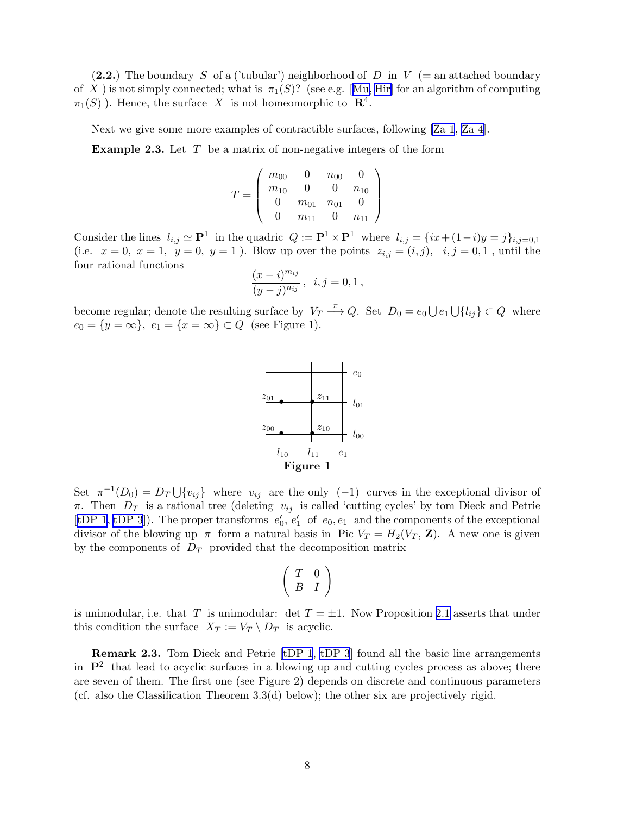<span id="page-7-0"></span>(2.2.) The boundary S of a ('tubular') neighborhood of D in V (= an attached boundary ofX ) is not simply connected; what is  $\pi_1(S)$ ? (see e.g. [[Mu,](#page-57-0) [Hir\]](#page-54-0) for an algorithm of computing  $\pi_1(S)$ ). Hence, the surface X is not homeomorphic to  $\mathbb{R}^4$ .

Next we give some more examples of contractible surfaces, following [\[Za 1](#page-59-0), [Za 4](#page-59-0)].

**Example 2.3.** Let  $T$  be a matrix of non-negative integers of the form

$$
T = \left(\begin{array}{cccc} m_{00} & 0 & n_{00} & 0 \\ m_{10} & 0 & 0 & n_{10} \\ 0 & m_{01} & n_{01} & 0 \\ 0 & m_{11} & 0 & n_{11} \end{array}\right)
$$

Consider the lines  $l_{i,j} \simeq \mathbf{P}^1$  in the quadric  $Q := \mathbf{P}^1 \times \mathbf{P}^1$  where  $l_{i,j} = \{ix + (1-i)y = j\}_{i,j=0,1}$ (i.e.  $x = 0, x = 1, y = 0, y = 1$ ). Blow up over the points  $z_{i,j} = (i, j), i, j = 0, 1$ , until the four rational functions

$$
\frac{(x-i)^{m_{ij}}}{(y-j)^{n_{ij}}}, \ \ i, j = 0, 1,
$$

become regular; denote the resulting surface by  $V_T \stackrel{\pi}{\longrightarrow} Q$ . Set  $D_0 = e_0 \bigcup e_1 \bigcup \{l_{ij}\} \subset Q$  where  $e_0 = \{y = \infty\}, e_1 = \{x = \infty\} \subset Q$  (see Figure 1).



Set  $\pi^{-1}(D_0) = D_T \cup \{v_{ij}\}\$  where  $v_{ij}$  are the only  $(-1)$  curves in the exceptional divisor of  $\pi$ . Then  $D_T$  is a rational tree (deleting  $v_{ij}$  is called 'cutting cycles' by tom Dieck and Petrie [\[tDP 1](#page-53-0), [tDP 3](#page-53-0)]). The proper transforms  $e'_0, e'_1$  of  $e_0, e_1$  and the components of the exceptional divisor of the blowing up  $\pi$  form a natural basis in Pic  $V_T = H_2(V_T, \mathbf{Z})$ . A new one is given by the components of  $D_T$  provided that the decomposition matrix

$$
\left(\begin{array}{cc} T & 0 \\ B & I \end{array}\right)
$$

is unimodular, i.e. that T is unimodular: det  $T = \pm 1$ . Now Proposition [2.1](#page-4-0) asserts that under this condition the surface  $X_T := V_T \setminus D_T$  is acyclic.

Remark 2.3. Tom Dieck and Petrie [\[tDP 1](#page-53-0), [tDP 3](#page-53-0)] found all the basic line arrangements in  $\mathbb{P}^2$  that lead to acyclic surfaces in a blowing up and cutting cycles process as above; there are seven of them. The first one (see Figure 2) depends on discrete and continuous parameters (cf. also the Classification Theorem 3.3(d) below); the other six are projectively rigid.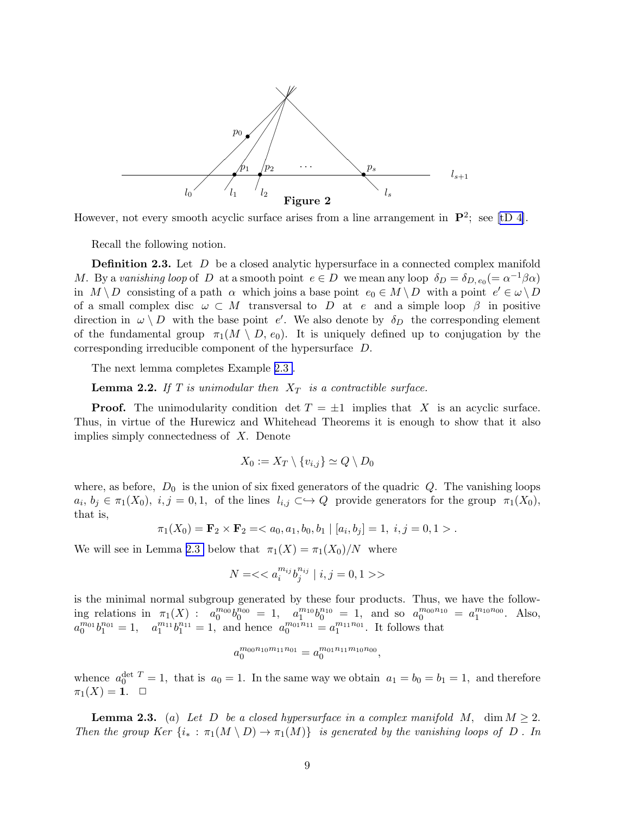<span id="page-8-0"></span>

However, not every smooth acyclic surface arises from a line arrangement in  $\mathbf{P}^2$ ; see [\[tD 4\]](#page-59-0).

Recall the following notion.

**Definition 2.3.** Let D be a closed analytic hypersurface in a connected complex manifold M. By a vanishing loop of D at a smooth point  $e \in D$  we mean any loop  $\delta_D = \delta_{D,e_0} (= \alpha^{-1}\beta\alpha)$ in  $M \setminus D$  consisting of a path  $\alpha$  which joins a base point  $e_0 \in M \setminus D$  with a point  $e' \in \omega \setminus D$ of a small complex disc  $\omega \subset M$  transversal to D at e and a simple loop  $\beta$  in positive direction in  $\omega \setminus D$  with the base point e'. We also denote by  $\delta_D$  the corresponding element of the fundamental group  $\pi_1(M \setminus D, e_0)$ . It is uniquely defined up to conjugation by the corresponding irreducible component of the hypersurface D.

The next lemma completes Example [2.3](#page-7-0) .

**Lemma 2.2.** If T is unimodular then  $X_T$  is a contractible surface.

**Proof.** The unimodularity condition det  $T = \pm 1$  implies that X is an acyclic surface. Thus, in virtue of the Hurewicz and Whitehead Theorems it is enough to show that it also implies simply connectedness of X. Denote

$$
X_0 := X_T \setminus \{v_{i,j}\} \simeq Q \setminus D_0
$$

where, as before,  $D_0$  is the union of six fixed generators of the quadric Q. The vanishing loops  $a_i, b_j \in \pi_1(X_0), i, j = 0, 1,$  of the lines  $l_{i,j} \subset \hookrightarrow Q$  provide generators for the group  $\pi_1(X_0)$ , that is,

$$
\pi_1(X_0) = \mathbf{F}_2 \times \mathbf{F}_2 = \langle a_0, a_1, b_0, b_1 | [a_i, b_j] = 1, i, j = 0, 1 \rangle.
$$

We will see in Lemma 2.3 below that  $\pi_1(X) = \pi_1(X_0)/N$  where

$$
N = <>
$$

is the minimal normal subgroup generated by these four products. Thus, we have the following relations in  $\pi_1(X)$ :  $a_0^{m_{00}}b_0^{n_{00}} = 1$ ,  $a_1^{m_{10}}b_0^{n_{10}} = 1$ , and so  $a_0^{m_{00}n_{10}} = a_1^{m_{10}n_{00}}$ . Also,  $a_0^{m_{01}}b_1^{n_{01}} = 1$ ,  $a_1^{m_{11}}b_1^{n_{11}} = 1$ , and hence  $a_0^{m_{01}n_{11}} = a_1^{m_{11}n_{01}}$ . It follows that

$$
a_0^{m_{00}n_{10}m_{11}n_{01}} = a_0^{m_{01}n_{11}m_{10}n_{00}},
$$

whence  $a_0^{\text{det }T} = 1$ , that is  $a_0 = 1$ . In the same way we obtain  $a_1 = b_0 = b_1 = 1$ , and therefore  $\pi_1(X) = 1. \quad \Box$ 

**Lemma 2.3.** (a) Let D be a closed hypersurface in a complex manifold M, dim  $M \geq 2$ . Then the group Ker  $\{i_* : \pi_1(M \setminus D) \to \pi_1(M)\}$  is generated by the vanishing loops of D. In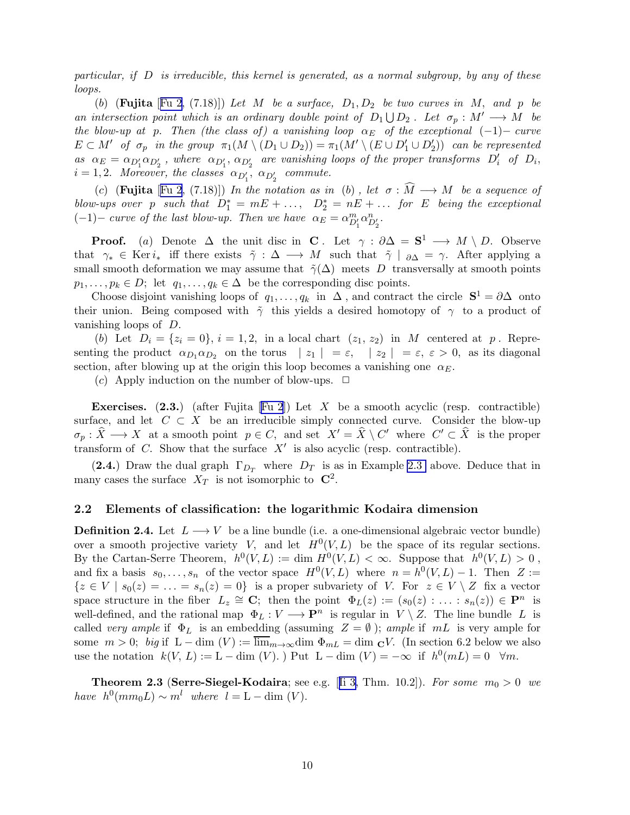<span id="page-9-0"></span>particular, if D is irreducible, this kernel is generated, as a normal subgroup, by any of these loops.

(b) (Fujita [[Fu 2,](#page-54-0) (7.18)]) Let M be a surface,  $D_1, D_2$  be two curves in M, and p be an intersection point which is an ordinary double point of  $D_1 \bigcup D_2$ . Let  $\sigma_p : M' \longrightarrow M$  be the blow-up at p. Then (the class of) a vanishing loop  $\alpha_E$  of the exceptional (-1)– curve  $E \subset M'$  of  $\sigma_p$  in the group  $\pi_1(M \setminus (D_1 \cup D_2)) = \pi_1(M' \setminus (E \cup D'_1 \cup D'_2))$  can be represented as  $\alpha_E = \alpha_{D'_1} \alpha_{D'_2}$ , where  $\alpha_{D'_1}, \alpha_{D'_2}$  are vanishing loops of the proper transforms  $D'_i$  of  $D_i$ ,  $i = 1, 2$ . Moreover, the classes  $\alpha_{D'_1}, \alpha_{D'_2}$  commute.

(c) (Fujita [[Fu 2](#page-54-0), (7.18)]) In the notation as in (b), let  $\sigma : \tilde{M} \longrightarrow M$  be a sequence of blow-ups over p such that  $D_1^* = mE + \ldots$ ,  $D_2^* = nE + \ldots$  for E being the exceptional (-1)– curve of the last blow-up. Then we have  $\alpha_E = \alpha_{D_1'}^m \alpha_{D_2'}^n$ .

**Proof.** (a) Denote  $\Delta$  the unit disc in **C**. Let  $\gamma : \partial \Delta = \mathbf{S}^1 \longrightarrow M \setminus D$ . Observe that  $\gamma_* \in \text{Ker } i_*$  iff there exists  $\tilde{\gamma} : \Delta \longrightarrow M$  such that  $\tilde{\gamma} \mid_{\partial \Delta} = \gamma$ . After applying a small smooth deformation we may assume that  $\tilde{\gamma}(\Delta)$  meets D transversally at smooth points  $p_1, \ldots, p_k \in D;$  let  $q_1, \ldots, q_k \in \Delta$  be the corresponding disc points.

Choose disjoint vanishing loops of  $q_1, \ldots, q_k$  in  $\Delta$ , and contract the circle  $S^1 = \partial \Delta$  onto their union. Being composed with  $\tilde{\gamma}$  this yields a desired homotopy of  $\gamma$  to a product of vanishing loops of D.

(b) Let  $D_i = \{z_i = 0\}, i = 1, 2, \text{ in a local chart } (z_1, z_2) \text{ in } M \text{ centered at } p.$  Representing the product  $\alpha_{D_1} \alpha_{D_2}$  on the torus  $|z_1| = \varepsilon$ ,  $|z_2| = \varepsilon$ ,  $\varepsilon > 0$ , as its diagonal section, after blowing up at the origin this loop becomes a vanishing one  $\alpha_E$ .

(c) Apply induction on the number of blow-ups.  $\Box$ 

**Exercises.**(2.3.) (after Fujita [[Fu 2](#page-54-0)]) Let X be a smooth acyclic (resp. contractible) surface, and let  $C \subset X$  be an irreducible simply connected curve. Consider the blow-up  $\sigma_p : \hat{X} \longrightarrow X$  at a smooth point  $p \in C$ , and set  $X' = \hat{X} \setminus C'$  where  $C' \subset \hat{X}$  is the proper transform of  $C$ . Show that the surface  $X'$  is also acyclic (resp. contractible).

(2.4.) Draw the dual graph  $\Gamma_{D_T}$  where  $D_T$  is as in Example [2.3](#page-7-0) above. Deduce that in many cases the surface  $X_T$  is not isomorphic to  $\mathbb{C}^2$ .

#### 2.2 Elements of classification: the logarithmic Kodaira dimension

**Definition 2.4.** Let  $L \longrightarrow V$  be a line bundle (i.e. a one-dimensional algebraic vector bundle) over a smooth projective variety V, and let  $H^0(V, L)$  be the space of its regular sections. By the Cartan-Serre Theorem,  $h^0(V, L) := \dim H^0(V, L) < \infty$ . Suppose that  $h^0(V, L) > 0$ , and fix a basis  $s_0, \ldots, s_n$  of the vector space  $H^0(V, L)$  where  $n = h^0(V, L) - 1$ . Then  $Z :=$  $\{z \in V \mid s_0(z) = \ldots = s_n(z) = 0\}$  is a proper subvariety of V. For  $z \in V \setminus Z$  fix a vector space structure in the fiber  $L_z \cong \mathbf{C}$ ; then the point  $\Phi_L(z) := (s_0(z) : \ldots : s_n(z)) \in \mathbf{P}^n$  is well-defined, and the rational map  $\Phi_L : V \longrightarrow \mathbf{P}^n$  is regular in  $V \setminus Z$ . The line bundle L is called very ample if  $\Phi_L$  is an embedding (assuming  $Z = \emptyset$ ); ample if mL is very ample for some  $m > 0$ ; big if  $L - \dim(V) := \overline{\lim}_{m \to \infty} \dim \Phi_{mL} = \dim_{\mathbf{C}} V$ . (In section 6.2 below we also use the notation  $k(V, L) := L - \dim(V)$ . ) Put  $L - \dim(V) = -\infty$  if  $h^0(mL) = 0 \quad \forall m$ .

**Theorem2.3 (Serre-Siegel-Kodaira**; see e.g. [[Ii 3,](#page-55-0) Thm. 10.2]). For some  $m_0 > 0$  we have  $h^0(mm_0L) \sim m^l$  where  $l = L - \dim(V)$ .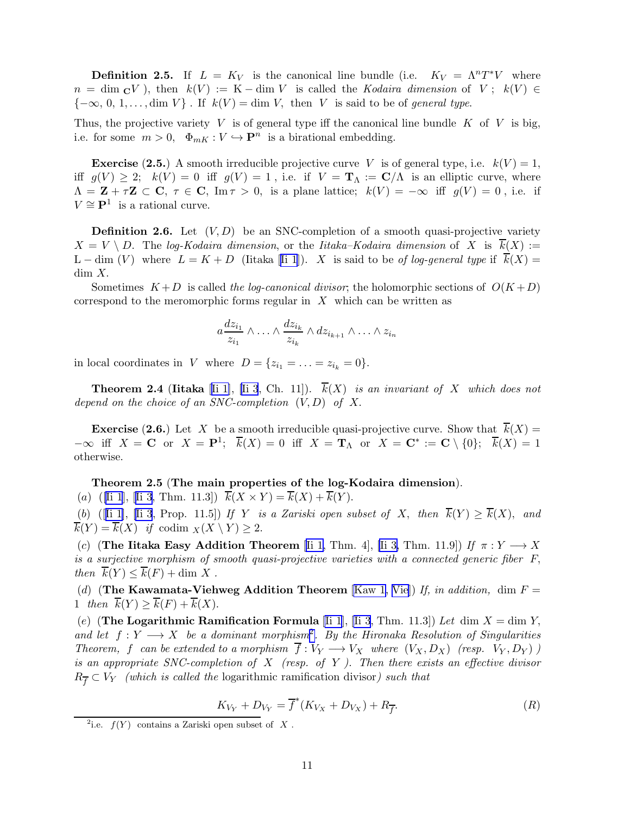<span id="page-10-0"></span>**Definition 2.5.** If  $L = K_V$  is the canonical line bundle (i.e.  $K_V = \Lambda^n T^*V$  where  $n = \dim_{\mathbf{C}} V$ , then  $k(V) := K - \dim V$  is called the Kodaira dimension of  $V : k(V) \in$  ${-\infty, 0, 1, \ldots, \dim V}$ . If  $k(V) = \dim V$ , then V is said to be of *general type*.

Thus, the projective variety V is of general type iff the canonical line bundle  $K$  of V is big, i.e. for some  $m > 0$ ,  $\Phi_{mK} : V \hookrightarrow \mathbf{P}^n$  is a birational embedding.

**Exercise** (2.5.) A smooth irreducible projective curve V is of general type, i.e.  $k(V) = 1$ , iff  $g(V) \geq 2$ ;  $k(V) = 0$  iff  $g(V) = 1$ , i.e. if  $V = \mathbf{T}_{\Lambda} := \mathbf{C}/\Lambda$  is an elliptic curve, where  $\Lambda = \mathbf{Z} + \tau \mathbf{Z} \subset \mathbf{C}, \ \tau \in \mathbf{C}, \ \text{Im}\,\tau > 0$ , is a plane lattice;  $k(V) = -\infty$  iff  $g(V) = 0$ , i.e. if  $V \cong \mathbf{P}^1$  is a rational curve.

**Definition 2.6.** Let  $(V, D)$  be an SNC-completion of a smooth quasi-projective variety  $X = V \setminus D$ . The log-Kodaira dimension, or the Iitaka–Kodaira dimension of X is  $\overline{k}(X) :=$ L– dim (V) where  $L = K + D$  (Iitaka [[Ii 1](#page-55-0)]). X is said to be of log-general type if  $\overline{k}(X) =$ dim X.

Sometimes  $K+D$  is called the log-canonical divisor; the holomorphic sections of  $O(K+D)$ correspond to the meromorphic forms regular in  $X$  which can be written as

$$
a \frac{dz_{i_1}}{z_{i_1}} \wedge \ldots \wedge \frac{dz_{i_k}}{z_{i_k}} \wedge dz_{i_{k+1}} \wedge \ldots \wedge z_{i_n}
$$

in local coordinates in V where  $D = \{z_{i_1} = \ldots = z_{i_k} = 0\}.$ 

**Theorem 2.4 (Iitaka** [[Ii 1\]](#page-55-0), [\[Ii 3](#page-55-0), Ch. 11]).  $k(X)$  is an invariant of X which does not depend on the choice of an SNC-completion  $(V, D)$  of X.

**Exercise (2.6.)** Let X be a smooth irreducible quasi-projective curve. Show that  $\overline{k}(X) =$  $-\infty$  iff  $X = \mathbf{C}$  or  $X = \mathbf{P}^1$ ;  $\overline{k}(X) = 0$  iff  $X = \mathbf{T}_\Lambda$  or  $X = \mathbf{C}^* := \mathbf{C} \setminus \{0\}$ ;  $\overline{k}(X) = 1$ otherwise.

#### Theorem 2.5 (The main properties of the log-Kodaira dimension).

(a) ([\[Ii 1](#page-55-0)],[[Ii 3,](#page-55-0) Thm. 11.3])  $\overline{k}(X \times Y) = \overline{k}(X) + \overline{k}(Y)$ .

(b) ([[Ii 1\]](#page-55-0), [\[Ii 3](#page-55-0), Prop. 11.5]) If Y is a Zariski open subset of X, then  $\overline{k}(Y) \ge \overline{k}(X)$ , and  $\overline{k}(Y) = \overline{k}(X)$  if codim  $\chi(X \setminus Y) \geq 2$ .

(c) (The Iitaka Easy Addition Theorem [[Ii 1,](#page-55-0) Thm. 4], [\[Ii 3,](#page-55-0) Thm. 11.9]) If  $\pi: Y \longrightarrow X$ is a surjective morphism of smooth quasi-projective varieties with a connected generic fiber F, then  $\overline{k}(Y) \leq \overline{k}(F) + \dim X$ .

(d) (The Kawamata-Viehweg Addition Theorem [\[Kaw 1,](#page-56-0) [Vie](#page-59-0)]) If, in addition, dim  $F =$ 1 then  $\overline{k}(Y) \geq \overline{k}(F) + \overline{k}(X)$ .

(e) (The Logarithmic Ramification Formula [\[Ii 1](#page-55-0)], [\[Ii 3](#page-55-0), Thm. 11.3]) Let dim  $X = \dim Y$ , and let  $f: Y \longrightarrow X$  be a dominant morphism<sup>2</sup>. By the Hironaka Resolution of Singularities Theorem, f can be extended to a morphism  $\overline{f}: V_Y \longrightarrow V_X$  where  $(V_X, D_X)$  (resp.  $V_Y, D_Y)$ ) is an appropriate SNC-completion of  $X$  (resp. of Y). Then there exists an effective divisor  $R_{\overline{f}} \subset V_Y$  (which is called the logarithmic ramification divisor) such that

$$
K_{V_Y} + D_{V_Y} = \overline{f}^*(K_{V_X} + D_{V_X}) + R_{\overline{f}}.
$$
 (R)

<sup>&</sup>lt;sup>2</sup>i.e.  $f(Y)$  contains a Zariski open subset of X.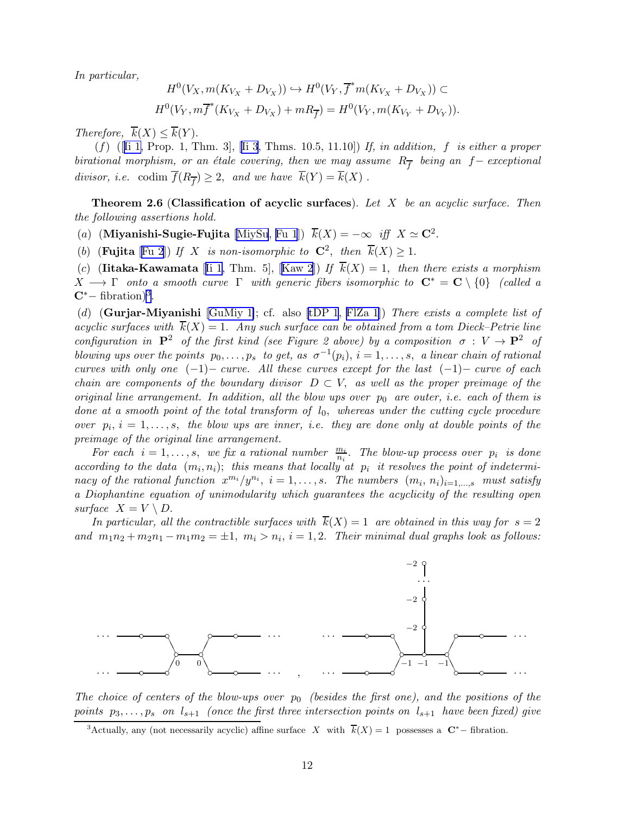<span id="page-11-0"></span>In particular,

$$
H^{0}(V_{X}, m(K_{V_{X}} + D_{V_{X}})) \hookrightarrow H^{0}(V_{Y}, \overline{f}^{*}m(K_{V_{X}} + D_{V_{X}})) \subset
$$
  

$$
H^{0}(V_{Y}, m\overline{f}^{*}(K_{V_{X}} + D_{V_{X}}) + mR_{\overline{f}}) = H^{0}(V_{Y}, m(K_{V_{Y}} + D_{V_{Y}})).
$$

Therefore,  $\overline{k}(X) \leq \overline{k}(Y)$ .

 $(f)$  ([[Ii 1,](#page-55-0)Prop. 1, Thm. 3], [[Ii 3](#page-55-0), Thms. 10.5, 11.10]) If, in addition, f is either a proper birational morphism, or an étale covering, then we may assume  $R_{\overline{f}}$  being an  $f-$  exceptional divisor, i.e. codim  $f(R_{\overline{f}}) \geq 2$ , and we have  $k(Y) = k(X)$ .

**Theorem 2.6 (Classification of acyclic surfaces).** Let X be an acyclic surface. Then the following assertions hold.

(a) (Miyanishi-Sugie-Fujita [\[MiySu](#page-57-0), [Fu 1](#page-54-0)])  $\overline{k}(X) = -\infty$  iff  $X \simeq \mathbb{C}^2$ .

(b) (**Fujita** [[Fu 2](#page-54-0)]) If X is non-isomorphic to  $C^2$ , then  $\overline{k}(X) \geq 1$ .

(c) (Iitaka-Kawamata [[Ii 1,](#page-55-0)Thm. 5], [[Kaw 2](#page-56-0)]) If  $\overline{k}(X) = 1$ , then there exists a morphism  $X \longrightarrow \Gamma$  onto a smooth curve  $\Gamma$  with generic fibers isomorphic to  $\mathbf{C}^* = \mathbf{C} \setminus \{0\}$  (called a  $\mathbf{C}^*$  – fibration)<sup>3</sup>.

(d) (Gurjar-Miyanishi [\[GuMiy 1\]](#page-54-0); cf. also [\[tDP 1](#page-53-0), [FlZa 1\]](#page-54-0)) There exists a complete list of acyclic surfaces with  $\overline{k}(X) = 1$ . Any such surface can be obtained from a tom Dieck–Petrie line configuration in  $\mathbf{P}^2$  of the first kind (see Figure 2 above) by a composition  $\sigma: V \to \mathbf{P}^2$  of blowing ups over the points  $p_0, \ldots, p_s$  to get, as  $\sigma^{-1}(p_i)$ ,  $i = 1, \ldots, s$ , a linear chain of rational curves with only one  $(-1)$  – curve. All these curves except for the last  $(-1)$  – curve of each chain are components of the boundary divisor  $D \subset V$ , as well as the proper preimage of the original line arrangement. In addition, all the blow ups over  $p_0$  are outer, i.e. each of them is done at a smooth point of the total transform of  $l_0$ , whereas under the cutting cycle procedure over  $p_i$ ,  $i = 1, \ldots, s$ , the blow ups are inner, i.e. they are done only at double points of the preimage of the original line arrangement.

For each  $i = 1, \ldots, s$ , we fix a rational number  $\frac{m_i}{n_i}$ . The blow-up process over  $p_i$  is done according to the data  $(m_i, n_i)$ ; this means that locally at  $p_i$  it resolves the point of indeterminacy of the rational function  $x^{m_i}/y^{n_i}$ ,  $i = 1, ..., s$ . The numbers  $(m_i, n_i)_{i=1,...,s}$  must satisfy a Diophantine equation of unimodularity which guarantees the acyclicity of the resulting open surface  $X = V \setminus D$ .

In particular, all the contractible surfaces with  $k(X) = 1$  are obtained in this way for  $s = 2$ and  $m_1n_2 + m_2n_1 - m_1m_2 = \pm 1$ ,  $m_i > n_i$ ,  $i = 1, 2$ . Their minimal dual graphs look as follows:



The choice of centers of the blow-ups over  $p_0$  (besides the first one), and the positions of the points  $p_3, \ldots, p_s$  on  $l_{s+1}$  (once the first three intersection points on  $l_{s+1}$  have been fixed) give

<sup>&</sup>lt;sup>3</sup>Actually, any (not necessarily acyclic) affine surface X with  $\overline{k}(X) = 1$  possesses a C<sup>\*</sup>-fibration.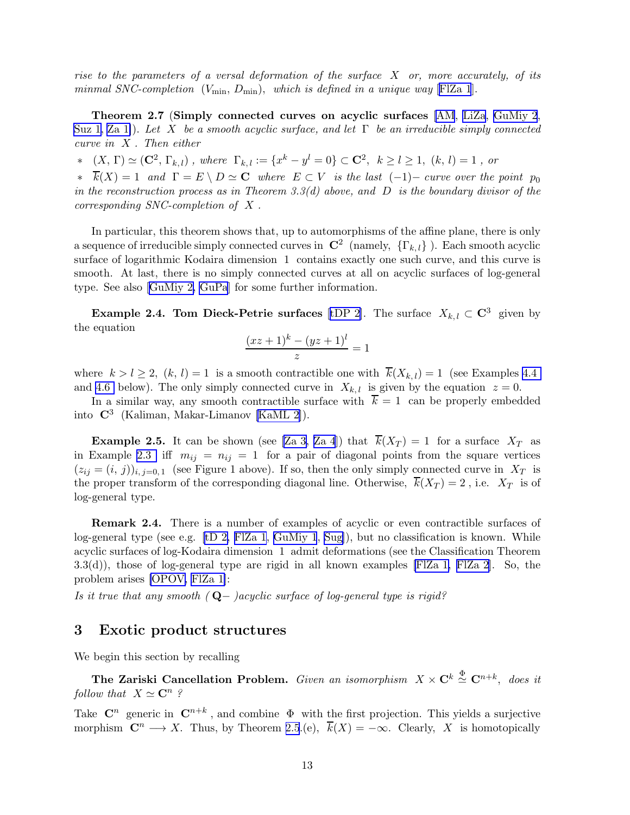<span id="page-12-0"></span>rise to the parameters of a versal deformation of the surface  $X$  or, more accurately, of its minmal SNC-completion  $(V_{\min}, D_{\min})$ , which is defined in a unique way [FIZa 1].

Theorem 2.7 (Simply connected curves on acyclic surfaces [\[AM](#page-52-0), [LiZa](#page-56-0), [GuMiy 2](#page-54-0), [Suz 1](#page-58-0), Za 1). Let X be a smooth acyclic surface, and let  $\Gamma$  be an irreducible simply connected curve in X . Then either

∗  $(X, \Gamma) \simeq (C^2, \Gamma_{k,l})$ , where  $\Gamma_{k,l} := \{x^k - y^l = 0\} \subset C^2$ ,  $k \ge l \ge 1$ ,  $(k, l) = 1$ , or

 $\overline{k}(X) = 1$  and  $\Gamma = E \setminus D \simeq C$  where  $E \subset V$  is the last  $(-1)$ – curve over the point  $p_0$ in the reconstruction process as in Theorem 3.3(d) above, and  $D$  is the boundary divisor of the corresponding SNC-completion of X .

In particular, this theorem shows that, up to automorphisms of the affine plane, there is only a sequence of irreducible simply connected curves in  $\mathbb{C}^2$  (namely,  $\{\Gamma_{k,l}\}\)$ . Each smooth acyclic surface of logarithmic Kodaira dimension 1 contains exactly one such curve, and this curve is smooth. At last, there is no simply connected curves at all on acyclic surfaces of log-general type. See also [\[GuMiy 2, GuPa](#page-54-0)] for some further information.

**Example 2.4. Tom Dieck-Petrie surfaces** [[tDP 2](#page-53-0)]. The surface  $X_{k,l} \subset \mathbb{C}^3$  given by the equation

$$
\frac{(xz+1)^k - (yz+1)^l}{z} = 1
$$

where  $k > l \ge 2$ ,  $(k, l) = 1$  is a smooth contractible one with  $\overline{k}(X_{k, l}) = 1$  (see Examples 4.4) and [4.6](#page-23-0) below). The only simply connected curve in  $X_{k,l}$  is given by the equation  $z = 0$ .

In a similar way, any smooth contractible surface with  $\overline{k} = 1$  can be properly embedded into  $\mathbb{C}^3$  (Kaliman, Makar-Limanov [\[KaML 2\]](#page-55-0)).

**Example 2.5.** It can be shown (see [\[Za 3, Za 4](#page-59-0)]) that  $\overline{k}(X_T) = 1$  for a surface  $X_T$  as in Example [2.3](#page-7-0) iff  $m_{ij} = n_{ij} = 1$  for a pair of diagonal points from the square vertices  $(z_{ij} = (i, j))_{i, j=0,1}$  (see Figure 1 above). If so, then the only simply connected curve in  $X_T$  is the proper transform of the corresponding diagonal line. Otherwise,  $\overline{k}(X_T) = 2$ , i.e.  $X_T$  is of log-general type.

Remark 2.4. There is a number of examples of acyclic or even contractible surfaces of log-general type (see e.g. [\[tD 2,](#page-59-0) [FlZa 1](#page-54-0), [GuMiy 1](#page-54-0), [Sug\]](#page-58-0)), but no classification is known. While acyclic surfaces of log-Kodaira dimension 1 admit deformations (see the Classification Theorem 3.3(d)), those of log-general type are rigid in all known examples [\[FlZa 1, FlZa 2](#page-54-0)]. So, the problem arises [\[OPOV,](#page-57-0) [FlZa 1\]](#page-54-0):

Is it true that any smooth  $(Q-\)$ acyclic surface of log-general type is rigid?

## 3 Exotic product structures

We begin this section by recalling

The Zariski Cancellation Problem. Given an isomorphism  $X \times \mathbf{C}^k \stackrel{\Phi}{\simeq} \mathbf{C}^{n+k}$ , does it follow that  $X \simeq \mathbb{C}^n$ ?

Take  $\mathbb{C}^n$  generic in  $\mathbb{C}^{n+k}$ , and combine  $\Phi$  with the first projection. This yields a surjective morphism  $\mathbb{C}^n \longrightarrow X$ . Thus, by Theorem [2.5](#page-10-0).(e),  $\overline{k}(X) = -\infty$ . Clearly, X is homotopically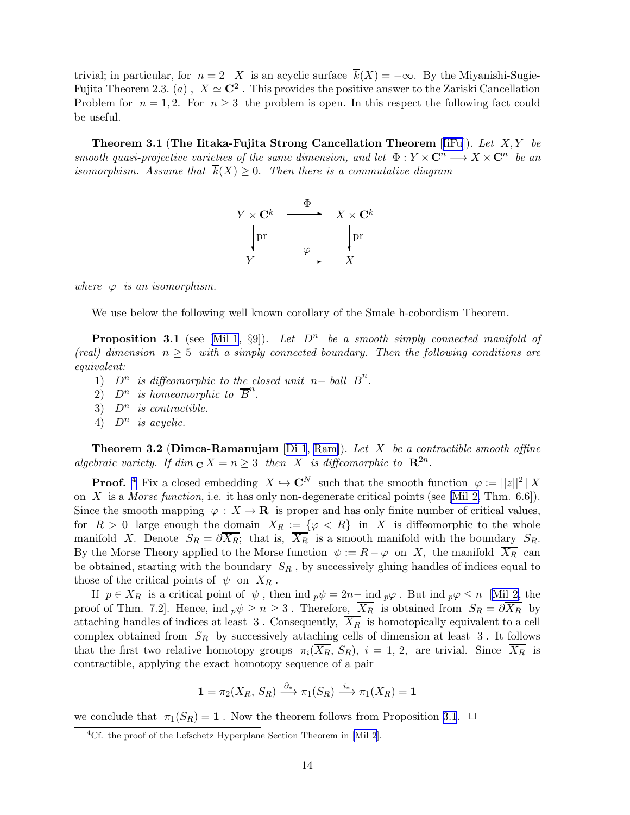<span id="page-13-0"></span>trivial; in particular, for  $n = 2$  X is an acyclic surface  $\overline{k}(X) = -\infty$ . By the Miyanishi-Sugie-Fujita Theorem 2.3. (*a*),  $X \simeq \mathbb{C}^2$ . This provides the positive answer to the Zariski Cancellation Problem for  $n = 1, 2$ . For  $n \geq 3$  the problem is open. In this respect the following fact could be useful.

Theorem 3.1 (The Iitaka-Fujita Strong Cancellation Theorem [[IiFu\]](#page-55-0)). Let X, Y be smooth quasi-projective varieties of the same dimension, and let  $\Phi: Y \times \mathbf{C}^n \longrightarrow X \times \mathbf{C}^n$  be an isomorphism. Assume that  $\overline{k}(X) \geq 0$ . Then there is a commutative diagram



where  $\varphi$  is an isomorphism.

We use below the following well known corollary of the Smale h-cobordism Theorem.

**Proposition3.1** (see [[Mil 1,](#page-57-0) §9]). Let  $D^n$  be a smooth simply connected manifold of (real) dimension  $n \geq 5$  with a simply connected boundary. Then the following conditions are equivalent:

- 1)  $D^n$  is diffeomorphic to the closed unit n– ball  $\overline{B}^n$ .
- 2)  $D^n$  is homeomorphic to  $\overline{B}^n$ .
- 3)  $D^n$  is contractible.
- 4)  $D^n$  is acyclic.

**Theorem 3.2 (Dimca-Ramanujam** [\[Di 1](#page-53-0), [Ram\]](#page-58-0)). Let X be a contractible smooth affine algebraic variety. If  $\dim_{\mathbf{C}} X = n \geq 3$  then X is diffeomorphic to  $\mathbf{R}^{2n}$ .

**Proof.** 4 Fix a closed embedding  $X \hookrightarrow \mathbb{C}^N$  such that the smooth function  $\varphi := ||z||^2 |X|$ on X is a Morse function, i.e. it has only non-degenerate critical points (see [\[Mil 2,](#page-57-0) Thm. 6.6]). Since the smooth mapping  $\varphi : X \to \mathbf{R}$  is proper and has only finite number of critical values, for  $R > 0$  large enough the <u>domain  $X_R := \{ \varphi \langle R \}$  in X</u> is diffeomorphic to the whole manifold X. Denote  $S_R = \partial X_R$ ; that is,  $X_R$  is a smooth manifold with the boundary  $S_R$ . By the Morse Theory applied to the Morse function  $\psi := R - \varphi$  on X, the manifold  $\overline{X_R}$  can be obtained, starting with the boundary  $S_R$ , by successively gluing handles of indices equal to those of the critical points of  $\psi$  on  $X_R$ .

If  $p \in X_R$  is a critical point of  $\psi$ , then ind  $_p\psi = 2n-$  ind  $_p\varphi$ . But ind  $_p\varphi \leq n$  [[Mil 2,](#page-57-0) the proof of Thm. 7.2]. Hence, ind  $p\psi \geq n \geq 3$ . Therefore,  $\overline{X_R}$  is obtained from  $S_R = \partial \overline{X_R}$  by attaching handles of indices at least 3. Consequently,  $\overline{X_R}$  is homotopically equivalent to a cell complex obtained from  $S_R$  by successively attaching cells of dimension at least  $3$ . It follows that the first two relative homotopy groups  $\pi_i(\overline{X_R}, S_R)$ ,  $i = 1, 2$ , are trivial. Since  $\overline{X_R}$  is contractible, applying the exact homotopy sequence of a pair

$$
\mathbf{1} = \pi_2(\overline{X_R}, S_R) \xrightarrow{\partial_*} \pi_1(S_R) \xrightarrow{i_*} \pi_1(\overline{X_R}) = \mathbf{1}
$$

we conclude that  $\pi_1(S_R) = 1$ . Now the theorem follows from Proposition [3.1](#page-4-0).  $\Box$ 

<sup>&</sup>lt;sup>4</sup>Cf. the proof of the Lefschetz Hyperplane Section Theorem in [\[Mil 2](#page-57-0)].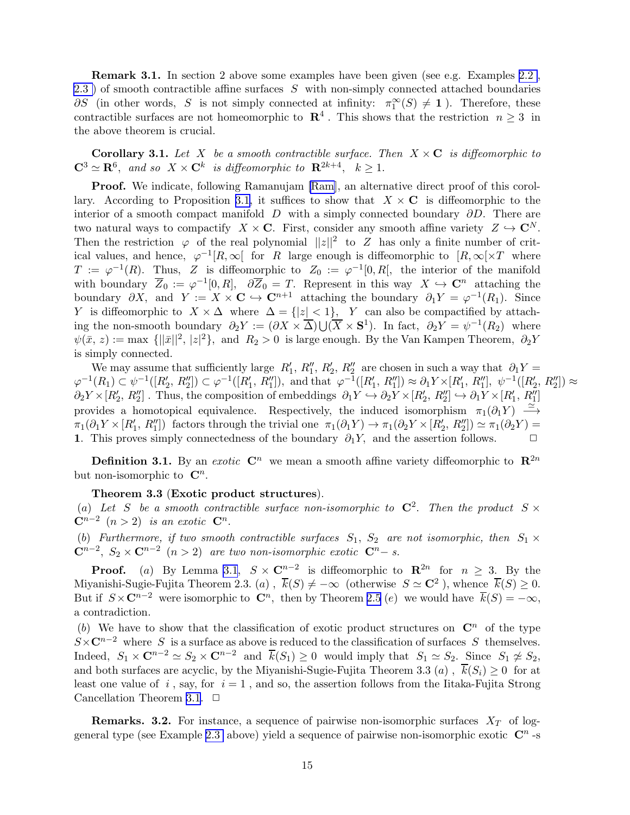Remark 3.1. In section 2 above some examples have been given (see e.g. Examples [2.2](#page-6-0) , [2.3 \)](#page-7-0) of smooth contractible affine surfaces S with non-simply connected attached boundaries  $\partial S$  (in other words, S is not simply connected at infinity:  $\pi_1^{\infty}(S) \neq 1$ ). Therefore, these contractible surfaces are not homeomorphic to  $\mathbb{R}^4$ . This shows that the restriction  $n \geq 3$  in the above theorem is crucial.

**Corollary 3.1.** Let X be a smooth contractible surface. Then  $X \times \mathbf{C}$  is diffeomorphic to  $\mathbf{C}^3 \simeq \mathbf{R}^6$ , and so  $X \times \mathbf{C}^k$  is diffeomorphic to  $\mathbf{R}^{2k+4}$ ,  $k \geq 1$ .

Proof. We indicate, following Ramanujam [\[Ram](#page-58-0)], an alternative direct proof of this corol-lary. According to Proposition [3.1,](#page-4-0) it suffices to show that  $X \times \mathbb{C}$  is diffeomorphic to the interior of a smooth compact manifold D with a simply connected boundary  $\partial D$ . There are two natural ways to compactify  $X \times \mathbf{C}$ . First, consider any smooth affine variety  $Z \hookrightarrow \mathbf{C}^N$ . Then the restriction  $\varphi$  of the real polynomial  $||z||^2$  to Z has only a finite number of critical values, and hence,  $\varphi^{-1}[R,\infty[$  for R large enough is diffeomorphic to  $[R,\infty[\times T]$  where  $T := \varphi^{-1}(R)$ . Thus, Z is diffeomorphic to  $Z_0 := \varphi^{-1}[0,R]$ , the interior of the manifold with boundary  $\overline{Z}_0 := \varphi^{-1}[0,R], \quad \partial \overline{Z}_0 = T.$  Represent in this way  $X \hookrightarrow \mathbb{C}^n$  attaching the boundary  $\partial X$ , and  $Y := X \times \mathbf{C} \hookrightarrow \mathbf{C}^{n+1}$  attaching the boundary  $\partial_1 Y = \varphi^{-1}(R_1)$ . Since Y is diffeomorphic to  $X \times \Delta$  where  $\Delta = \{|z| < 1\}$ , Y can also be compactified by attaching the non-smooth boundary  $\partial_2 Y := (\partial X \times \overline{\Delta}) \cup (\overline{X} \times S^1)$ . In fact,  $\partial_2 Y = \psi^{-1}(R_2)$  where  $\psi(\bar{x}, z) := \max \{||\bar{x}||^2, |z|^2\},\$ and  $R_2 > 0$  is large enough. By the Van Kampen Theorem,  $\partial_2 Y$ is simply connected.

We may assume that sufficiently large  $R'_1$ ,  $R''_1$ ,  $R'_2$ ,  $R''_2$  are chosen in such a way that  $\partial_1 Y =$  $\varphi^{-1}(R_1) \subset \psi^{-1}([R'_2, R''_2]) \subset \varphi^{-1}([R'_1, R''_1]),$  and that  $\varphi^{-1}([R'_1, R''_1]) \approx \partial_1 Y \times [R'_1, R''_1], \psi^{-1}([R'_2, R''_2]) \approx$  $\partial_2 Y \times [R'_2, R''_2]$ . Thus, the composition of embeddings  $\partial_1 Y \hookrightarrow \partial_2 Y \times [R'_2, R''_2] \hookrightarrow \partial_1 Y \times [R'_1, R''_1]$ provides a homotopical equivalence. Respectively, the induced isomorphism  $\pi_1(\partial_1 Y) \longrightarrow$  $\pi_1(\partial_1 Y \times [R'_1, R''_1])$  factors through the trivial one  $\pi_1(\partial_1 Y) \to \pi_1(\partial_2 Y \times [R'_2, R''_2]) \simeq \pi_1(\partial_2 Y) =$ 1. This proves simply connectedness of the boundary  $\partial_1 Y$ , and the assertion follows.  $\Box$ 

**Definition 3.1.** By an exotic  $\mathbb{C}^n$  we mean a smooth affine variety diffeomorphic to  $\mathbb{R}^{2n}$ but non-isomorphic to  $\mathbb{C}^n$ .

#### Theorem 3.3 (Exotic product structures).

(a) Let S be a smooth contractible surface non-isomorphic to  $\mathbb{C}^2$ . Then the product  $S \times$  $\mathbf{C}^{n-2}$   $(n>2)$  is an exotic  $\mathbf{C}^n$ .

(b) Furthermore, if two smooth contractible surfaces  $S_1$ ,  $S_2$  are not isomorphic, then  $S_1 \times$  $\mathbb{C}^{n-2}$ ,  $S_2 \times \mathbb{C}^{n-2}$   $(n > 2)$  are two non-isomorphic exotic  $\mathbb{C}^{n-1}$ .

**Proof.** (a) By Lemma [3.1](#page-5-0),  $S \times \mathbb{C}^{n-2}$  is diffeomorphic to  $\mathbb{R}^{2n}$  for  $n \geq 3$ . By the Miyanishi-Sugie-Fujita Theorem 2.3. (a),  $\overline{k}(S) \neq -\infty$  (otherwise  $S \simeq \mathbb{C}^2$ ), whence  $\overline{k}(S) \geq 0$ . But if  $S \times \mathbb{C}^{n-2}$  were isomorphic to  $\mathbb{C}^n$ , then by Theorem [2.5](#page-10-0) (e) we would have  $\overline{k}(S) = -\infty$ , a contradiction.

(b) We have to show that the classification of exotic product structures on  $\mathbb{C}^n$  of the type  $S\times\mathbb{C}^{n-2}$  where S is a surface as above is reduced to the classification of surfaces S themselves. Indeed,  $S_1 \times \mathbf{C}^{n-2} \simeq S_2 \times \mathbf{C}^{n-2}$  and  $\overline{k}(S_1) \geq 0$  would imply that  $S_1 \simeq S_2$ . Since  $S_1 \not\simeq S_2$ , and both surfaces are acyclic, by the Miyanishi-Sugie-Fujita Theorem 3.3 (a),  $\overline{k}(S_i) \geq 0$  for at least one value of i, say, for  $i = 1$ , and so, the assertion follows from the Iitaka-Fujita Strong Cancellation Theorem [3.1.](#page-13-0)  $\Box$ 

**Remarks. 3.2.** For instance, a sequence of pairwise non-isomorphic surfaces  $X_T$  of log-general type (see Example [2.3](#page-7-0) above) yield a sequence of pairwise non-isomorphic exotic  $\mathbb{C}^n$ -s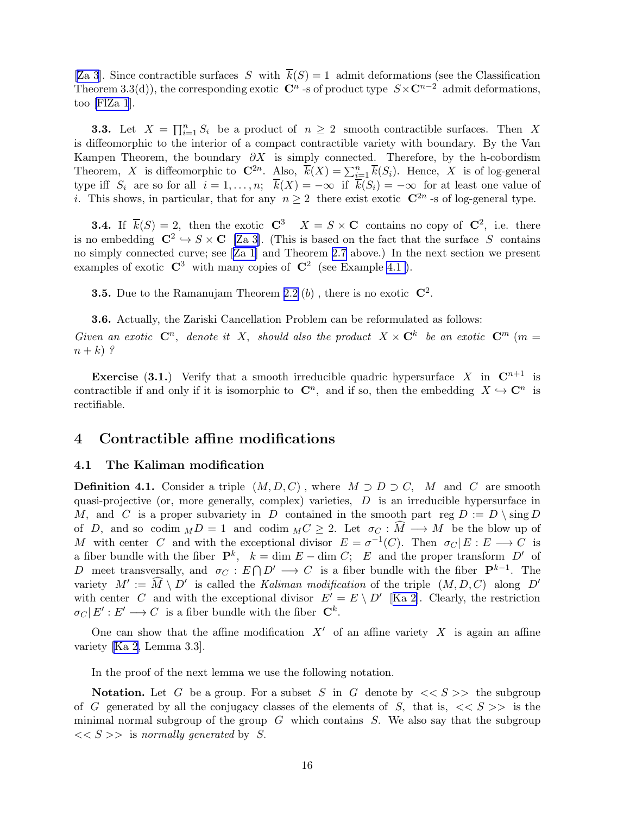<span id="page-15-0"></span>[\[Za 3](#page-59-0)]. Since contractible surfaces S with  $\overline{k}(S) = 1$  admit deformations (see the Classification Theorem 3.3(d)), the corresponding exotic  $\mathbb{C}^n$  -s of product type  $S \times \mathbb{C}^{n-2}$  admit deformations, too [\[FlZa 1](#page-54-0)].

**3.3.** Let  $X = \prod_{i=1}^{n} S_i$  be a product of  $n \geq 2$  smooth contractible surfaces. Then X is diffeomorphic to the interior of a compact contractible variety with boundary. By the Van Kampen Theorem, the boundary  $\partial X$  is simply connected. Therefore, by the h-cobordism Theorem, X is diffeomorphic to  $\mathbb{C}^{2n}$ . Also,  $\overline{k}(X) = \sum_{i=1}^{n} \overline{k}(S_i)$ . Hence, X is of log-general type iff  $S_i$  are so for all  $i = 1, ..., n$ ;  $\overline{k}(X) = -\infty$  if  $\overline{k}(S_i) = -\infty$  for at least one value of *i*. This shows, in particular, that for any  $n \geq 2$  there exist exotic  $\mathbb{C}^{2n}$ -s of log-general type.

**3.4.** If  $\overline{k}(S) = 2$ , then the exotic  $C^3$   $X = S \times C$  contains no copy of  $C^2$ , i.e. there is no embedding  $\mathbb{C}^2 \hookrightarrow S \times \mathbb{C}$  [\[Za 3\]](#page-59-0). (This is based on the fact that the surface S contains no simply connected curve; see[[Za 1](#page-59-0)] and Theorem [2.7](#page-12-0) above.) In the next section we present examples of exotic  $\mathbb{C}^3$  with many copies of  $\mathbb{C}^2$  (see Example 4.1).

**3.5.** Due to the Ramanujam Theorem [2.2](#page-6-0)  $(b)$  , there is no exotic  $\mathbb{C}^2$ .

3.6. Actually, the Zariski Cancellation Problem can be reformulated as follows: Given an exotic  $\mathbb{C}^n$ , denote it X, should also the product  $X \times \mathbb{C}^k$  be an exotic  $\mathbb{C}^m$  (m =  $n+k$ )?

**Exercise** (3.1.) Verify that a smooth irreducible quadric hypersurface X in  $\mathbb{C}^{n+1}$  is contractible if and only if it is isomorphic to  $\mathbb{C}^n$ , and if so, then the embedding  $X \hookrightarrow \mathbb{C}^n$  is rectifiable.

## 4 Contractible affine modifications

#### 4.1 The Kaliman modification

**Definition 4.1.** Consider a triple  $(M, D, C)$ , where  $M \supset D \supset C$ , M and C are smooth quasi-projective (or, more generally, complex) varieties,  $D$  is an irreducible hypersurface in M, and C is a proper subvariety in D contained in the smooth part reg  $D := D \setminus \text{sing } D$ of D, and so codim  $\overline{M}D = 1$  and codim  $\overline{M}C \geq 2$ . Let  $\sigma_C : \widehat{M} \longrightarrow M$  be the blow up of M with center C and with the exceptional divisor  $E = \sigma^{-1}(C)$ . Then  $\sigma_C | E : E \longrightarrow C$  is a fiber bundle with the fiber  $\mathbf{P}^k$ ,  $k = \dim E - \dim C$ ; E and the proper transform  $D'$  of D meet transversally, and  $\sigma_C : E \cap D' \longrightarrow C$  is a fiber bundle with the fiber  $\mathbf{P}^{k-1}$ . The variety  $M' := \widehat{M} \setminus D'$  is called the Kaliman modification of the triple  $(M, D, C)$  along  $D'$ with center C and with the exceptional divisor  $E' = E \setminus D'$  [[Ka 2\]](#page-55-0). Clearly, the restriction  $\sigma_C | E' : E' \longrightarrow C$  is a fiber bundle with the fiber  $\mathbb{C}^k$ .

One can show that the affine modification  $X'$  of an affine variety X is again an affine variety [\[Ka 2](#page-55-0), Lemma 3.3].

In the proof of the next lemma we use the following notation.

**Notation.** Let G be a group. For a subset S in G denote by  $\langle \langle S \rangle \rangle$  the subgroup of G generated by all the conjugacy classes of the elements of S, that is,  $\langle \langle S \rangle \rangle$  is the minimal normal subgroup of the group  $G$  which contains  $S$ . We also say that the subgroup  $<< S >>$  is normally generated by S.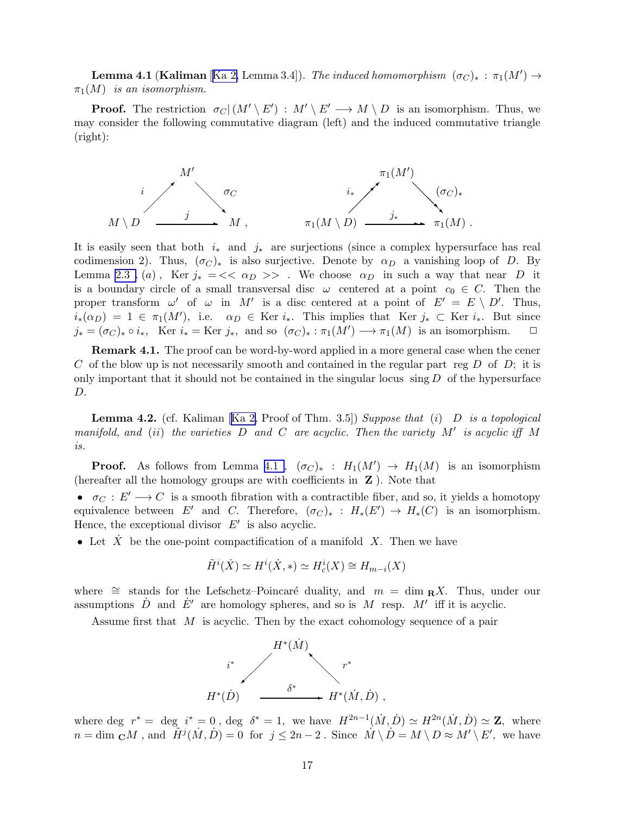**Lemma 4.1 (Kaliman** [[Ka 2,](#page-55-0) Lemma 3.4]). The induced homomorphism  $(\sigma_C)_*$ :  $\pi_1(M') \rightarrow$  $\pi_1(M)$  is an isomorphism.

**Proof.** The restriction  $\sigma_C|(M' \setminus E') : M' \setminus E' \longrightarrow M \setminus D$  is an isomorphism. Thus, we may consider the following commutative diagram (left) and the induced commutative triangle (right):



It is easily seen that both  $i_{*}$  and  $j_{*}$  are surjections (since a complex hypersurface has real codimension 2). Thus,  $(\sigma_C)_*$  is also surjective. Denote by  $\alpha_D$  a vanishing loop of D. By Lemma [2.3 .](#page-8-0) (a), Ker  $j_* = \langle \langle \alpha_D \rangle \rangle$ . We choose  $\alpha_D$  in such a way that near D it is a boundary circle of a small transversal disc  $\omega$  centered at a point  $c_0 \in C$ . Then the proper transform  $\omega'$  of  $\omega$  in M' is a disc centered at a point of  $E' = E \setminus D'$ . Thus,  $i_*(\alpha_D) = 1 \in \pi_1(M')$ , i.e.  $\alpha_D \in \text{Ker } i_*$ . This implies that  $\text{Ker } j_* \subset \text{Ker } i_*$ . But since  $j_* = (\sigma_C)_* \circ i_*$ , Ker  $i_* = \text{Ker } j_*$ , and so  $(\sigma_C)_* : \pi_1(M') \longrightarrow \pi_1(M)$  is an isomorphism.  $\Box$ 

Remark 4.1. The proof can be word-by-word applied in a more general case when the cener C of the blow up is not necessarily smooth and contained in the regular part reg  $D$  of  $D$ ; it is only important that it should not be contained in the singular locus  $\sin \overline{D}$  of the hypersurface D.

**Lemma4.2.** (cf. Kaliman [[Ka 2,](#page-55-0) Proof of Thm. 3.5]) Suppose that (i) D is a topological manifold, and (ii) the varieties  $D$  and  $C$  are acyclic. Then the variety  $M'$  is acyclic iff  $M$ is.

**Proof.** As follows from Lemma [4.1](#page-3-0),  $(\sigma_C)_*$ :  $H_1(M') \to H_1(M)$  is an isomorphism (hereafter all the homology groups are with coefficients in  $Z$ ). Note that

•  $\sigma_C : E' \longrightarrow C$  is a smooth fibration with a contractible fiber, and so, it yields a homotopy equivalence between E' and C. Therefore,  $(\sigma_C)_*$  :  $H_*(E') \to H_*(C)$  is an isomorphism. Hence, the exceptional divisor  $E'$  is also acyclic.

• Let  $\dot{X}$  be the one-point compactification of a manifold  $X$ . Then we have

$$
\tilde{H}^i(\dot{X}) \simeq H^i(\dot{X}, *) \simeq H^i_c(X) \cong H_{m-i}(X)
$$

where  $\cong$  stands for the Lefschetz–Poincaré duality, and  $m = \dim_R X$ . Thus, under our assumptions  $\dot{D}$  and  $\dot{E}'$  are homology spheres, and so is M resp. M' iff it is acyclic.

Assume first that  $M$  is acyclic. Then by the exact cohomology sequence of a pair



where deg  $r^* = \deg_i i^* = 0$ , deg  $\delta^* = 1$ , we have  $H^{2n-1}(M, D) \simeq H^{2n}(M, D) \simeq \mathbf{Z}$ , where  $n = \dim_{\mathbf{C}} M$ , and  $\tilde{H}^{j}(\dot{M}, \dot{D}) = 0$  for  $j \leq 2n - 2$ . Since  $\dot{M} \setminus \dot{D} = M \setminus D \approx M' \setminus E'$ , we have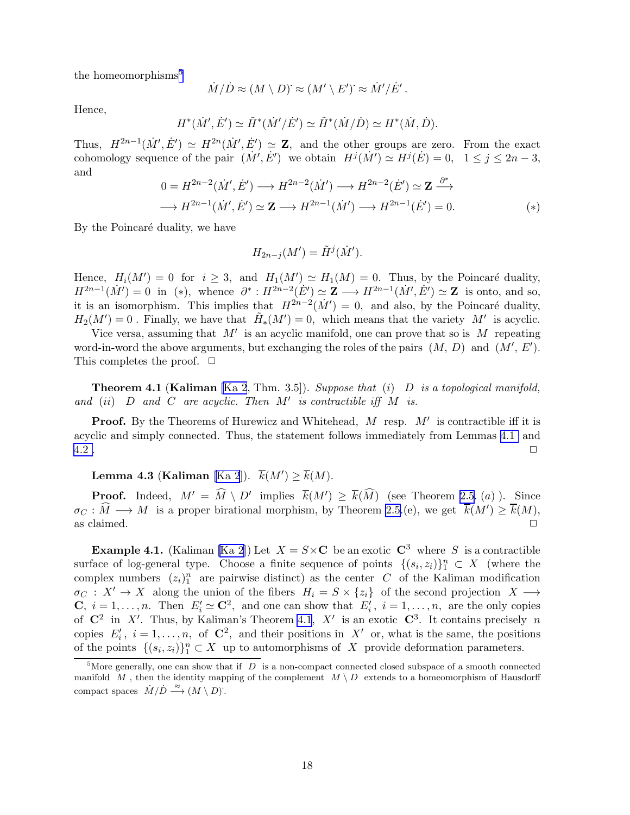<span id="page-17-0"></span>the homeomorphisms<sup>5</sup>

$$
\dot{M}/\dot{D} \approx (M \setminus D)^{\cdot} \approx (M' \setminus E')^{\cdot} \approx \dot{M}'/\dot{E}'
$$

Hence,

$$
H^*(\dot{M}',\dot{E}') \simeq \tilde{H}^*(\dot{M}'/\dot{E}') \simeq \tilde{H}^*(\dot{M}/\dot{D}) \simeq H^*(\dot{M},\dot{D}).
$$

Thus,  $H^{2n-1}(\dot{M}',\dot{E}') \simeq H^{2n}(\dot{M}',\dot{E}') \simeq \mathbf{Z}$ , and the other groups are zero. From the exact cohomology sequence of the pair  $(M', \dot{E}')$  we obtain  $H^j(M') \simeq H^j(\dot{E}) = 0$ ,  $1 \le j \le 2n - 3$ , and

$$
0 = H^{2n-2}(\dot{M}', \dot{E}') \longrightarrow H^{2n-2}(\dot{M}') \longrightarrow H^{2n-2}(\dot{E}') \simeq \mathbf{Z} \stackrel{\partial^*}{\longrightarrow}
$$
  

$$
\longrightarrow H^{2n-1}(\dot{M}', \dot{E}') \simeq \mathbf{Z} \longrightarrow H^{2n-1}(\dot{M}') \longrightarrow H^{2n-1}(\dot{E}') = 0.
$$
 (\*)

.

By the Poincaré duality, we have

$$
H_{2n-j}(M') = \tilde{H}^j(\dot{M}').
$$

Hence,  $H_i(M') = 0$  for  $i \geq 3$ , and  $H_1(M') \simeq H_1(M) = 0$ . Thus, by the Poincaré duality,  $H^{2n-1}(\dot{M}') = 0$  in (\*), whence  $\partial^* : H^{2n-2}(\dot{E}') \simeq Z \longrightarrow H^{2n-1}(\dot{M}', \dot{E}') \simeq Z$  is onto, and so, it is an isomorphism. This implies that  $H^{2n-2}(\dot{M}') = 0$ , and also, by the Poincaré duality,  $H_2(M') = 0$ . Finally, we have that  $\tilde{H}_*(M') = 0$ , which means that the variety M' is acyclic.

Vice versa, assuming that  $M'$  is an acyclic manifold, one can prove that so is M repeating word-in-word the above arguments, but exchanging the roles of the pairs  $(M, D)$  and  $(M', E')$ . This completes the proof.  $\Box$ 

**Theorem 4.1 (Kaliman** [\[Ka 2](#page-55-0), Thm. 3.5]). Suppose that (i)  $D$  is a topological manifold, and  $(ii)$  D and C are acyclic. Then  $M'$  is contractible iff  $M$  is.

**Proof.** By the Theorems of Hurewicz and Whitehead,  $M$  resp.  $M'$  is contractible iff it is acyclic and simply connected. Thus, the statement follows immediately from Lemmas [4.1](#page-3-0) and  $4.2$  .

# Lemma 4.3 (Kaliman [\[Ka 2](#page-55-0)]).  $\overline{k}(M') \ge \overline{k}(M)$ .

**Proof.** Indeed,  $M' = \widehat{M} \setminus D'$  implies  $\overline{k}(M') \ge \overline{k}(\widehat{M})$  (see Theorem [2.5](#page-10-0). (a)). Since  $\sigma_C : \widehat{M} \longrightarrow M$  is a proper birational morphism, by Theorem [2.5](#page-10-0).(e), we get  $\overline{k}(M') \ge \overline{k}(M)$ , as claimed.  $\Box$ 

**Example4.1.** (Kaliman [[Ka 2](#page-55-0)]) Let  $X = S \times \mathbb{C}$  be an exotic  $\mathbb{C}^3$  where S is a contractible surface of log-general type. Choose a finite sequence of points  $\{(s_i, z_i)\}_1^n \subset X$  (where the complex numbers  $(z_i)_1^n$  are pairwise distinct) as the center C of the Kaliman modification  $\sigma_C$ :  $X' \to X$  along the union of the fibers  $H_i = S \times \{z_i\}$  of the second projection  $X \to Y$ **C**,  $i = 1, ..., n$ . Then  $E'_i \simeq \mathbb{C}^2$ , and one can show that  $E'_i$ ,  $i = 1, ..., n$ , are the only copies of  $\mathbb{C}^2$  in X'. Thus, by Kaliman's Theorem 4.1, X' is an exotic  $\mathbb{C}^3$ . It contains precisely n copies  $E'_i$ ,  $i = 1, ..., n$ , of  $\mathbb{C}^2$ , and their positions in X' or, what is the same, the positions of the points  $\{(s_i, z_i)\}_{1}^{n} \subset X$  up to automorphisms of X provide deformation parameters.

<sup>&</sup>lt;sup>5</sup>More generally, one can show that if  $D$  is a non-compact connected closed subspace of a smooth connected manifold M, then the identity mapping of the complement  $M \setminus D$  extends to a homeomorphism of Hausdorff compact spaces  $\dot{M}/\dot{D} \stackrel{\approx}{\longrightarrow} (M \setminus D)$ .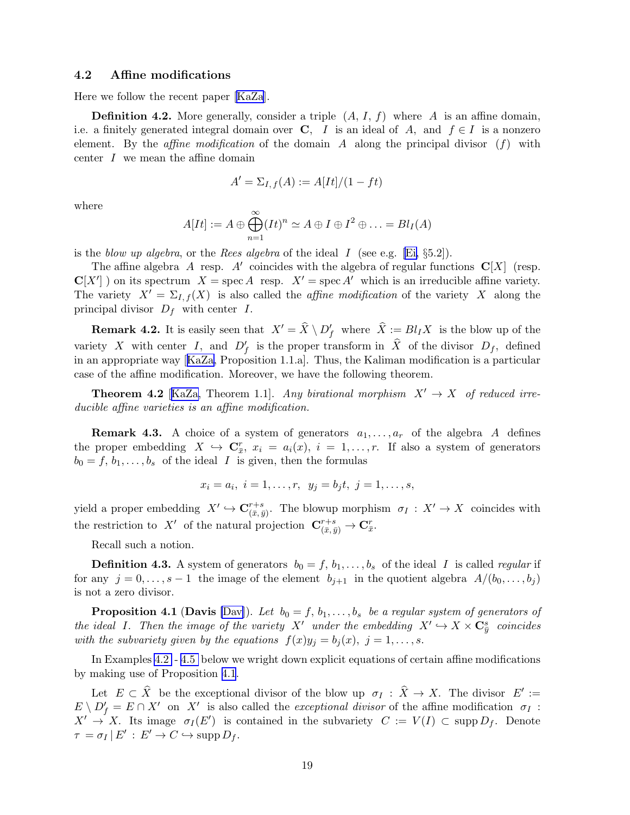#### <span id="page-18-0"></span>4.2 Affine modifications

Here we follow the recent paper [\[KaZa](#page-55-0)].

**Definition 4.2.** More generally, consider a triple  $(A, I, f)$  where A is an affine domain, i.e. a finitely generated integral domain over C, I is an ideal of A, and  $f \in I$  is a nonzero element. By the *affine modification* of the domain A along the principal divisor  $(f)$  with center  $I$  we mean the affine domain

$$
A' = \Sigma_{I,f}(A) := A[It]/(1 - ft)
$$

where

$$
A[It] := A \oplus \bigoplus_{n=1}^{\infty} (It)^n \simeq A \oplus I \oplus I^2 \oplus \ldots = Bl_I(A)
$$

is the blow up algebra, or the Rees algebra of the ideal I (see e.g. [\[Ei,](#page-54-0)  $\S5.2$ ]).

The affine algebra A resp. A' coincides with the algebra of regular functions  $\mathbf{C}[X]$  (resp.  $\mathbf{C}[X']$ ) on its spectrum  $X = \text{spec } A$  resp.  $X' = \text{spec } A'$  which is an irreducible affine variety. The variety  $X' = \Sigma_{I,f}(X)$  is also called the *affine modification* of the variety X along the principal divisor  $D_f$  with center I.

**Remark 4.2.** It is easily seen that  $X' = \hat{X} \setminus D'_f$  where  $\hat{X} := Bl_I X$  is the blow up of the variety X with center I, and  $D'_f$  is the proper transform in  $\hat{X}$  of the divisor  $D_f$ , defined in an appropriate way[[KaZa,](#page-55-0) Proposition 1.1.a]. Thus, the Kaliman modification is a particular case of the affine modification. Moreover, we have the following theorem.

**Theorem 4.2** [[KaZa,](#page-55-0) Theorem 1.1]. Any birational morphism  $X' \rightarrow X$  of reduced irreducible affine varieties is an affine modification.

**Remark 4.3.** A choice of a system of generators  $a_1, \ldots, a_r$  of the algebra A defines the proper embedding  $X \hookrightarrow \mathbf{C}_{\bar{x}}^r$ ,  $x_i = a_i(x)$ ,  $i = 1, \ldots, r$ . If also a system of generators  $b_0 = f, b_1, \ldots, b_s$  of the ideal I is given, then the formulas

$$
x_i = a_i, i = 1, ..., r, y_j = b_j t, j = 1, ..., s,
$$

yield a proper embedding  $X' \hookrightarrow \mathbf{C}_{(\bar{x},\bar{y})}^{r+s}$  $\overline{r+s}_{(\bar{x},\bar{y})}$ . The blowup morphism  $\sigma_I : X' \to X$  coincides with the restriction to X' of the natural projection  $\mathbf{C}_{(\bar{x},\bar{y})}^{r+s} \to \mathbf{C}_{\bar{x}}^r$ .

Recall such a notion.

**Definition 4.3.** A system of generators  $b_0 = f, b_1, \ldots, b_s$  of the ideal I is called *regular* if for any  $j = 0, \ldots, s - 1$  the image of the element  $b_{j+1}$  in the quotient algebra  $A/(b_0, \ldots, b_j)$ is not a zero divisor.

**Proposition 4.1 (Davis** [\[Dav\]](#page-53-0)). Let  $b_0 = f, b_1, \ldots, b_s$  be a regular system of generators of the ideal I. Then the image of the variety X' under the embedding  $X' \hookrightarrow X \times \mathbf{C}_{\bar{y}}^s$  coincides with the subvariety given by the equations  $f(x)y_j = b_j(x)$ ,  $j = 1, \ldots, s$ .

In Examples [4.2](#page-6-0)- [4.5](#page-12-0) below we wright down explicit equations of certain affine modifications by making use of Proposition [4.1](#page-4-0).

Let  $E \subset \hat{X}$  be the exceptional divisor of the blow up  $\sigma_I : \hat{X} \to X$ . The divisor  $E' :=$  $E \setminus D'_f = E \cap X'$  on X' is also called the *exceptional divisor* of the affine modification  $\sigma_I$ :  $X' \to X$ . Its image  $\sigma_I(E')$  is contained in the subvariety  $C := V(I) \subset \text{supp } D_f$ . Denote  $\tau = \sigma_I | E' : E' \to C \hookrightarrow \mathrm{supp} D_f.$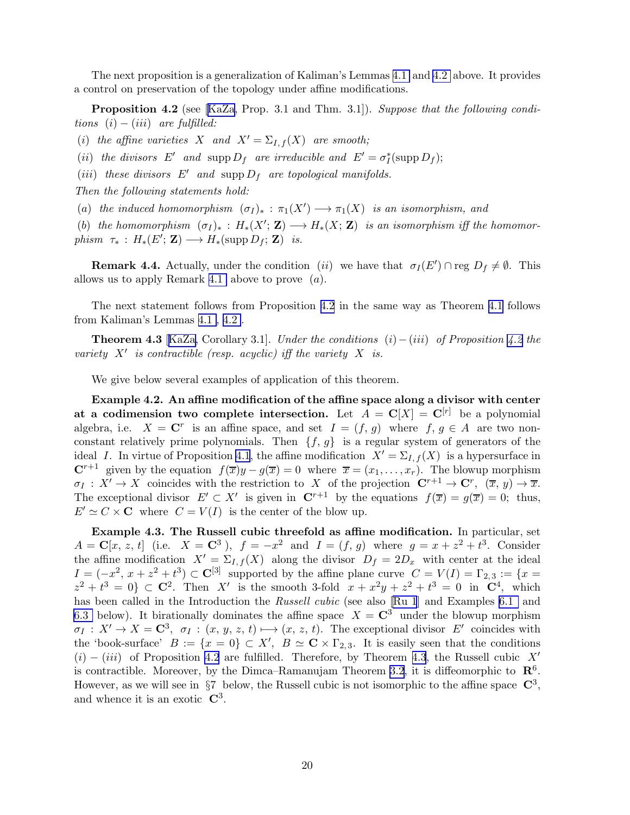<span id="page-19-0"></span>The next proposition is a generalization of Kaliman's Lemmas [4.1](#page-3-0) and [4.2](#page-8-0) above. It provides a control on preservation of the topology under affine modifications.

**Proposition 4.2** (see [\[KaZa](#page-55-0), Prop. 3.1 and Thm. 3.1]). Suppose that the following conditions  $(i) - (iii)$  are fulfilled:

(i) the affine varieties X and  $X' = \Sigma_{I,f}(X)$  are smooth;

(ii) the divisors E' and supp  $D_f$  are irreducible and  $E' = \sigma_f^*$  (supp  $D_f$ );

(iii) these divisors  $E'$  and supp  $D_f$  are topological manifolds.

Then the following statements hold:

(a) the induced homomorphism  $(\sigma_I)_*: \pi_1(X') \longrightarrow \pi_1(X)$  is an isomorphism, and

(b) the homomorphism  $(\sigma_I)_*: H_*(X'; \mathbf{Z}) \longrightarrow H_*(X; \mathbf{Z})$  is an isomorphism iff the homomor $phism \ \tau_* : H_*(E'; \mathbf{Z}) \longrightarrow H_*(\mathrm{supp}\,D_f; \mathbf{Z}) \ \ is.$ 

**Remark 4.4.** Actually, under the condition (ii) we have that  $\sigma_I(E') \cap \text{reg } D_f \neq \emptyset$ . This allows us to apply Remark [4.1](#page-4-0) above to prove  $(a)$ .

The next statement follows from Proposition 4.2 in the same way as Theorem [4.1](#page-17-0) follows from Kaliman's Lemmas [4.1](#page-3-0), [4.2](#page-8-0) .

**Theorem 4.3** [[KaZa,](#page-55-0) Corollary 3.1]. Under the conditions  $(i) - (iii)$  of Proposition 4.2 the variety  $X'$  is contractible (resp. acyclic) iff the variety  $X$  is.

We give below several examples of application of this theorem.

Example 4.2. An affine modification of the affine space along a divisor with center at a codimension two complete intersection. Let  $A = \mathbb{C}[X] = \mathbb{C}^{[r]}$  be a polynomial algebra, i.e.  $X = \mathbb{C}^r$  is an affine space, and set  $I = (f, g)$  where  $f, g \in A$  are two nonconstant relatively prime polynomials. Then  $\{f, g\}$  is a regular system of generators of the ideal I. In virtue of Proposition [4.1](#page-4-0), the affine modification  $X' = \Sigma_{I,f}(X)$  is a hypersurface in  $\mathbb{C}^{r+1}$  given by the equation  $f(\overline{x})y - g(\overline{x}) = 0$  where  $\overline{x} = (x_1, \ldots, x_r)$ . The blowup morphism  $\sigma_I: X' \to X$  coincides with the restriction to X of the projection  $\mathbb{C}^{r+1} \to \mathbb{C}^r$ ,  $(\overline{x}, y) \to \overline{x}$ . The exceptional divisor  $E' \subset X'$  is given in  $\mathbb{C}^{r+1}$  by the equations  $f(\overline{x}) = g(\overline{x}) = 0$ ; thus,  $E' \simeq C \times \mathbf{C}$  where  $C = V(I)$  is the center of the blow up.

Example 4.3. The Russell cubic threefold as affine modification. In particular, set  $A = \mathbf{C}[x, z, t]$  (i.e.  $X = \mathbf{C}^3$ ),  $f = -x^2$  and  $I = (f, g)$  where  $g = x + z^2 + t^3$ . Consider the affine modification  $X' = \Sigma_{I,f}(X)$  along the divisor  $D_f = 2D_x$  with center at the ideal  $I = (-x^2, x + z^2 + t^3) \subset \mathbb{C}^{[3]}$  supported by the affine plane curve  $C = V(I) = \Gamma_{2,3} := \{x =$  $z^2 + t^3 = 0$   $\subset \mathbb{C}^2$ . Then X' is the smooth 3-fold  $x + x^2y + z^2 + t^3 = 0$  in  $\mathbb{C}^4$ , which has been called in the Introduction the Russell cubic (see also [\[Ru 1](#page-58-0)] and Examples [6.1](#page-6-0) and [6.3](#page-7-0) below). It birationally dominates the affine space  $X = \mathbb{C}^3$  under the blowup morphism  $\sigma_I: X' \to X = \mathbb{C}^3$ ,  $\sigma_I: (x, y, z, t) \mapsto (x, z, t)$ . The exceptional divisor E' coincides with the 'book-surface'  $B := \{x = 0\} \subset X'$ ,  $B \simeq \mathbb{C} \times \Gamma_{2,3}$ . It is easily seen that the conditions  $(i) - (iii)$  of Proposition 4.2 are fulfilled. Therefore, by Theorem 4.3, the Russell cubic X' is contractible. Moreover, by the Dimca–Ramanujam Theorem [3.2,](#page-13-0) it is diffeomorphic to  $\mathbb{R}^6$ . However, as we will see in  $\S 7$  below, the Russell cubic is not isomorphic to the affine space  $\mathbb{C}^3$ , and whence it is an exotic  $\mathbb{C}^3$ .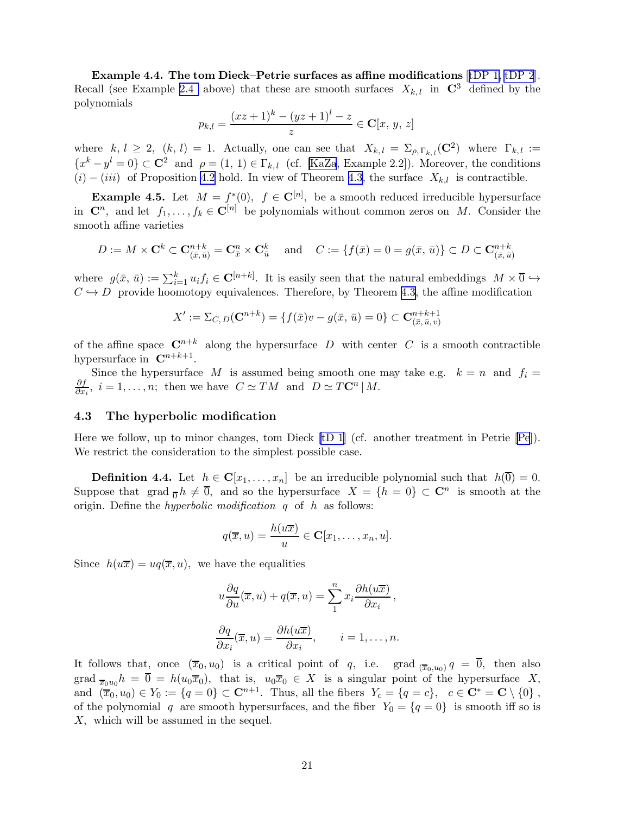<span id="page-20-0"></span>Example 4.4. The tom Dieck–Petrie surfaces as affine modifications [[tDP 1, tDP 2](#page-53-0)]. Recall (see Example [2.4](#page-12-0) above) that these are smooth surfaces  $X_{k,l}$  in  $\mathbb{C}^3$  defined by the polynomials

$$
p_{k,l} = \frac{(xz+1)^k - (yz+1)^l - z}{z} \in \mathbf{C}[x, y, z]
$$

where  $k, l \geq 2$ ,  $(k, l) = 1$ . Actually, one can see that  $X_{k, l} = \sum_{\rho, \Gamma_{k, l}} (\mathbf{C}^2)$  where  $\Gamma_{k, l} :=$  ${x<sup>k</sup> - y<sup>l</sup> = 0} \subset \mathbb{C}^2$  and  $\rho = (1, 1) \in \Gamma_{k,l}$  (cf. [\[KaZa](#page-55-0), Example 2.2]). Moreover, the conditions  $(i) - (iii)$  of Proposition [4.2](#page-19-0) hold. In view of Theorem [4.3](#page-19-0), the surface  $X_{k,l}$  is contractible.

**Example 4.5.** Let  $M = f^*(0)$ ,  $f \in \mathbb{C}^{[n]}$ , be a smooth reduced irreducible hypersurface in  $\mathbf{C}^n$ , and let  $f_1, \ldots, f_k \in \mathbf{C}^{[n]}$  be polynomials without common zeros on M. Consider the smooth affine varieties

$$
D := M \times \mathbf{C}^k \subset \mathbf{C}_{(\bar{x}, \bar{u})}^{n+k} = \mathbf{C}_{\bar{x}}^n \times \mathbf{C}_{\bar{u}}^k \quad \text{and} \quad C := \{ f(\bar{x}) = 0 = g(\bar{x}, \bar{u}) \} \subset D \subset \mathbf{C}_{(\bar{x}, \bar{u})}^{n+k}
$$

where  $g(\bar{x}, \bar{u}) := \sum_{i=1}^{k} u_i f_i \in \mathbf{C}^{[n+k]}$ . It is easily seen that the natural embeddings  $M \times \overline{0} \hookrightarrow$  $C \hookrightarrow D$  provide hoomotopy equivalences. Therefore, by Theorem [4.3,](#page-19-0) the affine modification

$$
X' := \Sigma_{C,D}(\mathbf{C}^{n+k}) = \{ f(\bar{x})v - g(\bar{x}, \bar{u}) = 0 \} \subset \mathbf{C}^{n+k+1}_{(\bar{x}, \bar{u}, v)}
$$

of the affine space  $\mathbb{C}^{n+k}$  along the hypersurface D with center C is a smooth contractible hypersurface in  $\mathbb{C}^{n+k+1}$ .

Since the hypersurface M is assumed being smooth one may take e.g.  $k = n$  and  $f_i =$ ∂f  $\frac{\partial f}{\partial x_i}$ ,  $i = 1, ..., n$ ; then we have  $C \simeq TM$  and  $D \simeq T\mathbb{C}^n \,|\, M$ .

### 4.3 The hyperbolic modification

Here we follow, up to minor changes, tom Dieck [\[tD 1](#page-59-0)] (cf. another treatment in Petrie [\[Pe](#page-58-0)]). We restrict the consideration to the simplest possible case.

**Definition 4.4.** Let  $h \in \mathbf{C}[x_1,\ldots,x_n]$  be an irreducible polynomial such that  $h(\overline{0}) = 0$ . Suppose that grad  $\overline{0}h \neq \overline{0}$ , and so the hypersurface  $X = \{h = 0\} \subset \mathbb{C}^n$  is smooth at the origin. Define the *hyperbolic modification*  $q$  of  $h$  as follows:

$$
q(\overline{x},u)=\frac{h(u\overline{x})}{u}\in \mathbf{C}[x_1,\ldots,x_n,u].
$$

Since  $h(u\overline{x}) = uq(\overline{x}, u)$ , we have the equalities

$$
u\frac{\partial q}{\partial u}(\overline{x}, u) + q(\overline{x}, u) = \sum_{1}^{n} x_{i} \frac{\partial h(u\overline{x})}{\partial x_{i}},
$$

$$
\frac{\partial q}{\partial x_{i}}(\overline{x}, u) = \frac{\partial h(u\overline{x})}{\partial x_{i}}, \qquad i = 1, ..., n.
$$

It follows that, once  $(\overline{x}_0, u_0)$  is a critical point of q, i.e. grad  $_{(\overline{x}_0, u_0)} q = \overline{0}$ , then also grad  $\overline{x}_0u_0h = \overline{0} = h(u_0\overline{x}_0)$ , that is,  $u_0\overline{x}_0 \in X$  is a singular point of the hypersurface X, and  $(\bar{x}_0, u_0) \in Y_0 := \{q = 0\} \subset \mathbb{C}^{n+1}$ . Thus, all the fibers  $Y_c = \{q = c\}$ ,  $c \in \mathbb{C}^* = \mathbb{C} \setminus \{0\}$ , of the polynomial q are smooth hypersurfaces, and the fiber  $Y_0 = \{q = 0\}$  is smooth iff so is X, which will be assumed in the sequel.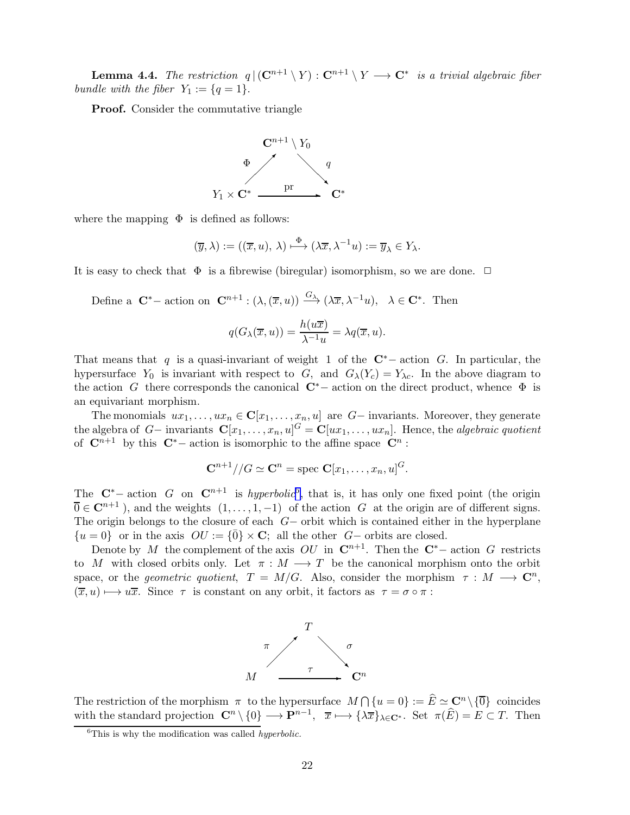**Lemma 4.4.** The restriction  $q | (\mathbf{C}^{n+1} \setminus Y) : \mathbf{C}^{n+1} \setminus Y \longrightarrow \mathbf{C}^*$  is a trivial algebraic fiber bundle with the fiber  $Y_1 := \{q = 1\}.$ 

Proof. Consider the commutative triangle



where the mapping  $\Phi$  is defined as follows:

$$
(\overline{y}, \lambda) := ((\overline{x}, u), \lambda) \stackrel{\Phi}{\longmapsto} (\lambda \overline{x}, \lambda^{-1} u) := \overline{y}_{\lambda} \in Y_{\lambda}.
$$

It is easy to check that  $\Phi$  is a fibrewise (biregular) isomorphism, so we are done.  $\Box$ 

Define a  $\mathbf{C}^*$  – action on  $\mathbf{C}^{n+1}$  :  $(\lambda, (\overline{x}, u)) \xrightarrow{G_{\lambda}} (\lambda \overline{x}, \lambda^{-1}u), \lambda \in \mathbf{C}^*$ . Then

$$
q(G_{\lambda}(\overline{x}, u)) = \frac{h(u\overline{x})}{\lambda^{-1}u} = \lambda q(\overline{x}, u).
$$

That means that q is a quasi-invariant of weight 1 of the  $\mathbb{C}^*$  – action G. In particular, the hypersurface  $Y_0$  is invariant with respect to G, and  $G_{\lambda}(Y_c) = Y_{\lambda c}$ . In the above diagram to the action G there corresponds the canonical  $\mathbb{C}^*$  action on the direct product, whence  $\Phi$  is an equivariant morphism.

The monomials  $ux_1, \ldots, ux_n \in \mathbb{C}[x_1, \ldots, x_n, u]$  are  $G-$  invariants. Moreover, they generate the algebra of  $G-$  invariants  $\mathbf{C}[x_1,\ldots,x_n,u]^G = \mathbf{C}[ux_1,\ldots,ux_n]$ . Hence, the algebraic quotient of  $\mathbb{C}^{n+1}$  by this  $\mathbb{C}^*$  – action is isomorphic to the affine space  $\mathbb{C}^n$ :

$$
\mathbf{C}^{n+1}//G\simeq \mathbf{C}^n=\text{spec }\mathbf{C}[x_1,\ldots,x_n,u]^G.
$$

The  $\mathbf{C}^*$  action G on  $\mathbf{C}^{n+1}$  is *hyperbolic*<sup>6</sup>, that is, it has only one fixed point (the origin  $\overline{0} \in \mathbb{C}^{n+1}$ , and the weights  $(1, \ldots, 1, -1)$  of the action G at the origin are of different signs. The origin belongs to the closure of each  $G-$  orbit which is contained either in the hyperplane  $\{u = 0\}$  or in the axis  $OU := {\overline{0}} \times {\bf C}$ ; all the other G– orbits are closed.

Denote by M the complement of the axis  $OU$  in  $\mathbb{C}^{n+1}$ . Then the  $\mathbb{C}^*$ -action G restricts to M with closed orbits only. Let  $\pi : M \longrightarrow T$  be the canonical morphism onto the orbit space, or the *geometric quotient*,  $T = M/G$ . Also, consider the morphism  $\tau : M \longrightarrow \mathbb{C}^n$ ,  $(\overline{x}, u) \mapsto u\overline{x}$ . Since  $\tau$  is constant on any orbit, it factors as  $\tau = \sigma \circ \pi$ :



The restriction of the morphism  $\pi$  to the hypersurface  $M \cap \{u = 0\} := \widehat{E} \simeq \mathbb{C}^n \setminus \{\overline{0}\}$  coincides with the standard projection  $\mathbb{C}^n \setminus \{0\} \longrightarrow \mathbb{P}^{n-1}$ ,  $\overline{x} \longmapsto {\lambda \overline{x}}_{{\lambda \in \mathbb{C}^*}}$ . Set  $\pi(\widehat{E}) = E \subset T$ . Then

 $\overline{6}$ This is why the modification was called *hyperbolic*.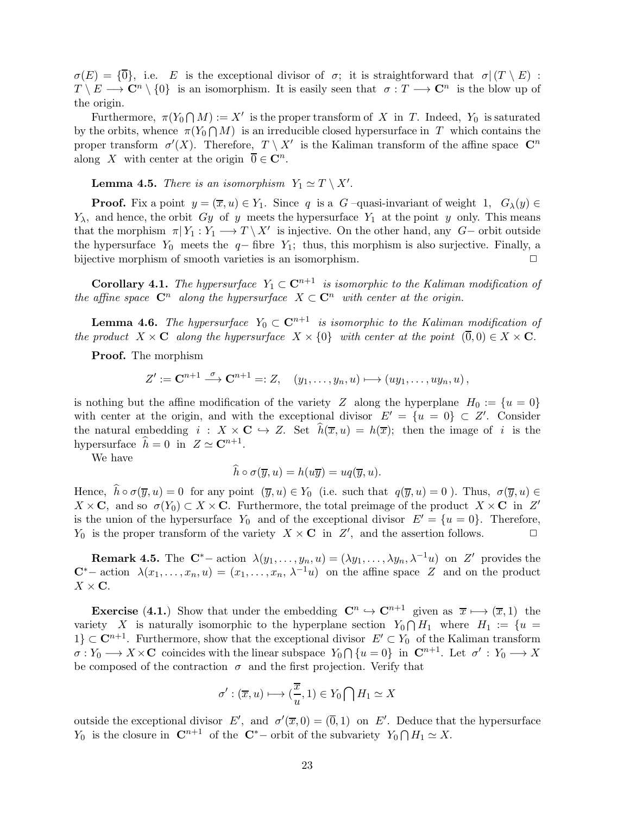<span id="page-22-0"></span> $\sigma(E) = {\overline{0}}, i.e. E$  is the exceptional divisor of  $\sigma$ ; it is straightforward that  $\sigma(T \setminus E)$ :  $T \setminus E \longrightarrow \mathbb{C}^n \setminus \{0\}$  is an isomorphism. It is easily seen that  $\sigma : T \longrightarrow \mathbb{C}^n$  is the blow up of the origin.

Furthermore,  $\pi(Y_0 \cap M) := X'$  is the proper transform of X in T. Indeed,  $Y_0$  is saturated by the orbits, whence  $\pi(Y_0 \cap M)$  is an irreducible closed hypersurface in T which contains the proper transform  $\sigma'(X)$ . Therefore,  $T \setminus X'$  is the Kaliman transform of the affine space  $\mathbb{C}^n$ along X with center at the origin  $\overline{0} \in \mathbb{C}^n$ .

**Lemma 4.5.** There is an isomorphism  $Y_1 \simeq T \setminus X'$ .

**Proof.** Fix a point  $y = (\overline{x}, u) \in Y_1$ . Since q is a G –quasi-invariant of weight 1,  $G_\lambda(y) \in Y_1$  $Y_{\lambda}$ , and hence, the orbit Gy of y meets the hypersurface  $Y_1$  at the point y only. This means that the morphism  $\pi | Y_1 : Y_1 \longrightarrow T \setminus X'$  is injective. On the other hand, any  $G-$  orbit outside the hypersurface  $Y_0$  meets the  $q$ − fibre  $Y_1$ ; thus, this morphism is also surjective. Finally, a bijective morphism of smooth varieties is an isomorphism. bijective morphism of smooth varieties is an isomorphism.

**Corollary 4.1.** The hypersurface  $Y_1 \subset \mathbb{C}^{n+1}$  is isomorphic to the Kaliman modification of the affine space  $\mathbb{C}^n$  along the hypersurface  $X \subset \mathbb{C}^n$  with center at the origin.

**Lemma 4.6.** The hypersurface  $Y_0 \subset \mathbb{C}^{n+1}$  is isomorphic to the Kaliman modification of the product  $X \times \mathbf{C}$  along the hypersurface  $X \times \{0\}$  with center at the point  $(\overline{0}, 0) \in X \times \mathbf{C}$ .

Proof. The morphism

 $Z' := \mathbf{C}^{n+1} \stackrel{\sigma}{\longrightarrow} \mathbf{C}^{n+1} =: Z, \quad (y_1, \ldots, y_n, u) \longmapsto (uy_1, \ldots, uy_n, u)$ 

is nothing but the affine modification of the variety Z along the hyperplane  $H_0 := \{u = 0\}$ with center at the origin, and with the exceptional divisor  $E' = \{u = 0\} \subset Z'$ . Consider the natural embedding  $i : X \times \mathbf{C} \hookrightarrow Z$ . Set  $\hat{h}(\overline{x}, u) = h(\overline{x})$ ; then the image of i is the hypersurface  $\hat{h} = 0$  in  $Z \simeq \mathbf{C}^{n+1}$ .

We have

$$
\widehat{h}\circ\sigma(\overline{y},u)=h(u\overline{y})=uq(\overline{y},u).
$$

Hence,  $\hat{h} \circ \sigma(\overline{y}, u) = 0$  for any point  $(\overline{y}, u) \in Y_0$  (i.e. such that  $q(\overline{y}, u) = 0$ ). Thus,  $\sigma(\overline{y}, u) \in Y_0$  $X \times \mathbf{C}$ , and so  $\sigma(Y_0) \subset X \times \mathbf{C}$ . Furthermore, the total preimage of the product  $X \times \mathbf{C}$  in Z' is the union of the hypersurface  $Y_0$  and of the exceptional divisor  $E' = \{u = 0\}$ . Therefore,  $Y_0$  is the proper transform of the variety  $X \times \mathbf{C}$  in  $Z'$ , and the assertion follows.

**Remark 4.5.** The  $\mathbf{C}^*$  action  $\lambda(y_1,\ldots,y_n,u) = (\lambda y_1,\ldots,\lambda y_n,\lambda^{-1}u)$  on Z' provides the  $C^*$ − action  $\lambda(x_1,\ldots,x_n,u) = (x_1,\ldots,x_n,\lambda^{-1}u)$  on the affine space Z and on the product  $X \times C$ .

**Exercise** (4.1.) Show that under the embedding  $\mathbb{C}^n \hookrightarrow \mathbb{C}^{n+1}$  given as  $\overline{x} \longmapsto (\overline{x}, 1)$  the variety X is naturally isomorphic to the hyperplane section  $Y_0 \cap H_1$  where  $H_1 := \{u =$ 1} ⊂  $\mathbb{C}^{n+1}$ . Furthermore, show that the exceptional divisor  $E' \subset Y_0$  of the Kaliman transform  $\sigma: Y_0 \longrightarrow X \times \mathbf{C}$  coincides with the linear subspace  $Y_0 \cap \{u = 0\}$  in  $\mathbf{C}^{n+1}$ . Let  $\sigma' : Y_0 \longrightarrow X$ be composed of the contraction  $\sigma$  and the first projection. Verify that

$$
\sigma': (\overline{x}, u) \longmapsto (\frac{\overline{x}}{u}, 1) \in Y_0 \bigcap H_1 \simeq X
$$

outside the exceptional divisor E', and  $\sigma'(\overline{x},0) = (\overline{0},1)$  on E'. Deduce that the hypersurface  $Y_0$  is the closure in  $\mathbb{C}^{n+1}$  of the  $\mathbb{C}^*$  orbit of the subvariety  $Y_0 \cap H_1 \simeq X$ .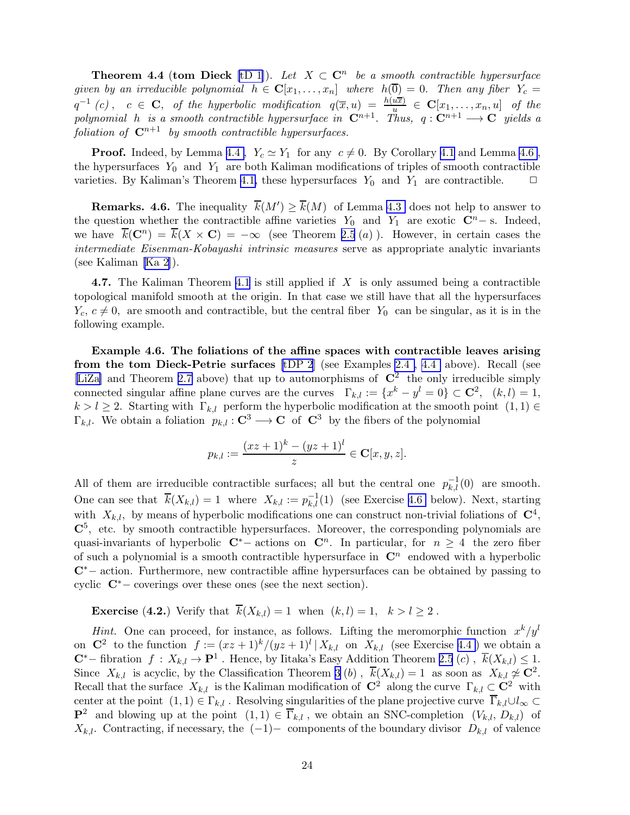<span id="page-23-0"></span>**Theorem 4.4 (tom Dieck** [\[tD 1\]](#page-59-0)). Let  $X \subset \mathbb{C}^n$  be a smooth contractible hypersurface given by an irreducible polynomial  $h \in \mathbb{C}[x_1,\ldots,x_n]$  where  $h(\overline{0})=0$ . Then any fiber  $Y_c=$  $q^{-1}(c)$ ,  $c \in \mathbf{C}$ , of the hyperbolic modification  $q(\overline{x},u) = \frac{h(u\overline{x})}{u} \in \mathbf{C}[x_1,\ldots,x_n,u]$  of the polynomial h is a smooth contractible hypersurface in  $\mathbf{C}^{n+1}$ . Thus,  $q: \mathbf{C}^{n+1} \longrightarrow \mathbf{C}$  yields a foliation of  $\mathbb{C}^{n+1}$  by smooth contractible hypersurfaces.

**Proof.** Indeed, by Lemma [4.4](#page-20-0),  $Y_c \simeq Y_1$  for any  $c \neq 0$ . By Corollary [4.1](#page-5-0) and Lemma [4.6](#page-22-0), the hypersurfaces  $Y_0$  and  $Y_1$  are both Kaliman modifications of triples of smooth contractible varieties. By Kaliman's Theorem [4.1,](#page-17-0) these hypersurfaces  $Y_0$  and  $Y_1$  are contractible.  $\Box$ 

**Remarks.** 4.6. The inequality  $\overline{k}(M') \ge \overline{k}(M)$  of Lemma [4.3](#page-8-0) does not help to answer to the question whether the contractible affine varieties  $Y_0$  and  $Y_1$  are exotic  $\mathbb{C}^n$ − s. Indeed, we have  $\overline{k}(\mathbf{C}^n) = \overline{k}(X \times \mathbf{C}) = -\infty$  (see Theorem [2.5](#page-10-0) (a)). However, in certain cases the intermediate Eisenman-Kobayashi intrinsic measures serve as appropriate analytic invariants (see Kaliman [\[Ka 2](#page-55-0)]).

4.7. The Kaliman Theorem [4.1](#page-17-0) is still applied if  $X$  is only assumed being a contractible topological manifold smooth at the origin. In that case we still have that all the hypersurfaces  $Y_c, c \neq 0$ , are smooth and contractible, but the central fiber  $Y_0$  can be singular, as it is in the following example.

Example 4.6. The foliations of the affine spaces with contractible leaves arising from the tom Dieck-Petrie surfaces [\[tDP 2](#page-53-0)] (see Examples [2.4 , 4.4](#page-12-0) above). Recall (see [\[LiZa\]](#page-56-0) and Theorem [2.7](#page-12-0) above) that up to automorphisms of  $\mathbb{C}^2$  the only irreducible simply connected singular affine plane curves are the curves  $\Gamma_{k,l} := \{x^k - y^l = 0\} \subset \mathbb{C}^2$ ,  $(k,l) = 1$ ,  $k > l \geq 2$ . Starting with  $\Gamma_{k,l}$  perform the hyperbolic modification at the smooth point  $(1, 1) \in$  $\Gamma_{k,l}$ . We obtain a foliation  $p_{k,l}: \mathbf{C}^3 \longrightarrow \mathbf{C}$  of  $\mathbf{C}^3$  by the fibers of the polynomial

$$
p_{k,l} := \frac{(xz+1)^k - (yz+1)^l}{z} \in \mathbf{C}[x, y, z].
$$

All of them are irreducible contractible surfaces; all but the central one  $p_{k,l}^{-1}(0)$  are smooth. One can see that  $\overline{k}(X_{k,l}) = 1$  where  $X_{k,l} := p_{k,l}^{-1}(1)$  (see Exercise 4.6 below). Next, starting with  $X_{k,l}$ , by means of hyperbolic modifications one can construct non-trivial foliations of  $\mathbb{C}^4$ ,  $\mathbb{C}^5$ , etc. by smooth contractible hypersurfaces. Moreover, the corresponding polynomials are quasi-invariants of hyperbolic  $C^*$  actions on  $C^n$ . In particular, for  $n \geq 4$  the zero fiber of such a polynomial is a smooth contractible hypersurface in  $\mathbb{C}^n$  endowed with a hyperbolic <sup>C</sup>∗<sup>−</sup> action. Furthermore, new contractible affine hypersurfaces can be obtained by passing to cyclic  $\mathbb{C}^*$  – coverings over these ones (see the next section).

**Exercise** (4.2.) Verify that  $\overline{k}(X_{k,l}) = 1$  when  $(k, l) = 1, k > l \geq 2$ .

*Hint.* One can proceed, for instance, as follows. Lifting the meromorphic function  $x^k/y^l$ on  $\mathbb{C}^2$  to the function  $f := (xz+1)^k/(yz+1)^l | X_{k,l}$  on  $X_{k,l}$  (see Exercise [4.4](#page-12-0) ) we obtain a  $\mathbb{C}^*$ − fibration  $f: X_{k,l} \to \mathbb{P}^1$ . Hence, by Iitaka's Easy Addition Theorem [2.5](#page-10-0) (c),  $\overline{k}(X_{k,l}) \leq 1$ . Since  $X_{k,l}$  is acyclic, by the Classification Theorem [3](#page-11-0) (b),  $\overline{k}(X_{k,l}) = 1$  as soon as  $X_{k,l} \not\simeq \mathbb{C}^2$ . Recall that the surface  $X_{k,l}$  is the Kaliman modification of  $\mathbb{C}^2$  along the curve  $\Gamma_{k,l} \subset \mathbb{C}^2$  with center at the point  $(1, 1) \in \Gamma_{k,l}$ . Resolving singularities of the plane projective curve  $\overline{\Gamma}_{k,l} \cup l_{\infty} \subset$  $\mathbf{P}^2$  and blowing up at the point  $(1, 1) \in \overline{\Gamma}_{k,l}$ , we obtain an SNC-completion  $(V_{k,l}, D_{k,l})$  of  $X_{k,l}$ . Contracting, if necessary, the  $(-1)-$  components of the boundary divisor  $D_{k,l}$  of valence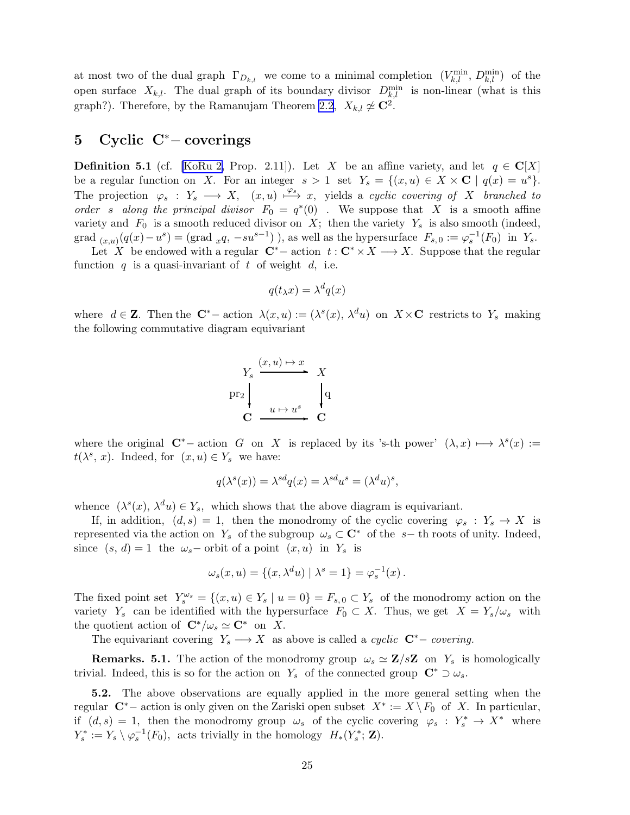<span id="page-24-0"></span>at most two of the dual graph  $\Gamma_{D_{k,l}}$  we come to a minimal completion  $(V_{k,l}^{\min}, D_{k,l}^{\min})$  of the open surface  $X_{k,l}$ . The dual graph of its boundary divisor  $D_{k,l}^{\min}$  is non-linear (what is this graph?). Therefore, by the Ramanujam Theorem [2.2](#page-6-0),  $X_{k,l} \not\simeq \mathbb{C}^2$ .

# 5 Cyclic C<sup>∗</sup>− coverings

**Definition 5.1** (cf. [\[KoRu 2,](#page-56-0) Prop. 2.11]). Let X be an affine variety, and let  $q \in \mathbb{C}[X]$ be a regular function on X. For an integer  $s > 1$  set  $Y_s = \{(x, u) \in X \times \mathbf{C} \mid q(x) = u^s\}.$ The projection  $\varphi_s : Y_s \longrightarrow X$ ,  $(x, u) \stackrel{\varphi_s}{\longrightarrow} x$ , yields a cyclic covering of X branched to order s along the principal divisor  $F_0 = q^*(0)$ . We suppose that X is a smooth affine variety and  $F_0$  is a smooth reduced divisor on X; then the variety  $Y_s$  is also smooth (indeed, grad  $_{(x,u)}(q(x)-u^s) = (\text{grad } xq, -su^{s-1})$ , as well as the hypersurface  $F_{s,0} := \varphi_s^{-1}(F_0)$  in  $Y_s$ .

Let X be endowed with a regular  $C^*$  – action  $t: C^* \times X \longrightarrow X$ . Suppose that the regular function  $q$  is a quasi-invariant of  $t$  of weight  $d$ , i.e.

$$
q(t_{\lambda}x) = \lambda^d q(x)
$$

where  $d \in \mathbf{Z}$ . Then the  $\mathbf{C}^*$  – action  $\lambda(x, u) := (\lambda^s(x), \lambda^d u)$  on  $X \times \mathbf{C}$  restricts to  $Y_s$  making the following commutative diagram equivariant

$$
\begin{array}{ccc}\nY_s & \xrightarrow{(x, u) \mapsto x} & X \\
\text{pr}_2 & & q \\
\hline\n\text{C} & \xrightarrow{u \mapsto u^s} & \text{C}\n\end{array}
$$

where the original  $\mathbb{C}^*$  - action G on X is replaced by its 's-th power'  $(\lambda, x) \longmapsto \lambda^s(x) :=$  $t(\lambda^s, x)$ . Indeed, for  $(x, u) \in Y_s$  we have:

$$
q(\lambda^{s}(x)) = \lambda^{sd}q(x) = \lambda^{sd}u^{s} = (\lambda^{d}u)^{s},
$$

whence  $(\lambda^s(x), \lambda^d u) \in Y_s$ , which shows that the above diagram is equivariant.

If, in addition,  $(d, s) = 1$ , then the monodromy of the cyclic covering  $\varphi_s : Y_s \to X$  is represented via the action on Y<sub>s</sub> of the subgroup  $\omega_s \subset \mathbb{C}^*$  of the s- th roots of unity. Indeed, since  $(s, d) = 1$  the  $\omega_s$ – orbit of a point  $(x, u)$  in  $Y_s$  is

$$
\omega_s(x, u) = \{(x, \lambda^d u) | \lambda^s = 1\} = \varphi_s^{-1}(x).
$$

The fixed point set  $Y_s^{\omega_s} = \{(x, u) \in Y_s \mid u = 0\} = F_{s,0} \subset Y_s$  of the monodromy action on the variety Y<sub>s</sub> can be identified with the hypersurface  $F_0 \subset X$ . Thus, we get  $X = Y_s/\omega_s$  with the quotient action of  $\mathbf{C}^*/\omega_s \simeq \mathbf{C}^*$  on X.

The equivariant covering  $Y_s \longrightarrow X$  as above is called a *cyclic*  $C^*$  – *covering.* 

**Remarks. 5.1.** The action of the monodromy group  $\omega_s \simeq \mathbf{Z}/s\mathbf{Z}$  on  $Y_s$  is homologically trivial. Indeed, this is so for the action on Y<sub>s</sub> of the connected group  $\mathbb{C}^* \supset \omega_s$ .

5.2. The above observations are equally applied in the more general setting when the regular  $\mathbb{C}^*$  – action is only given on the Zariski open subset  $X^* := X \setminus F_0$  of X. In particular, if  $(d, s) = 1$ , then the monodromy group  $\omega_s$  of the cyclic covering  $\varphi_s : Y_s^* \to X^*$  where  $Y_s^* := Y_s \setminus \varphi_s^{-1}(F_0)$ , acts trivially in the homology  $H_*(Y_s^*; \mathbf{Z})$ .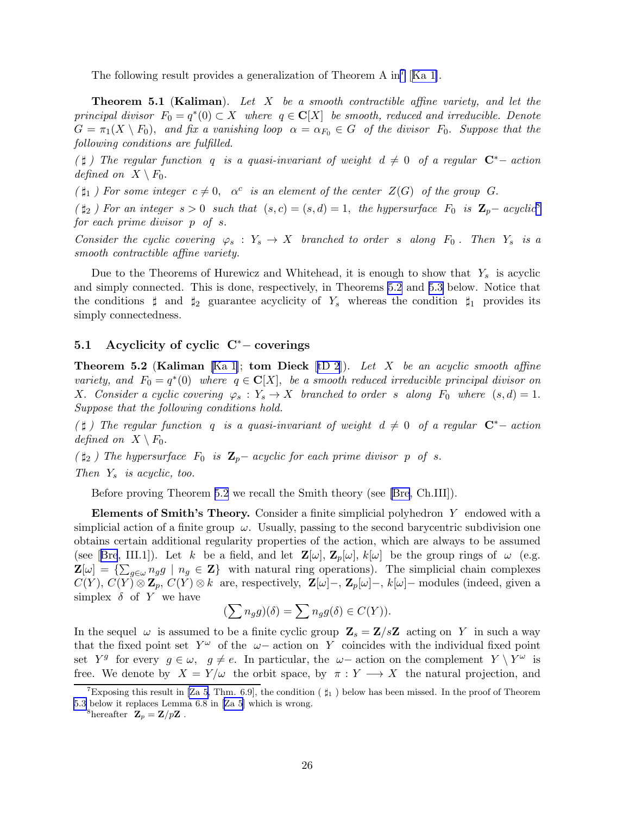<span id="page-25-0"></span>The following result provides a generalization of Theorem A in<sup>7</sup> [[Ka 1\]](#page-55-0).

**Theorem 5.1** (Kaliman). Let X be a smooth contractible affine variety, and let the principal divisor  $F_0 = q^*(0) \subset X$  where  $q \in \mathbb{C}[X]$  be smooth, reduced and irreducible. Denote  $G = \pi_1(X \setminus F_0)$ , and fix a vanishing loop  $\alpha = \alpha_{F_0} \in G$  of the divisor  $F_0$ . Suppose that the following conditions are fulfilled.

( $\sharp$ ) The regular function q is a quasi-invariant of weight  $d \neq 0$  of a regular  $\mathbb{C}^*$ - action defined on  $X \setminus F_0$ .

 $(\sharp_1)$  For some integer  $c \neq 0$ ,  $\alpha^c$  is an element of the center  $Z(G)$  of the group G.

 $(\sharp_2)$  For an integer  $s > 0$  such that  $(s, c) = (s, d) = 1$ , the hypersurface  $F_0$  is  $\mathbb{Z}_p$ -acyclic<sup>8</sup> for each prime divisor p of s.

Consider the cyclic covering  $\varphi_s : Y_s \to X$  branched to order s along  $F_0$ . Then  $Y_s$  is a smooth contractible affine variety.

Due to the Theorems of Hurewicz and Whitehead, it is enough to show that  $Y_s$  is acyclic and simply connected. This is done, respectively, in Theorems 5.2 and [5.3](#page-30-0) below. Notice that the conditions  $\sharp$  and  $\sharp_2$  guarantee acyclicity of Y<sub>s</sub> whereas the condition  $\sharp_1$  provides its simply connectedness.

#### 5.1 Acyclicity of cyclic C<sup>∗</sup>− coverings

**Theorem 5.2 (Kaliman** [\[Ka 1](#page-55-0)]; **tom Dieck** [[tD 2](#page-59-0)]). Let X be an acyclic smooth affine variety, and  $F_0 = q^*(0)$  where  $q \in \mathbb{C}[X]$ , be a smooth reduced irreducible principal divisor on X. Consider a cyclic covering  $\varphi_s : Y_s \to X$  branched to order s along  $F_0$  where  $(s, d) = 1$ . Suppose that the following conditions hold.

( $\sharp$ ) The regular function q is a quasi-invariant of weight  $d \neq 0$  of a regular  $\mathbb{C}^{*}$ - action defined on  $X \setminus F_0$ .

 $(\sharp_2)$  The hypersurface  $F_0$  is  $\mathbb{Z}_p$  – acyclic for each prime divisor p of s.

Then  $Y_s$  is acyclic, too.

Before proving Theorem 5.2 we recall the Smith theory (see [\[Bre](#page-53-0), Ch.III]).

Elements of Smith's Theory. Consider a finite simplicial polyhedron Y endowed with a simplicial action of a finite group  $\omega$ . Usually, passing to the second barycentric subdivision one obtains certain additional regularity properties of the action, which are always to be assumed (see[[Bre](#page-53-0), III.1]). Let k be a field, and let  $\mathbb{Z}[\omega], \mathbb{Z}_p[\omega], k[\omega]$  be the group rings of  $\omega$  (e.g.  $\mathbf{Z}[\omega] = \{\sum_{g \in \omega} n_g g \mid n_g \in \mathbf{Z}\}\$  with natural ring operations). The simplicial chain complexes  $C(Y)$ ,  $C(Y) \otimes \mathbb{Z}_p$ ,  $C(Y) \otimes k$  are, respectively,  $\mathbb{Z}[\omega]$ –,  $\mathbb{Z}_p[\omega]$ –,  $k[\omega]$ – modules (indeed, given a simplex  $\delta$  of Y we have

$$
(\sum n_g g)(\delta) = \sum n_g g(\delta) \in C(Y)).
$$

In the sequel  $\omega$  is assumed to be a finite cyclic group  $\mathbf{Z}_s = \mathbf{Z}/s\mathbf{Z}$  acting on Y in such a way that the fixed point set  $Y^{\omega}$  of the  $\omega-$  action on Y coincides with the individual fixed point set  $Y^g$  for every  $g \in \omega$ ,  $g \neq e$ . In particular, the  $\omega$ -action on the complement  $Y \setminus Y^{\omega}$  is free. We denote by  $X = Y/\omega$  the orbit space, by  $\pi : Y \longrightarrow X$  the natural projection, and

<sup>8</sup>hereafter  $\mathbf{Z}_p = \mathbf{Z}/p\mathbf{Z}$ .

Exposing this result in [\[Za 5](#page-59-0), Thm. 6.9], the condition ( $\sharp_1$ ) below has been missed. In the proof of Theorem [5.3](#page-30-0) below it replaces Lemma 6.8 in [\[Za 5](#page-59-0)] which is wrong.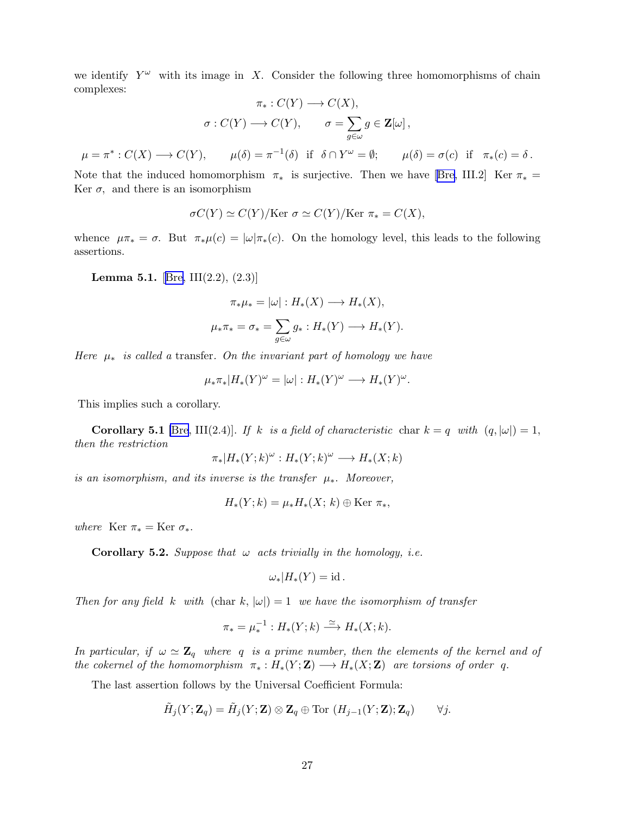we identify  $Y^{\omega}$  with its image in X. Consider the following three homomorphisms of chain complexes:

$$
\pi_*: C(Y) \longrightarrow C(X),
$$

$$
\sigma: C(Y) \longrightarrow C(Y), \qquad \sigma = \sum_{g \in \omega} g \in \mathbf{Z}[\omega],
$$

$$
\mu = \pi^*: C(X) \longrightarrow C(Y), \qquad \mu(\delta) = \pi^{-1}(\delta) \quad \text{if} \quad \delta \cap Y^{\omega} = \emptyset; \qquad \mu(\delta) = \sigma(c) \quad \text{if} \quad \pi_*(c) = \delta.
$$

Notethat the induced homomorphism  $\pi_*$  is surjective. Then we have [[Bre,](#page-53-0) III.2] Ker  $\pi_* =$ Ker  $\sigma$ , and there is an isomorphism

$$
\sigma C(Y) \simeq C(Y)/\text{Ker } \sigma \simeq C(Y)/\text{Ker } \pi_* = C(X),
$$

whence  $\mu \pi_* = \sigma$ . But  $\pi_* \mu(c) = |\omega| \pi_*(c)$ . On the homology level, this leads to the following assertions.

**Lemma 5.1.** [[Bre,](#page-53-0) III(2.2),  $(2.3)$ ]

$$
\pi_* \mu_* = |\omega| : H_*(X) \longrightarrow H_*(X),
$$
  

$$
\mu_* \pi_* = \sigma_* = \sum_{g \in \omega} g_* : H_*(Y) \longrightarrow H_*(Y).
$$

Here  $\mu_*$  is called a transfer. On the invariant part of homology we have

$$
\mu_*\pi_*|H_*(Y)^\omega=|\omega|:H_*(Y)^\omega\longrightarrow H_*(Y)^\omega.
$$

This implies such a corollary.

**Corollary 5.1** [\[Bre](#page-53-0), III(2.4)]. If k is a field of characteristic char  $k = q$  with  $(q, |\omega|) = 1$ , then the restriction

$$
\pi_*|H_*(Y;k)^\omega: H_*(Y;k)^\omega \longrightarrow H_*(X;k)
$$

is an isomorphism, and its inverse is the transfer  $\mu_*$ . Moreover,

$$
H_*(Y;k) = \mu_* H_*(X; k) \oplus \text{Ker } \pi_*,
$$

where Ker  $\pi_* = \text{Ker } \sigma_*$ .

**Corollary 5.2.** Suppose that  $\omega$  acts trivially in the homology, i.e.

$$
\omega_*|H_*(Y)=\mathrm{id}\,.
$$

Then for any field k with (char k,  $|\omega|$ ) = 1 we have the isomorphism of transfer

$$
\pi_* = \mu_*^{-1} : H_*(Y;k) \xrightarrow{\simeq} H_*(X;k).
$$

In particular, if  $\omega \simeq \mathbb{Z}_q$  where q is a prime number, then the elements of the kernel and of the cokernel of the homomorphism  $\pi_* : H_*(Y;\mathbf{Z}) \longrightarrow H_*(X;\mathbf{Z})$  are torsions of order q.

The last assertion follows by the Universal Coefficient Formula:

$$
\tilde{H}_j(Y;\mathbf{Z}_q) = \tilde{H}_j(Y;\mathbf{Z}) \otimes \mathbf{Z}_q \oplus \text{Tor}(H_{j-1}(Y;\mathbf{Z});\mathbf{Z}_q) \qquad \forall j.
$$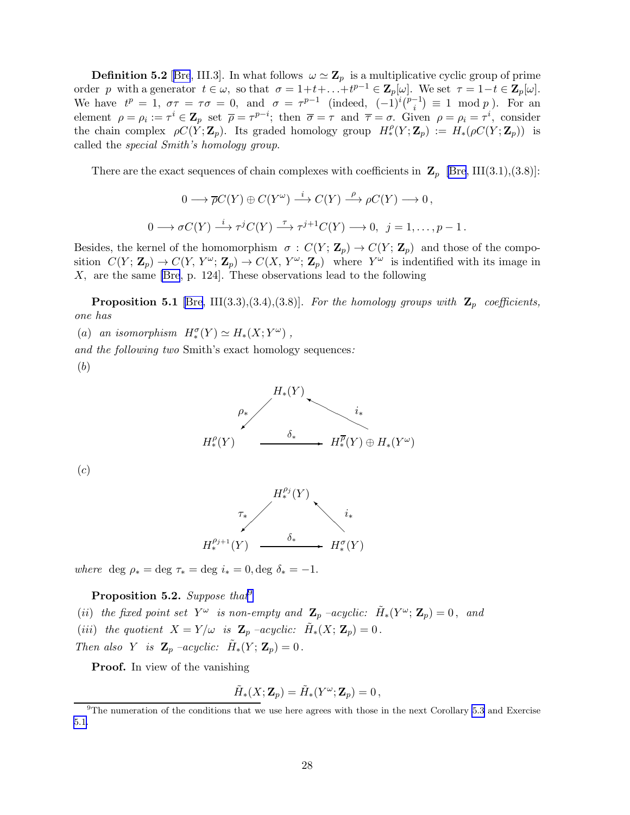<span id="page-27-0"></span>**Definition 5.2** [[Bre](#page-53-0), III.3]. In what follows  $\omega \simeq \mathbb{Z}_p$  is a multiplicative cyclic group of prime order p with a generator  $t \in \omega$ , so that  $\sigma = 1 + t + \ldots + t^{p-1} \in \mathbb{Z}_p[\omega]$ . We set  $\tau = 1 - t \in \mathbb{Z}_p[\omega]$ . We have  $t^p = 1$ ,  $\sigma \tau = \tau \sigma = 0$ , and  $\sigma = \tau^{p-1}$  (indeed,  $(-1)^i \binom{p-1}{i}$  $\binom{-1}{i} \equiv 1 \mod p$ . For an element  $\rho = \rho_i := \tau^i \in \mathbb{Z}_p$  set  $\overline{\rho} = \tau^{p-i}$ ; then  $\overline{\sigma} = \tau$  and  $\overline{\tau} = \sigma$ . Given  $\rho = \rho_i = \tau^i$ , consider the chain complex  $\rho C(Y; \mathbf{Z}_p)$ . Its graded homology group  $H^{\rho}_*(Y; \mathbf{Z}_p) := H_*(\rho C(Y; \mathbf{Z}_p))$  is called the special Smith's homology group.

There are the exact sequences of chain complexes with coefficients in  $\mathbf{Z}_p$  [\[Bre](#page-53-0), III(3.1),(3.8)]:

$$
0 \longrightarrow \overline{\rho}C(Y) \oplus C(Y^{\omega}) \stackrel{i}{\longrightarrow} C(Y) \stackrel{\rho}{\longrightarrow} \rho C(Y) \longrightarrow 0,
$$
  

$$
0 \longrightarrow \sigma C(Y) \stackrel{i}{\longrightarrow} \tau^{j} C(Y) \stackrel{\tau}{\longrightarrow} \tau^{j+1} C(Y) \longrightarrow 0, \quad j = 1, \dots, p-1.
$$

Besides, the kernel of the homomorphism  $\sigma : C(Y; \mathbb{Z}_p) \to C(Y; \mathbb{Z}_p)$  and those of the composition  $C(Y; \mathbb{Z}_p) \to C(Y, Y^{\omega}; \mathbb{Z}_p) \to C(X, Y^{\omega}; \mathbb{Z}_p)$  where  $Y^{\omega}$  is indentified with its image in X, are the same [\[Bre](#page-53-0), p. 124]. These observations lead to the following

**Proposition 5.1** [\[Bre](#page-53-0), III(3.3),(3.4),(3.8)]. For the homology groups with  $\mathbf{Z}_p$  coefficients, one has

(a) an isomorphism  $H_*^{\sigma}(Y) \simeq H_*(X; Y^{\omega})$ ,

and the following two Smith's exact homology sequences:

(b)



(c)



where deg  $\rho_* = \text{deg } \tau_* = \text{deg } i_* = 0, \text{deg } \delta_* = -1.$ 

**Proposition 5.2.** Suppose that<sup>9</sup>

(ii) the fixed point set  $Y^{\omega}$  is non-empty and  $\mathbf{Z}_p$  -acyclic:  $\tilde{H}_*(Y^{\omega}; \mathbf{Z}_p) = 0$ , and (iii) the quotient  $X = Y/\omega$  is  $\mathbf{Z}_p$  -acyclic:  $\tilde{H}_*(X; \mathbf{Z}_p) = 0$ . Then also Y is  $\mathbf{Z}_p$  –acyclic:  $\tilde{H}_*(Y; \mathbf{Z}_p) = 0$ .

Proof. In view of the vanishing

$$
\tilde{H}_*(X;\mathbf{Z}_p)=\tilde{H}_*(Y^\omega;\mathbf{Z}_p)=0\,,
$$

 $9$ The numeration of the conditions that we use here agrees with those in the next Corollary [5.3](#page-28-0) and Exercise [5.1.](#page-6-0)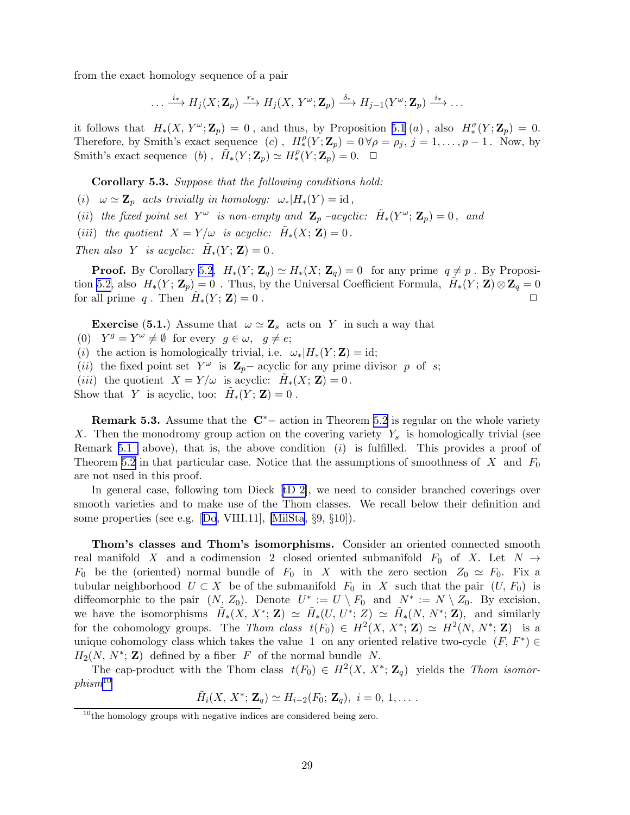<span id="page-28-0"></span>from the exact homology sequence of a pair

$$
\ldots \xrightarrow{i_*} H_j(X; \mathbf{Z}_p) \xrightarrow{r_*} H_j(X, Y^{\omega}; \mathbf{Z}_p) \xrightarrow{\delta_*} H_{j-1}(Y^{\omega}; \mathbf{Z}_p) \xrightarrow{i_*} \ldots
$$

it follows that  $H_*(X, Y^\omega; \mathbb{Z}_p) = 0$ , and thus, by Proposition [5.1](#page-4-0) (a), also  $H_*^{\sigma}(Y; \mathbb{Z}_p) = 0$ . Therefore, by Smith's exact sequence (c),  $H_r^{\rho}(Y; \mathbb{Z}_p) = 0 \,\forall \rho = \rho_j, j = 1, \ldots, p-1$ . Now, by Smith's exact sequence (b),  $\tilde{H}_*(Y; \mathbf{Z}_p) \simeq H^{\rho}_*(Y; \mathbf{Z}_p) = 0. \quad \Box$ 

Corollary 5.3. Suppose that the following conditions hold:

- (i)  $\omega \simeq \mathbf{Z}_p$  acts trivially in homology:  $\omega_*|H_*(Y) = id$ ,
- (ii) the fixed point set  $Y^{\omega}$  is non-empty and  $\mathbf{Z}_p$  -acyclic:  $\tilde{H}_*(Y^{\omega}; \mathbf{Z}_p) = 0$ , and
- (iii) the quotient  $X = Y/\omega$  is acyclic:  $\tilde{H}_*(X; \mathbf{Z}) = 0$ .

Then also Y is acyclic:  $\tilde{H}_*(Y; \mathbf{Z}) = 0$ .

**Proof.** By Corollary [5.2,](#page-5-0)  $H_*(Y; \mathbb{Z}_q) \simeq H_*(X; \mathbb{Z}_q) = 0$  for any prime  $q \neq p$ . By Proposi-tion [5.2,](#page-27-0) also  $H_*(Y; \mathbb{Z}_p) = 0$ . Thus, by the Universal Coefficient Formula,  $\tilde{H}_*(Y; \mathbb{Z}) \otimes \mathbb{Z}_q = 0$ for all prime q. Then  $\tilde{H}_*(Y; \mathbf{Z}) = 0$ .

**Exercise** (5.1.) Assume that  $\omega \simeq \mathbf{Z}_s$  acts on Y in such a way that

- (0)  $Y^g = Y^{\omega} \neq \emptyset$  for every  $g \in \omega, g \neq e;$
- (i) the action is homologically trivial, i.e.  $\omega_*|H_*(Y;\mathbf{Z})=id;$
- (ii) the fixed point set  $Y^{\omega}$  is  $\mathbf{Z}_{p}$  acyclic for any prime divisor p of s;
- (*iii*) the quotient  $X = Y/\omega$  is acyclic:  $\tilde{H}_*(X; \mathbf{Z}) = 0$ .
- Show that Y is acyclic, too:  $\tilde{H}_*(Y; \mathbf{Z}) = 0$ .

**Remark 5.3.** Assume that the  $\mathbb{C}^*$  – action in Theorem [5.2](#page-25-0) is regular on the whole variety X. Then the monodromy group action on the covering variety  $Y_s$  is homologically trivial (see Remark [5.1](#page-4-0) above), that is, the above condition  $(i)$  is fulfilled. This provides a proof of Theorem [5.2](#page-25-0) in that particular case. Notice that the assumptions of smoothness of X and  $F_0$ are not used in this proof.

In general case, following tom Dieck[[tD 2\]](#page-59-0), we need to consider branched coverings over smooth varieties and to make use of the Thom classes. We recall below their definition and some properties (see e.g.[[Do](#page-53-0), VIII.11], [\[MilSta](#page-57-0), §9, §10]).

Thom's classes and Thom's isomorphisms. Consider an oriented connected smooth real manifold X and a codimension 2 closed oriented submanifold  $F_0$  of X. Let  $N \rightarrow$  $F_0$  be the (oriented) normal bundle of  $F_0$  in X with the zero section  $Z_0 \simeq F_0$ . Fix a tubular neighborhood  $U \subset X$  be of the submanifold  $F_0$  in X such that the pair  $(U, F_0)$  is diffeomorphic to the pair  $(N, Z_0)$ . Denote  $U^* := U \setminus F_0$  and  $N^* := N \setminus Z_0$ . By excision, we have the isomorphisms  $\tilde{H}_*(X, X^*; \mathbf{Z}) \simeq \tilde{H}_*(U, U^*; Z) \simeq \tilde{H}_*(N, N^*; \mathbf{Z}),$  and similarly for the cohomology groups. The Thom class  $t(F_0) \in H^2(X, X^*; \mathbb{Z}) \simeq H^2(N, N^*; \mathbb{Z})$  is a unique cohomology class which takes the value 1 on any oriented relative two-cycle  $(F, F^*) \in$  $H_2(N, N^*; \mathbb{Z})$  defined by a fiber F of the normal bundle N.

The cap-product with the Thom class  $t(F_0) \in H^2(X, X^*; \mathbb{Z}_q)$  yields the Thom isomor $phism^{10}$ 

$$
\tilde{H}_i(X, X^*; \mathbf{Z}_q) \simeq H_{i-2}(F_0; \mathbf{Z}_q), i = 0, 1, \ldots
$$

 $10$ <sup>the</sup> homology groups with negative indices are considered being zero.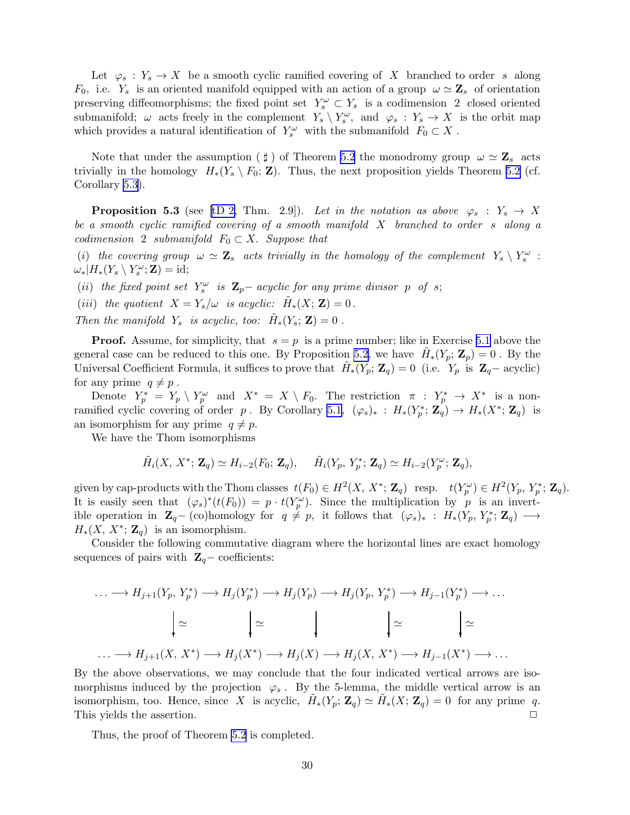Let  $\varphi_s: Y_s \to X$  be a smooth cyclic ramified covering of X branched to order s along  $F_0$ , i.e.  $Y_s$  is an oriented manifold equipped with an action of a group  $\omega \simeq \mathbf{Z}_s$  of orientation preserving diffeomorphisms; the fixed point set  $Y_s^{\omega} \subset Y_s$  is a codimension 2 closed oriented submanifold;  $\omega$  acts freely in the complement  $Y_s \setminus Y_s^{\omega}$ , and  $\varphi_s : Y_s \to X$  is the orbit map which provides a natural identification of  $Y_s^{\omega}$  with the submanifold  $F_0 \subset X$ .

Note that under the assumption ( $\sharp$ ) of Theorem [5.2](#page-25-0) the monodromy group  $\omega \simeq \mathbf{Z}_s$  acts trivially in the homology  $H_*(Y_s \setminus F_0; \mathbf{Z})$ . Thus, the next proposition yields Theorem [5.2](#page-25-0) (cf. Corollary [5.3](#page-28-0)).

**Proposition 5.3** (see [\[tD 2,](#page-59-0) Thm. 2.9]). Let in the notation as above  $\varphi_s : Y_s \to X$ be a smooth cyclic ramified covering of a smooth manifold X branched to order s along a codimension 2 submanifold  $F_0 \subset X$ . Suppose that

(i) the covering group  $\omega \simeq \mathbf{Z}_s$  acts trivially in the homology of the complement  $Y_s \setminus Y_s^{\omega}$ :  $\omega_*|H_*(Y_s \setminus Y_s^{\omega}; \mathbf{Z}) = id;$ 

(ii) the fixed point set  $Y_s^{\omega}$  is  $\mathbf{Z}_p$  – acyclic for any prime divisor p of s;

(iii) the quotient  $X = Y_s/\omega$  is acyclic:  $\tilde{H}_*(X; \mathbf{Z}) = 0$ .

Then the manifold  $Y_s$  is acyclic, too:  $\tilde{H}_*(Y_s; \mathbf{Z}) = 0$ .

**Proof.** Assume, for simplicity, that  $s = p$  is a prime number; like in Exercise [5.1](#page-6-0) above the general case can be reduced to this one. By Proposition [5.2,](#page-27-0) we have  $\tilde{H}_*(Y_p; \mathbf{Z}_p) = 0$ . By the Universal Coefficient Formula, it suffices to prove that  $\tilde{H}_*(Y_p; \mathbf{Z}_q) = 0$  (i.e.  $Y_p$  is  $\mathbf{Z}_q$ – acyclic) for any prime  $q \neq p$ .

Denote  $Y_p^* = Y_p \setminus Y_p^{\omega}$  and  $X^* = X \setminus F_0$ . The restriction  $\pi : Y_p^* \to X^*$  is a non-ramified cyclic covering of order p. By Corollary [5.1](#page-5-0),  $(\varphi_s)_*$  :  $H_*(Y_p^*; \mathbb{Z}_q) \to H_*(X^*; \mathbb{Z}_q)$  is an isomorphism for any prime  $q \neq p$ .

We have the Thom isomorphisms

$$
\tilde{H}_i(X, X^*; \mathbf{Z}_q) \simeq H_{i-2}(F_0; \mathbf{Z}_q), \quad \tilde{H}_i(Y_p, Y_p^*; \mathbf{Z}_q) \simeq H_{i-2}(Y_p^{\omega}; \mathbf{Z}_q),
$$

given by cap-products with the Thom classes  $t(F_0) \in H^2(X, X^*; \mathbb{Z}_q)$  resp.  $t(Y_p^{\omega}) \in H^2(Y_p, Y_p^*; \mathbb{Z}_q)$ . It is easily seen that  $(\varphi_s)^*(t(F_0)) = p \cdot t(Y_p^{\omega})$ . Since the multiplication by p is an invertible operation in  $\mathbf{Z}_q$ - (co)homology for  $q \neq p$ , it follows that  $(\varphi_s)_*$  :  $H_*(Y_p, Y_p^*; \mathbf{Z}_q) \longrightarrow$  $H_*(X, X^*; \mathbb{Z}_q)$  is an isomorphism.

Consider the following commutative diagram where the horizontal lines are exact homology sequences of pairs with  $\mathbf{Z}_q$  – coefficients:

$$
\cdots \longrightarrow H_{j+1}(Y_p, Y_p^*) \longrightarrow H_j(Y_p^*) \longrightarrow H_j(Y_p) \longrightarrow H_j(Y_p, Y_p^*) \longrightarrow H_{j-1}(Y_p^*) \longrightarrow \cdots
$$

$$
\Big| \simeq \Bigg| \simeq \Bigg| \simeq \Bigg| \simeq \Bigg| \simeq \Bigg| \simeq \Bigg| \simeq
$$

$$
\cdots \longrightarrow H_{j+1}(X, X^*) \longrightarrow H_j(X^*) \longrightarrow H_j(X) \longrightarrow H_j(X, X^*) \longrightarrow H_{j-1}(X^*) \longrightarrow \cdots
$$

By the above observations, we may conclude that the four indicated vertical arrows are isomorphisms induced by the projection  $\varphi_s$ . By the 5-lemma, the middle vertical arrow is an isomorphism, too. Hence, since X is acyclic,  $\tilde{H}_*(Y_p; \mathbf{Z}_q) \simeq \tilde{H}_*(X; \mathbf{Z}_q) = 0$  for any prime q. This yields the assertion.  $\Box$ 

Thus, the proof of Theorem [5.2](#page-25-0) is completed.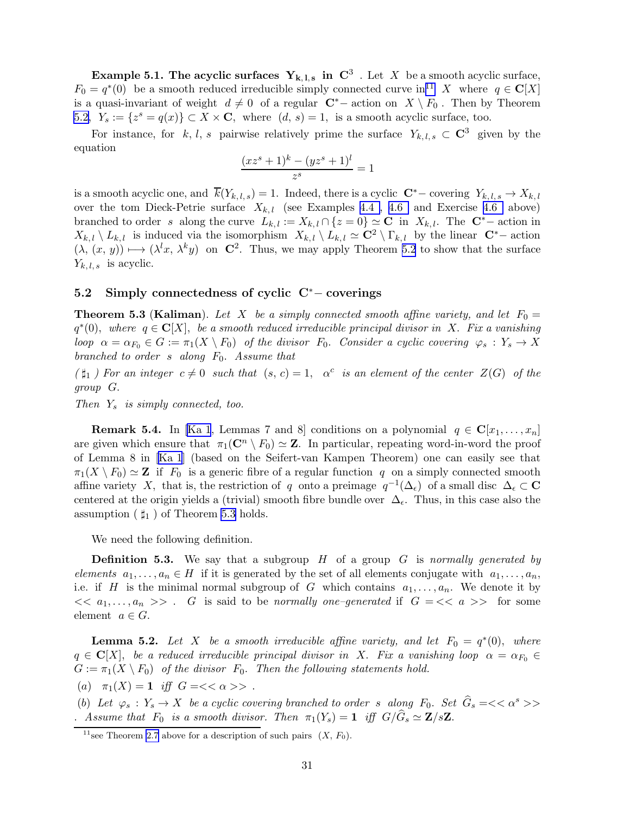<span id="page-30-0"></span>**Example 5.1. The acyclic surfaces**  $Y_{k,1,s}$  **in**  $C^3$  . Let X be a smooth acyclic surface,  $F_0 = q^*(0)$  be a smooth reduced irreducible simply connected curve in <sup>11</sup> X where  $q \in \mathbb{C}[X]$ is a quasi-invariant of weight  $d \neq 0$  of a regular  $\mathbb{C}^*$  action on  $X \setminus F_0$ . Then by Theorem [5.2,](#page-25-0)  $Y_s := \{z^s = q(x)\} \subset X \times \mathbf{C}$ , where  $(d, s) = 1$ , is a smooth acyclic surface, too.

For instance, for k, l, s pairwise relatively prime the surface  $Y_{k,l,s} \subset \mathbb{C}^3$  given by the equation

$$
\frac{(xz^s + 1)^k - (yz^s + 1)^l}{z^s} = 1
$$

is a smooth acyclic one, and  $\overline{k}(Y_{k,l,s}) = 1$ . Indeed, there is a cyclic  $\mathbb{C}^*$ – covering  $Y_{k,l,s} \to X_{k,l}$ over the tom Dieck-Petrie surface  $X_{k,l}$  (see Examples [4.4](#page-12-0), [4.6](#page-23-0) and Exercise 4.6 above) branched to order s along the curve  $L_{k,l} := X_{k,l} \cap \{z = 0\} \simeq \mathbf{C}$  in  $X_{k,l}$ . The  $\mathbf{C}^*$ - action in  $X_{k,l} \setminus L_{k,l}$  is induced via the isomorphism  $X_{k,l} \setminus L_{k,l} \simeq \mathbb{C}^2 \setminus \Gamma_{k,l}$  by the linear  $\mathbb{C}^*$  action  $(\lambda, (x, y)) \mapsto (\lambda^l x, \lambda^k y)$  on  $\mathbb{C}^2$ . Thus, we may apply Theorem [5.2](#page-25-0) to show that the surface  $Y_{k,l,s}$  is acyclic.

#### 5.2 Simply connectedness of cyclic C<sup>∗</sup>− coverings

**Theorem 5.3 (Kaliman).** Let X be a simply connected smooth affine variety, and let  $F_0 =$  $q^*(0)$ , where  $q \in \mathbb{C}[X]$ , be a smooth reduced irreducible principal divisor in X. Fix a vanishing loop  $\alpha = \alpha_{F_0} \in G := \pi_1(X \setminus F_0)$  of the divisor  $F_0$ . Consider a cyclic covering  $\varphi_s : Y_s \to X$ branched to order s along  $F_0$ . Assume that

 $(\sharp_1)$  For an integer  $c \neq 0$  such that  $(s, c) = 1$ ,  $\alpha^c$  is an element of the center  $Z(G)$  of the group G.

Then  $Y_s$  is simply connected, too.

**Remark 5.4.** In [\[Ka 1](#page-55-0), Lemmas 7 and 8] conditions on a polynomial  $q \in \mathbb{C}[x_1, \ldots, x_n]$ are given which ensure that  $\pi_1(\mathbb{C}^n \setminus F_0) \simeq \mathbb{Z}$ . In particular, repeating word-in-word the proof of Lemma 8 in [\[Ka 1](#page-55-0)] (based on the Seifert-van Kampen Theorem) one can easily see that  $\pi_1(X \setminus F_0) \simeq \mathbf{Z}$  if  $F_0$  is a generic fibre of a regular function q on a simply connected smooth affine variety X, that is, the restriction of q onto a preimage  $q^{-1}(\Delta_{\epsilon})$  of a small disc  $\Delta_{\epsilon} \subset \mathbf{C}$ centered at the origin yields a (trivial) smooth fibre bundle over  $\Delta_{\epsilon}$ . Thus, in this case also the assumption ( $\sharp_1$ ) of Theorem 5.3 holds.

We need the following definition.

**Definition 5.3.** We say that a subgroup  $H$  of a group  $G$  is normally generated by elements  $a_1, \ldots, a_n \in H$  if it is generated by the set of all elements conjugate with  $a_1, \ldots, a_n$ , i.e. if H is the minimal normal subgroup of G which contains  $a_1, \ldots, a_n$ . We denote it by  $<< a_1, \ldots, a_n >>$ . G is said to be normally one-generated if  $G = << a >>$  for some element  $a \in G$ .

**Lemma 5.2.** Let X be a smooth irreducible affine variety, and let  $F_0 = q^*(0)$ , where  $q \in \mathbf{C}[X]$ , be a reduced irreducible principal divisor in X. Fix a vanishing loop  $\alpha = \alpha_{F_0} \in$  $G := \pi_1(X \setminus F_0)$  of the divisor  $F_0$ . Then the following statements hold.

(a)  $\pi_1(X) = 1$  iff  $G = \langle \alpha \rangle$ .

(b) Let  $\varphi_s : Y_s \to X$  be a cyclic covering branched to order s along  $F_0$ . Set  $\hat{G}_s = \langle \langle \alpha^s \rangle \rangle$ . Assume that  $F_0$  is a smooth divisor. Then  $\pi_1(Y_s) = 1$  iff  $G/G_s \simeq \mathbf{Z}/s\mathbf{Z}$ .

<sup>&</sup>lt;sup>11</sup> see Theorem [2.7](#page-12-0) above for a description of such pairs  $(X, F_0)$ .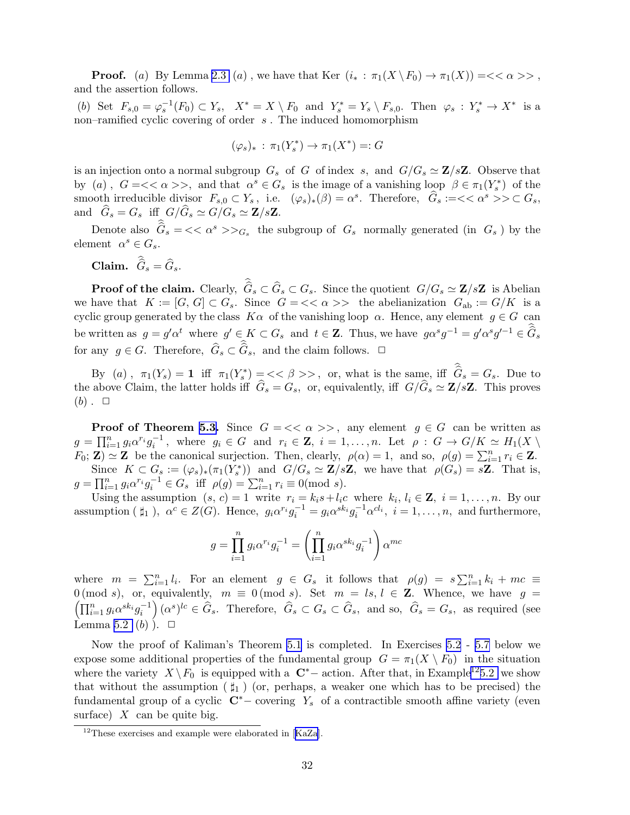**Proof.** (a) By Lemma [2.3](#page-8-0) (a), we have that Ker  $(i_* : \pi_1(X \setminus F_0) \to \pi_1(X)) = \langle \langle \alpha \rangle \rangle$ , and the assertion follows.

(b) Set  $F_{s,0} = \varphi_s^{-1}(F_0) \subset Y_s$ ,  $X^* = X \setminus F_0$  and  $Y_s^* = Y_s \setminus F_{s,0}$ . Then  $\varphi_s : Y_s^* \to X^*$  is a non–ramified cyclic covering of order  $s$ . The induced homomorphism

$$
(\varphi_s)_* : \pi_1(Y_s^*) \to \pi_1(X^*) =: G
$$

is an injection onto a normal subgroup  $G_s$  of G of index s, and  $G/G_s \simeq \mathbb{Z}/s\mathbb{Z}$ . Observe that by (a),  $G = \langle \langle \alpha \rangle \rangle$ , and that  $\alpha^{s} \in G_s$  is the image of a vanishing loop  $\beta \in \pi_1(Y_s^*)$  of the smooth irreducible divisor  $F_{s,0} \subset Y_s$ , i.e.  $(\varphi_s)_*(\beta) = \alpha^s$ . Therefore,  $\hat{G}_s := \langle \langle \alpha^s \rangle \rangle \subset G_s$ , and  $G_s = G_s$  iff  $G/G_s \simeq G/G_s \simeq \mathbf{Z}/s\mathbf{Z}$ .

Denote also  $\hat{G}_s = \langle \langle \alpha^s \rangle \rangle_{G_s}$  the subgroup of  $G_s$  normally generated (in  $G_s$ ) by the element  $\alpha^s \in G_s$ .

Claim.  $G_s = G_s$ .

**Proof of the claim.** Clearly,  $G_s \subset G_s \subset G_s$ . Since the quotient  $G/G_s \simeq \mathbf{Z}/s\mathbf{Z}$  is Abelian we have that  $K := [G, G] \subset G_s$ . Since  $G = \langle \langle \alpha \rangle \rangle$  the abelianization  $G_{ab} := G/K$  is a cyclic group generated by the class  $K\alpha$  of the vanishing loop  $\alpha$ . Hence, any element  $g \in G$  can be written as  $g = g' \alpha^t$  where  $g' \in K \subset G_s$  and  $t \in \mathbb{Z}$ . Thus, we have  $g \alpha^s g^{-1} = g' \alpha^s g'^{-1} \in \widehat{G}_s$ for any  $g \in G$ . Therefore,  $\widehat{G}_s \subset \widehat{G}_s$ , and the claim follows.  $\Box$ 

By (a),  $\pi_1(Y_s) = 1$  iff  $\pi_1(Y_s^*) = \langle \langle \beta \rangle \rangle$ , or, what is the same, iff  $\hat{G}_s = G_s$ . Due to the above Claim, the latter holds iff  $G_s = G_s$ , or, equivalently, iff  $G/G_s \simeq \mathbf{Z}/s\mathbf{Z}$ . This proves  $(b)$ .  $\Box$ 

**Proof of Theorem [5.3.](#page-30-0)** Since  $G = \langle \langle \alpha \rangle \rangle$ , any element  $g \in G$  can be written as  $g = \prod_{i=1}^n g_i \alpha^{r_i} g_i^{-1}$ , where  $g_i \in G$  and  $r_i \in \mathbb{Z}$ ,  $i = 1, ..., n$ . Let  $\rho : G \to G/K \simeq H_1(X \setminus G)$  $F_0$ ; **Z**)  $\simeq$  **Z** be the canonical surjection. Then, clearly,  $\rho(\alpha) = 1$ , and so,  $\rho(g) = \sum_{i=1}^n r_i \in \mathbf{Z}$ . Since  $K \subset G_s := (\varphi_s)_*(\pi_1(Y_s^*))$  and  $G/G_s \simeq \mathbf{Z}/s\mathbf{Z}$ , we have that  $\rho(G_s) = s\mathbf{Z}$ . That is,  $g = \prod_{i=1}^{n} g_i \alpha^{r_i} g_i^{-1} \in G_s$  iff  $\rho(g) = \sum_{i=1}^{n} r_i \equiv 0 \pmod{s}$ .

Using the assumption  $(s, c) = 1$  write  $r_i = k_i s + l_i c$  where  $k_i, l_i \in \mathbb{Z}$ ,  $i = 1, ..., n$ . By our assumption ( $\sharp_1$ ),  $\alpha^c \in Z(G)$ . Hence,  $g_i \alpha^{r_i} g_i^{-1} = g_i \alpha^{sk_i} g_i^{-1} \alpha^{cl_i}$ ,  $i = 1, ..., n$ , and furthermore,

$$
g = \prod_{i=1}^{n} g_i \alpha^{r_i} g_i^{-1} = \left(\prod_{i=1}^{n} g_i \alpha^{s k_i} g_i^{-1}\right) \alpha^{m c}
$$

where  $m = \sum_{i=1}^n l_i$ . For an element  $g \in G_s$  it follows that  $\rho(g) = s \sum_{i=1}^n k_i + mc \equiv$  $\left(\prod_{i=1}^n g_i\alpha^{sk_i}g_i^{-1}\right)$ 0 (mod s), or, equivalently,  $m \equiv 0 \pmod{s}$ . Set  $m = ls, l \in \mathbb{Z}$ . Whence, we have  $g =$  $(\hat{G}_s)^{lc} \in \hat{G}_s$ . Therefore,  $\hat{G}_s \subset G_s \subset \hat{G}_s$ , and so,  $\hat{G}_s = G_s$ , as required (see Lemma [5.2](#page-8-0)  $(b)$ ).  $\Box$ 

Now the proof of Kaliman's Theorem [5.1](#page-25-0) is completed. In Exercises [5.2](#page-7-0) - [5.7](#page-32-0) below we expose some additional properties of the fundamental group  $G = \pi_1(X \setminus F_0)$  in the situation where the variety  $X \backslash F_0$  is equipped with a  $\mathbb{C}^*$  action. After that, in Example<sup>12</sup>[5.2](#page-6-0) we show that without the assumption  $(\sharp_1)$  (or, perhaps, a weaker one which has to be precised) the fundamental group of a cyclic  $\mathbb{C}^*$  – covering Y<sub>s</sub> of a contractible smooth affine variety (even surface)  $X$  can be quite big.

<sup>&</sup>lt;sup>12</sup>Theseexercises and example were elaborated in [[KaZa](#page-55-0)].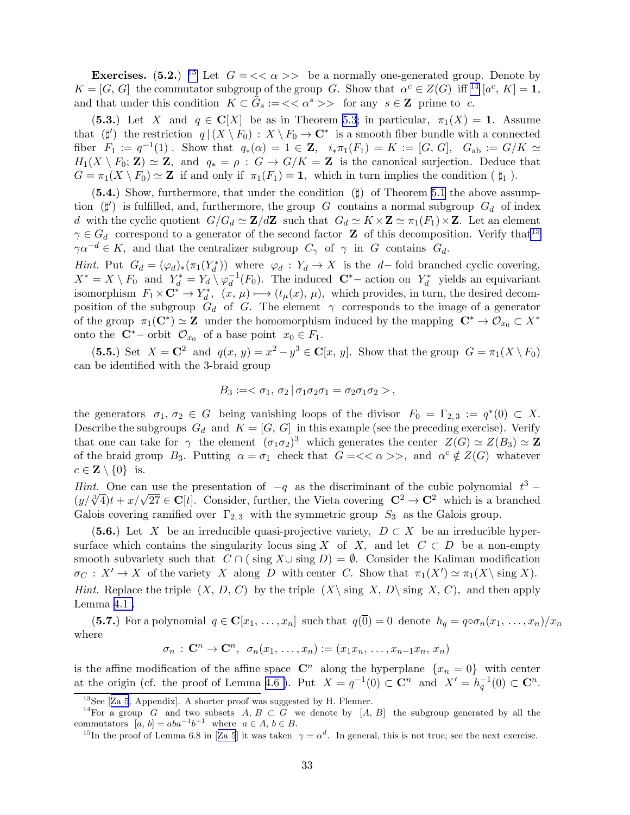<span id="page-32-0"></span>**Exercises.** (5.2.) <sup>13</sup> Let  $G = \langle \langle \alpha \rangle \rangle$  be a normally one-generated group. Denote by  $K = [G, G]$  the commutator subgroup of the group G. Show that  $\alpha^c \in Z(G)$  iff <sup>14</sup>  $[a^c, K] = 1$ , and that under this condition  $K \subset \hat{G}_s := \langle \langle \alpha^s \rangle \rangle$  for any  $s \in \mathbb{Z}$  prime to c.

(5.3.) Let X and  $q \in \mathbb{C}[X]$  be as in Theorem [5.3;](#page-30-0) in particular,  $\pi_1(X) = 1$ . Assume that  $(\sharp')$  the restriction  $q|(X \setminus F_0) : X \setminus F_0 \to \mathbb{C}^*$  is a smooth fiber bundle with a connected fiber  $F_1 := q^{-1}(1)$ . Show that  $q_*(\alpha) = 1 \in \mathbb{Z}$ ,  $i_* \pi_1(F_1) = K := [G, G]$ ,  $G_{ab} := G/K \simeq$  $H_1(X \setminus F_0; \mathbf{Z}) \simeq \mathbf{Z}$ , and  $q_* = \rho : G \to G/K = \mathbf{Z}$  is the canonical surjection. Deduce that  $G = \pi_1(X \setminus F_0) \simeq \mathbb{Z}$  if and only if  $\pi_1(F_1) = \mathbb{1}$ , which in turn implies the condition ( $\sharp_1$ ).

(5.4.) Show, furthermore, that under the condition  $(\sharp)$  of Theorem [5.1](#page-25-0) the above assumption  $(\sharp')$  is fulfilled, and, furthermore, the group G contains a normal subgroup  $G_d$  of index d with the cyclic quotient  $G/G_d \simeq \mathbf{Z}/d\mathbf{Z}$  such that  $G_d \simeq K \times \mathbf{Z} \simeq \pi_1(F_1) \times \mathbf{Z}$ . Let an element  $\gamma \in G_d$  correspond to a generator of the second factor **Z** of this decomposition. Verify that<sup>15</sup>  $\gamma \alpha^{-d} \in K$ , and that the centralizer subgroup  $C_{\gamma}$  of  $\gamma$  in G contains  $G_d$ .

*Hint.* Put  $G_d = (\varphi_d)_*(\pi_1(Y_d^*))$  where  $\varphi_d : Y_d \to X$  is the d–fold branched cyclic covering,  $X^* = X \setminus F_0$  and  $Y_d^* = Y_d \setminus \varphi_d^{-1}(F_0)$ . The induced  $\mathbb{C}^*$  action on  $Y_d^*$  yields an equivariant isomorphism  $F_1 \times \mathbb{C}^* \to Y_d^*$ ,  $(x, \mu) \mapsto (t_\mu(x), \mu)$ , which provides, in turn, the desired decomposition of the subgroup  $G_d$  of G. The element  $\gamma$  corresponds to the image of a generator of the group  $\pi_1(\mathbf{C}^*) \simeq \mathbf{Z}$  under the homomorphism induced by the mapping  $\mathbf{C}^* \to \mathcal{O}_{x_0} \subset X^*$ onto the  $\mathbf{C}^*$  – orbit  $\mathcal{O}_{x_0}$  of a base point  $x_0 \in F_1$ .

(5.5.) Set  $X = \mathbb{C}^2$  and  $q(x, y) = x^2 - y^3 \in \mathbb{C}[x, y]$ . Show that the group  $G = \pi_1(X \setminus F_0)$ can be identified with the 3-braid group

$$
B_3 := <\sigma_1, \sigma_2 | \sigma_1 \sigma_2 \sigma_1 = \sigma_2 \sigma_1 \sigma_2 >
$$

the generators  $\sigma_1, \sigma_2 \in G$  being vanishing loops of the divisor  $F_0 = \Gamma_{2,3} := q^*(0) \subset X$ . Describe the subgroups  $G_d$  and  $K = [G, G]$  in this example (see the preceding exercise). Verify that one can take for  $\gamma$  the element  $(\sigma_1 \sigma_2)^3$  which generates the center  $Z(G) \simeq Z(B_3) \simeq Z$ of the braid group  $B_3$ . Putting  $\alpha = \sigma_1$  check that  $G = \langle \alpha \rangle$ , and  $\alpha^c \notin Z(G)$  whatever  $c \in \mathbf{Z} \setminus \{0\}$  is.

Hint. One can use the presentation of  $-q$  as the discriminant of the cubic polynomial  $t^3$  –  $(y/\sqrt[3]{4})t + x/\sqrt{27} \in \mathbb{C}[t]$ . Consider, further, the Vieta covering  $\mathbb{C}^2 \to \mathbb{C}^2$  which is a branched Galois covering ramified over  $\Gamma_{2,3}$  with the symmetric group  $S_3$  as the Galois group.

(5.6.) Let X be an irreducible quasi-projective variety,  $D \subset X$  be an irreducible hypersurface which contains the singularity locus sing X of X, and let  $C \subset D$  be a non-empty smooth subvariety such that  $C \cap (\text{sing } X \cup \text{sing } D) = \emptyset$ . Consider the Kaliman modification  $\sigma_C: X' \to X$  of the variety X along D with center C. Show that  $\pi_1(X') \simeq \pi_1(X \setminus \text{sing } X)$ . *Hint.* Replace the triple  $(X, D, C)$  by the triple  $(X\setminus \text{sing } X, D\setminus \text{sing } X, C)$ , and then apply Lemma [4.1 .](#page-3-0)

(5.7.) For a polynomial  $q \in \mathbb{C}[x_1, \ldots, x_n]$  such that  $q(\overline{0}) = 0$  denote  $h_q = q \circ \sigma_n(x_1, \ldots, x_n)/x_n$ where

$$
\sigma_n \,:\, \mathbf{C}^n \to \mathbf{C}^n, \ \sigma_n(x_1, \ldots, x_n) := (x_1 x_n, \ldots, x_{n-1} x_n, \, x_n)
$$

is the affine modification of the affine space  $\mathbb{C}^n$  along the hyperplane  $\{x_n = 0\}$  with center at the origin (cf. the proof of Lemma 4.6). Put  $X = q^{-1}(0) \subset \mathbb{C}^n$  and  $X' = h_q^{-1}(0) \subset \mathbb{C}^n$ .

 $13$ See[[Za 5](#page-59-0), Appendix]. A shorter proof was suggested by H. Flenner.

<sup>&</sup>lt;sup>14</sup>For a group G and two subsets  $A, B \subset G$  we denote by  $[A, B]$  the subgroup generated by all the commutators  $[a, b] = aba^{-1}b^{-1}$  where  $a \in A, b \in B$ .

<sup>&</sup>lt;sup>15</sup>Inthe proof of Lemma 6.8 in [[Za 5](#page-59-0)] it was taken  $\gamma = \alpha^d$ . In general, this is not true; see the next exercise.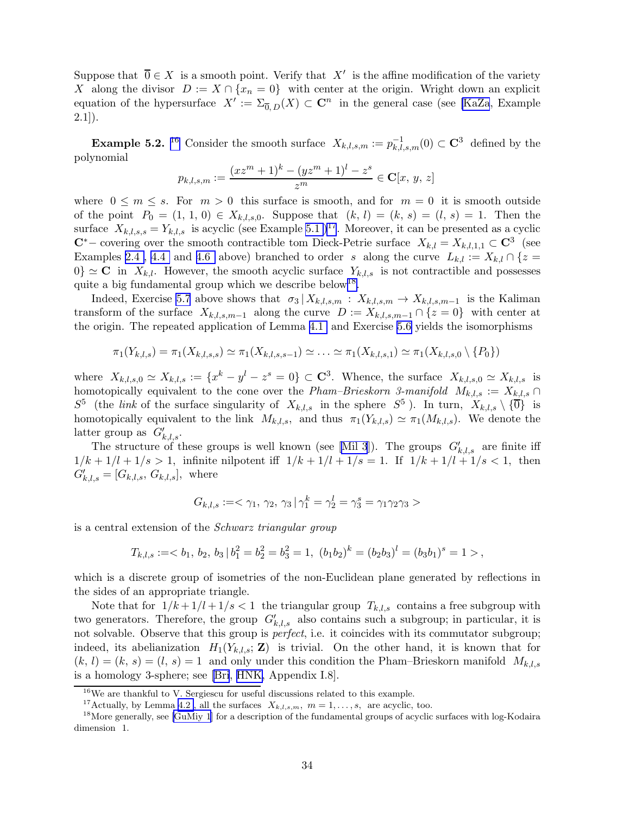Suppose that  $\overline{0} \in X$  is a smooth point. Verify that  $X'$  is the affine modification of the variety X along the divisor  $D := X \cap \{x_n = 0\}$  with center at the origin. Wright down an explicit equation of the hypersurface  $X' := \Sigma_{\overline{0},D}(X) \subset \mathbb{C}^n$  in the general case (see [\[KaZa](#page-55-0), Example  $2.1$ ]).

**Example 5.2.** <sup>16</sup> Consider the smooth surface  $X_{k,l,s,m} := p_{k,l,s,m}^{-1}(0) \subset \mathbb{C}^3$  defined by the polynomial

$$
p_{k,l,s,m} := \frac{(xz^m + 1)^k - (yz^m + 1)^l - z^s}{z^m} \in \mathbf{C}[x, y, z]
$$

where  $0 \le m \le s$ . For  $m > 0$  this surface is smooth, and for  $m = 0$  it is smooth outside of the point  $P_0 = (1, 1, 0) \in X_{k,l,s,0}$ . Suppose that  $(k, l) = (k, s) = (l, s) = 1$ . Then the surface  $X_{k,l,s,s} = Y_{k,l,s}$  is acyclic (see Example [5.1](#page-6-0) )<sup>17</sup>. Moreover, it can be presented as a cyclic  $\mathbb{C}^*$ – covering over the smooth contractible tom Dieck-Petrie surface  $X_{k,l} = X_{k,l,1,1} \subset \mathbb{C}^3$  (see Examples 2.4, 4.4 and [4.6](#page-23-0) above) branched to order s along the curve  $L_{k,l} := X_{k,l} \cap \{z =$  $0$ }  $\simeq$  C in  $X_{k,l}$ . However, the smooth acyclic surface  $Y_{k,l,s}$  is not contractible and possesses quite a big fundamental group which we describe below<sup>18</sup>.

Indeed, Exercise [5.7](#page-32-0) above shows that  $\sigma_3 | X_{k,l,s,m} : X_{k,l,s,m} \to X_{k,l,s,m-1}$  is the Kaliman transform of the surface  $X_{k,l,s,m-1}$  along the curve  $D := X_{k,l,s,m-1} \cap \{z=0\}$  with center at the origin. The repeated application of Lemma [4.1](#page-3-0) and Exercise [5.6](#page-10-0) yields the isomorphisms

$$
\pi_1(Y_{k,l,s}) = \pi_1(X_{k,l,s,s}) \simeq \pi_1(X_{k,l,s,s-1}) \simeq \ldots \simeq \pi_1(X_{k,l,s,1}) \simeq \pi_1(X_{k,l,s,0} \setminus \{P_0\})
$$

where  $X_{k,l,s,0} \simeq X_{k,l,s} := \{x^k - y^l - z^s = 0\} \subset \mathbb{C}^3$ . Whence, the surface  $X_{k,l,s,0} \simeq X_{k,l,s}$  is homotopically equivalent to the cone over the Pham–Brieskorn 3-manifold  $M_{k,l,s} := X_{k,l,s} \cap$  $S^5$  (the *link* of the surface singularity of  $X_{k,l,s}$  in the sphere  $S^5$ ). In turn,  $X_{k,l,s} \setminus {\overline{0}}$  is homotopically equivalent to the link  $M_{k,l,s}$ , and thus  $\pi_1(Y_{k,l,s}) \simeq \pi_1(M_{k,l,s})$ . We denote the latter group as  $G'_{k,l,s}$ .

The structure of these groups is well known (see [\[Mil 3](#page-57-0)]). The groups  $G'_{k,l,s}$  are finite iff  $1/k + 1/l + 1/s > 1$ , infinite nilpotent iff  $1/k + 1/l + 1/s = 1$ . If  $1/k + 1/l + 1/s < 1$ , then  $G'_{k,l,s} = [G_{k,l,s}, G_{k,l,s}],$  where

$$
G_{k,l,s} := <\gamma_1, \, \gamma_2, \, \gamma_3 \, | \, \gamma_1^k = \gamma_2^l = \gamma_3^s = \gamma_1 \gamma_2 \gamma_3 >
$$

is a central extension of the Schwarz triangular group

$$
T_{k,l,s} := \langle b_1, b_2, b_3 | b_1^2 = b_2^2 = b_3^2 = 1, (b_1b_2)^k = (b_2b_3)^l = (b_3b_1)^s = 1 \rangle,
$$

which is a discrete group of isometries of the non-Euclidean plane generated by reflections in the sides of an appropriate triangle.

Note that for  $1/k + 1/l + 1/s < 1$  the triangular group  $T_{k,l,s}$  contains a free subgroup with two generators. Therefore, the group  $G'_{k,l,s}$  also contains such a subgroup; in particular, it is not solvable. Observe that this group is perfect, i.e. it coincides with its commutator subgroup; indeed, its abelianization  $H_1(Y_{k,l,s}; \mathbf{Z})$  is trivial. On the other hand, it is known that for  $(k, l) = (k, s) = (l, s) = 1$  and only under this condition the Pham–Brieskorn manifold  $M_{k,l,s}$ is a homology 3-sphere; see [\[Bri](#page-53-0), [HNK,](#page-54-0) Appendix I.8].

<sup>16</sup>We are thankful to V. Sergiescu for useful discussions related to this example.

<sup>&</sup>lt;sup>17</sup>Actually, by Lemma [4.2](#page-8-0), all the surfaces  $X_{k,l,s,m}$ ,  $m = 1, \ldots, s$ , are acyclic, too.

<sup>&</sup>lt;sup>18</sup>More generally, see [\[GuMiy 1](#page-54-0)] for a description of the fundamental groups of acyclic surfaces with log-Kodaira dimension 1.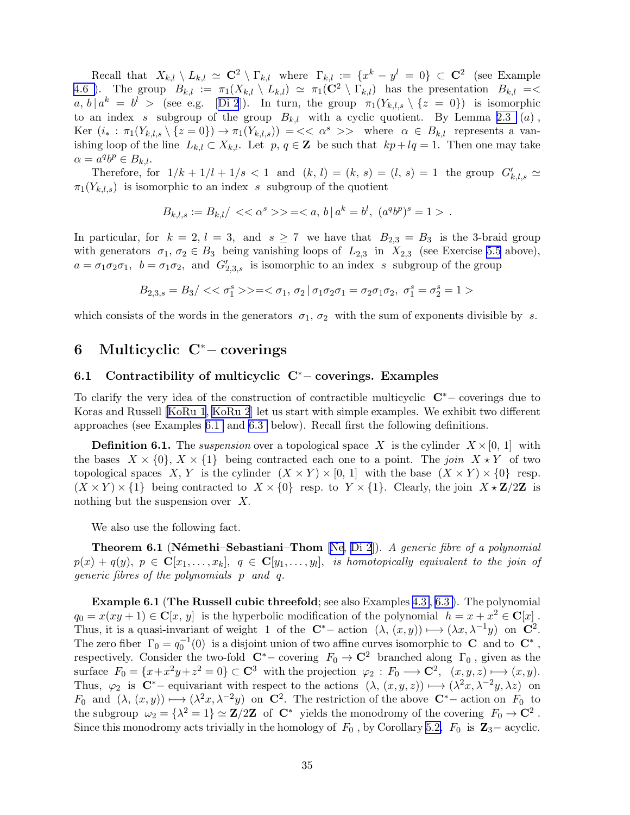<span id="page-34-0"></span>Recall that  $X_{k,l} \setminus L_{k,l} \simeq \mathbf{C}^2 \setminus \Gamma_{k,l}$  where  $\Gamma_{k,l} := \{x^k - y^l = 0\} \subset \mathbf{C}^2$  (see Example [4.6 \)](#page-23-0). The group  $B_{k,l} := \pi_1(X_{k,l} \setminus L_{k,l}) \simeq \pi_1(\mathbb{C}^2 \setminus \Gamma_{k,l})$  has the presentation  $B_{k,l} = \langle \Gamma \rangle$  $a, b \mid a^k = b^l >$  (see e.g. [\[Di 2](#page-53-0)]). In turn, the group  $\pi_1(Y_{k,l,s} \setminus \{z = 0\})$  is isomorphic to an index s subgroup of the group  $B_{k,l}$  with a cyclic quotient. By Lemma [2.3](#page-8-0) (a), Ker  $(i_* : \pi_1(Y_{k,l,s} \setminus \{z=0\}) \to \pi_1(Y_{k,l,s}) = \{ < \alpha^s > > \text{ where } \alpha \in B_{k,l} \text{ represents a van-} \}$ ishing loop of the line  $L_{k,l} \subset X_{k,l}$ . Let  $p, q \in \mathbb{Z}$  be such that  $kp + lq = 1$ . Then one may take  $\alpha = a^q b^p \in B_{k,l}.$ 

Therefore, for  $1/k + 1/l + 1/s < 1$  and  $(k, l) = (k, s) = (l, s) = 1$  the group  $G'_{k,l,s} \simeq$  $\pi_1(Y_{k,l,s})$  is isomorphic to an index s subgroup of the quotient

$$
B_{k,l,s} := B_{k,l}/ \langle \langle \alpha^s \rangle \rangle = \langle a, b | a^k = b^l, (a^q b^p)^s = 1 \rangle.
$$

In particular, for  $k = 2$ ,  $l = 3$ , and  $s \ge 7$  we have that  $B_{2,3} = B_3$  is the 3-braid group with generators  $\sigma_1, \sigma_2 \in B_3$  being vanishing loops of  $L_{2,3}$  in  $X_{2,3}$  (see Exercise [5.5](#page-10-0) above),  $a = \sigma_1 \sigma_2 \sigma_1$ ,  $b = \sigma_1 \sigma_2$ , and  $G'_{2,3,s}$  is isomorphic to an index s subgroup of the group

$$
B_{2,3,s} = B_3/<<\sigma_1^s>> = <\sigma_1,\,\sigma_2\,|\,\sigma_1\sigma_2\sigma_1=\sigma_2\sigma_1\sigma_2,\,\,\sigma_1^s=\sigma_2^s=1>
$$

which consists of the words in the generators  $\sigma_1$ ,  $\sigma_2$  with the sum of exponents divisible by s.

# 6 Multicyclic C<sup>∗</sup>− coverings

#### 6.1 Contractibility of multicyclic C<sup>∗</sup>− coverings. Examples

To clarify the very idea of the construction of contractible multicyclic <sup>C</sup>∗<sup>−</sup> coverings due to Koras and Russell [\[KoRu 1](#page-56-0), [KoRu 2](#page-56-0)] let us start with simple examples. We exhibit two different approaches (see Examples [6.1](#page-6-0) and [6.3](#page-7-0) below). Recall first the following definitions.

**Definition 6.1.** The suspension over a topological space X is the cylinder  $X \times [0, 1]$  with the bases  $X \times \{0\}$ ,  $X \times \{1\}$  being contracted each one to a point. The join  $X \times Y$  of two topological spaces X, Y is the cylinder  $(X \times Y) \times [0, 1]$  with the base  $(X \times Y) \times \{0\}$  resp.  $(X \times Y) \times \{1\}$  being contracted to  $X \times \{0\}$  resp. to  $Y \times \{1\}$ . Clearly, the join  $X \times \mathbb{Z}/2\mathbb{Z}$  is nothing but the suspension over X.

We also use the following fact.

**Theorem 6.1 (Némethi–Sebastiani–Thom** [\[Ne](#page-57-0), [Di 2](#page-53-0)]). A generic fibre of a polynomial  $p(x) + q(y), p \in \mathbf{C}[x_1, \ldots, x_k], q \in \mathbf{C}[y_1, \ldots, y_l],$  is homotopically equivalent to the join of generic fibres of the polynomials p and q.

Example 6.1 (The Russell cubic threefold; see also Examples [4.3](#page-7-0) , [6.3 \)](#page-7-0). The polynomial  $q_0 = x(xy+1) \in \mathbf{C}[x, y]$  is the hyperbolic modification of the polynomial  $h = x + x^2 \in \mathbf{C}[x]$ . Thus, it is a quasi-invariant of weight 1 of the  $\mathbb{C}^*$  – action  $(\lambda, (x, y)) \mapsto (\lambda x, \lambda^{-1}y)$  on  $\mathbb{C}^2$ . The zero fiber  $\Gamma_0 = q_0^{-1}(0)$  is a disjoint union of two affine curves isomorphic to **C** and to **C**<sup>\*</sup>, respectively. Consider the two-fold  $\mathbb{C}^*$  – covering  $F_0 \to \mathbb{C}^2$  branched along  $\Gamma_0$ , given as the surface  $F_0 = \{x + x^2y + z^2 = 0\} \subset \mathbb{C}^3$  with the projection  $\varphi_2 : F_0 \longrightarrow \mathbb{C}^2$ ,  $(x, y, z) \longmapsto (x, y)$ . Thus,  $\varphi_2$  is  $C^*$  – equivariant with respect to the actions  $(\lambda, (x, y, z)) \mapsto (\lambda^2 x, \lambda^{-2} y, \lambda z)$  on  $F_0$  and  $(\lambda, (x, y)) \mapsto (\lambda^2 x, \lambda^{-2} y)$  on  $\mathbb{C}^2$ . The restriction of the above  $\mathbb{C}^*$  action on  $F_0$  to the subgroup  $\omega_2 = {\lambda^2 = 1} \simeq \mathbf{Z}/2\mathbf{Z}$  of  $\mathbf{C}^*$  yields the monodromy of the covering  $F_0 \to \mathbf{C}^2$ . Since this monodromy acts trivially in the homology of  $F_0$ , by Corollary [5.2,](#page-5-0)  $F_0$  is  $\mathbb{Z}_3$ – acyclic.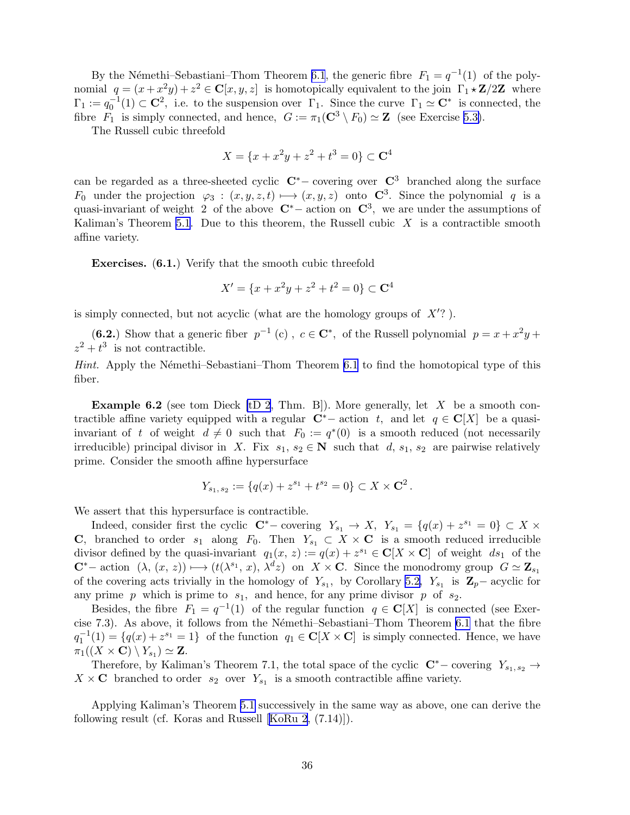By the Némethi–Sebastiani–Thom Theorem [6.1](#page-34-0), the generic fibre  $F_1 = q^{-1}(1)$  of the polynomial  $q = (x + x^2y) + z^2 \in \mathbb{C}[x, y, z]$  is homotopically equivalent to the join  $\Gamma_1 \star \mathbb{Z}/2\mathbb{Z}$  where  $\Gamma_1 := q_0^{-1}(1) \subset \mathbb{C}^2$ , i.e. to the suspension over  $\Gamma_1$ . Since the curve  $\Gamma_1 \simeq \mathbb{C}^*$  is connected, the fibre  $F_1$  is simply connected, and hence,  $G := \pi_1(\mathbf{C}^3 \setminus F_0) \simeq \mathbf{Z}$  (see Exercise [5.3\)](#page-9-0).

The Russell cubic threefold

$$
X = \{x + x^2y + z^2 + t^3 = 0\} \subset \mathbf{C}^4
$$

can be regarded as a three-sheeted cyclic  $\mathbb{C}^*$  – covering over  $\mathbb{C}^3$  branched along the surface  $F_0$  under the projection  $\varphi_3 : (x, y, z, t) \longmapsto (x, y, z)$  onto  $\mathbb{C}^3$ . Since the polynomial q is a quasi-invariant of weight 2 of the above  $\mathbb{C}^*$  – action on  $\mathbb{C}^3$ , we are under the assumptions of Kaliman's Theorem [5.1](#page-25-0). Due to this theorem, the Russell cubic  $X$  is a contractible smooth affine variety.

Exercises. (6.1.) Verify that the smooth cubic threefold

$$
X' = \{x + x^2y + z^2 + t^2 = 0\} \subset \mathbf{C}^4
$$

is simply connected, but not acyclic (what are the homology groups of  $X'$ ?).

(6.2.) Show that a generic fiber  $p^{-1}(c)$ ,  $c \in \mathbb{C}^*$ , of the Russell polynomial  $p = x + x^2y +$  $z^2 + t^3$  is not contractible.

Hint. Apply the Némethi–Sebastiani–Thom Theorem [6.1](#page-34-0) to find the homotopical type of this fiber.

**Example 6.2** (see tom Dieck [\[tD 2](#page-59-0), Thm. B]). More generally, let  $X$  be a smooth contractible affine variety equipped with a regular  $\mathbf{C}^*$ − action t, and let  $q \in \mathbf{C}[X]$  be a quasiinvariant of t of weight  $d \neq 0$  such that  $F_0 := q^*(0)$  is a smooth reduced (not necessarily irreducible) principal divisor in X. Fix  $s_1, s_2 \in \mathbb{N}$  such that d,  $s_1, s_2$  are pairwise relatively prime. Consider the smooth affine hypersurface

$$
Y_{s_1, s_2} := \{ q(x) + z^{s_1} + t^{s_2} = 0 \} \subset X \times \mathbf{C}^2.
$$

We assert that this hypersurface is contractible.

Indeed, consider first the cyclic  $\mathbb{C}^*$  – covering  $Y_{s_1} \to X$ ,  $Y_{s_1} = \{q(x) + z^{s_1} = 0\} \subset X$  × C, branched to order  $s_1$  along  $F_0$ . Then  $Y_{s_1} \subset X \times \mathbf{C}$  is a smooth reduced irreducible divisor defined by the quasi-invariant  $q_1(x, z) := q(x) + z^{s_1} \in \mathbb{C}[X \times \mathbb{C}]$  of weight  $ds_1$  of the  $\mathbf{C}^*$ − action  $(\lambda, (x, z)) \longmapsto (t(\lambda^{s_1}, x), \lambda^d z)$  on  $X \times \mathbf{C}$ . Since the monodromy group  $G \simeq \mathbf{Z}_{s_1}$ of the covering acts trivially in the homology of  $Y_{s_1}$ , by Corollary [5.2,](#page-5-0)  $Y_{s_1}$  is  $\mathbb{Z}_p$  – acyclic for any prime p which is prime to  $s_1$ , and hence, for any prime divisor p of  $s_2$ .

Besides, the fibre  $F_1 = q^{-1}(1)$  of the regular function  $q \in \mathbb{C}[X]$  is connected (see Exer-cise 7.3). As above, it follows from the Némethi–Sebastiani–Thom Theorem [6.1](#page-34-0) that the fibre  $q_1^{-1}(1) = \{q(x) + z^{s_1} = 1\}$  of the function  $q_1 \in \mathbb{C}[X \times \mathbb{C}]$  is simply connected. Hence, we have  $\pi_1((X\times{\bf C})\setminus Y_{s_1})\simeq {\bf Z}.$ 

Therefore, by Kaliman's Theorem 7.1, the total space of the cyclic  $\mathbb{C}^*$  – covering  $Y_{s_1, s_2}$  →  $X \times \mathbf{C}$  branched to order  $s_2$  over  $Y_{s_1}$  is a smooth contractible affine variety.

Applying Kaliman's Theorem [5.1](#page-25-0) successively in the same way as above, one can derive the following result (cf. Koras and Russell[[KoRu 2,](#page-56-0) (7.14)]).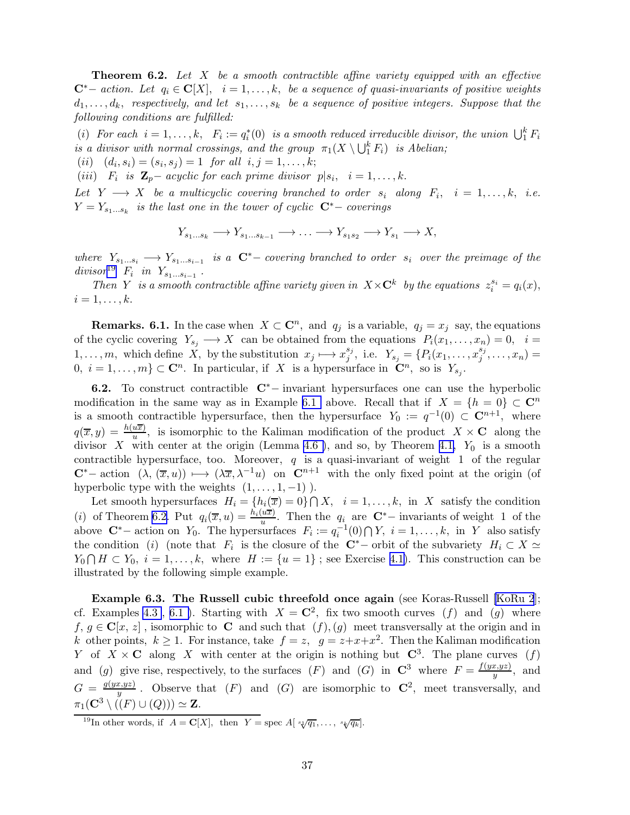<span id="page-36-0"></span>**Theorem 6.2.** Let  $X$  be a smooth contractible affine variety equipped with an effective  $\mathbf{C}^*$ − action. Let  $q_i \in \mathbf{C}[X], i = 1, \ldots, k$ , be a sequence of quasi-invariants of positive weights  $d_1, \ldots, d_k$ , respectively, and let  $s_1, \ldots, s_k$  be a sequence of positive integers. Suppose that the following conditions are fulfilled:

(i) For each  $i = 1, ..., k$ ,  $F_i := q_i^*(0)$  is a smooth reduced irreducible divisor, the union  $\bigcup_1^k F_i$ is a divisor with normal crossings, and the group  $\pi_1(X \setminus \bigcup_1^k F_i)$  is Abelian;

 $(ii)$   $(d_i, s_i) = (s_i, s_j) = 1$  for all  $i, j = 1, ..., k;$ 

(*iii*)  $F_i$  *is*  $\mathbf{Z}_p$  – acyclic for each prime divisor  $p|s_i, i = 1,...,k$ .

Let  $Y \longrightarrow X$  be a multicyclic covering branched to order  $s_i$  along  $F_i$ ,  $i = 1, ..., k$ , i.e.  $Y = Y_{s_1...s_k}$  is the last one in the tower of cyclic  $\mathbb{C}^*$  – coverings

$$
Y_{s_1...s_k} \longrightarrow Y_{s_1...s_{k-1}} \longrightarrow \ldots \longrightarrow Y_{s_1s_2} \longrightarrow Y_{s_1} \longrightarrow X,
$$

where  $Y_{s_1...s_i} \longrightarrow Y_{s_1...s_{i-1}}$  is a  $\mathbb{C}^*$  - covering branched to order  $s_i$  over the preimage of the  $divisor^{19}$   $F_i$  in  $Y_{s_1...s_{i-1}}$ .

Then Y is a smooth contractible affine variety given in  $X \times \mathbb{C}^k$  by the equations  $z_i^{s_i} = q_i(x)$ ,  $i=1,\ldots,k.$ 

**Remarks.** 6.1. In the case when  $X \subset \mathbb{C}^n$ , and  $q_j$  is a variable,  $q_j = x_j$  say, the equations of the cyclic covering  $Y_{s_i} \longrightarrow X$  can be obtained from the equations  $P_i(x_1, \ldots, x_n) = 0$ ,  $i =$ 1, ..., m, which define X, by the substitution  $x_j \longmapsto x_j^{s_j}$  $j^{s_j}$ , i.e.  $Y_{s_j} = \{P_i(x_1, \ldots, x_j^{s_j})\}$  $j^{s_j},\ldots,x_n)=$ 0,  $i = 1, ..., m$   $\subset \mathbb{C}^n$ . In particular, if X is a hypersurface in  $\mathbb{C}^n$ , so is  $Y_{s_j}$ .

6.2. To construct contractible <sup>C</sup>∗<sup>−</sup> invariant hypersurfaces one can use the hyperbolic modification in the same way as in Example [6.1](#page-6-0) above. Recall that if  $X = \{h = 0\} \subset \mathbb{C}^n$ is a smooth contractible hypersurface, then the hypersurface  $Y_0 := q^{-1}(0) \subset \mathbb{C}^{n+1}$ , where  $q(\overline{x}, y) = \frac{h(u\overline{x})}{u}$ , is isomorphic to the Kaliman modification of the product  $X \times \mathbf{C}$  along the divisor X with center at the origin (Lemma 4.6), and so, by Theorem [4.1,](#page-17-0)  $Y_0$  is a smooth contractible hypersurface, too. Moreover,  $q$  is a quasi-invariant of weight 1 of the regular  $C^*$ − action  $(\lambda, (\overline{x}, u)) \mapsto (\lambda \overline{x}, \lambda^{-1}u)$  on  $C^{n+1}$  with the only fixed point at the origin (of hyperbolic type with the weights  $(1, \ldots, 1, -1)$ ).

Let smooth hypersurfaces  $H_i = \{h_i(\overline{x}) = 0\} \cap X$ ,  $i = 1, ..., k$ , in X satisfy the condition (i) of Theorem 6.2. Put  $q_i(\overline{x}, u) = \frac{h_i(u\overline{x})}{u}$ . Then the  $q_i$  are  $\mathbb{C}^*$ - invariants of weight 1 of the above  $\mathbb{C}^*$  – action on  $Y_0$ . The hypersurfaces  $F_i := q_i^{-1}(0) \cap Y$ ,  $i = 1, ..., k$ , in Y also satisfy the condition (i) (note that  $F_i$  is the closure of the  $\mathbb{C}^*$  - orbit of the subvariety  $H_i \subset X \simeq$  $Y_0 \cap H \subset Y_0$ ,  $i = 1, ..., k$ , where  $H := \{u = 1\}$ ; see Exercise [4.1\)](#page-6-0). This construction can be illustrated by the following simple example.

Example 6.3. The Russell cubic threefold once again (see Koras-Russell [\[KoRu 2](#page-56-0)]; cf. Examples [4.3](#page-7-0), 6.1). Starting with  $X = \mathbb{C}^2$ , fix two smooth curves (f) and (g) where f,  $g \in \mathbf{C}[x, z]$ , isomorphic to C and such that  $(f), (g)$  meet transversally at the origin and in k other points,  $k \ge 1$ . For instance, take  $f = z$ ,  $g = z + x + x^2$ . Then the Kaliman modification Y of  $X \times \mathbf{C}$  along X with center at the origin is nothing but  $\mathbf{C}^3$ . The plane curves  $(f)$ and (g) give rise, respectively, to the surfaces (F) and (G) in  $\mathbb{C}^3$  where  $F = \frac{f(yx, yz)}{y}$  $\frac{y, yz_j}{y}$ , and  $G = \frac{g(yx,yz)}{y}$  $\frac{x, yz}{y}$ . Observe that  $(F)$  and  $(G)$  are isomorphic to  $\mathbb{C}^2$ , meet transversally, and  $\pi_1(\mathbf{C}^3 \setminus ((F) \cup (Q))) \simeq \mathbf{Z}.$ 

<sup>&</sup>lt;sup>19</sup>In other words, if  $A = \mathbf{C}[X]$ , then  $Y = \text{spec } A[\sqrt[s_1]{q_1}, \ldots, \sqrt[s_k]{q_k}]$ .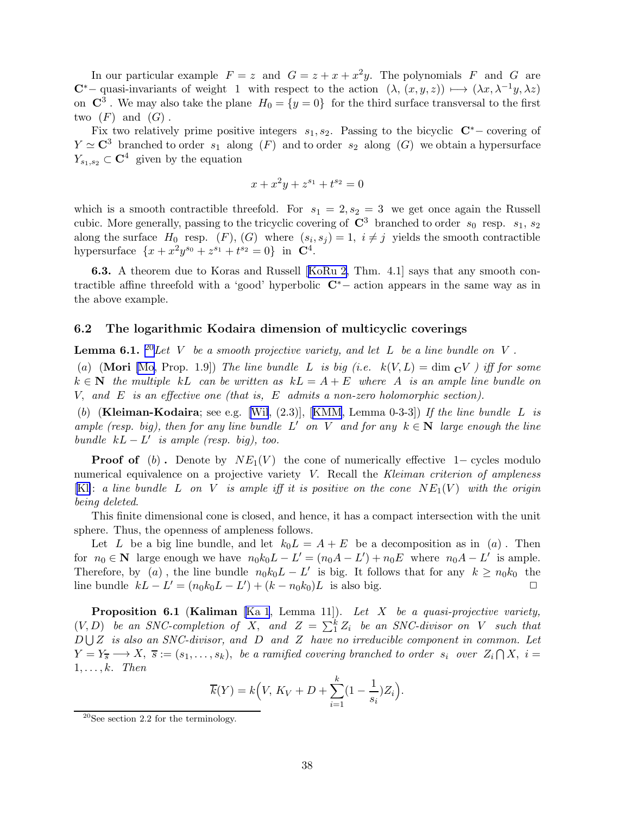<span id="page-37-0"></span>In our particular example  $F = z$  and  $G = z + x + x^2y$ . The polynomials F and G are C<sup>\*</sup>− quasi-invariants of weight 1 with respect to the action  $(\lambda, (x, y, z)) \mapsto (\lambda x, \lambda^{-1}y, \lambda z)$ on  $\mathbb{C}^3$ . We may also take the plane  $H_0 = \{y = 0\}$  for the third surface transversal to the first two  $(F)$  and  $(G)$ .

Fix two relatively prime positive integers  $s_1, s_2$ . Passing to the bicyclic  $\mathbb{C}^*$  – covering of  $Y \simeq \mathbb{C}^3$  branched to order  $s_1$  along  $(F)$  and to order  $s_2$  along  $(G)$  we obtain a hypersurface  $Y_{s_1,s_2} \subset \mathbb{C}^4$  given by the equation

$$
x + x^2y + z^{s_1} + t^{s_2} = 0
$$

which is a smooth contractible threefold. For  $s_1 = 2, s_2 = 3$  we get once again the Russell cubic. More generally, passing to the tricyclic covering of  $\mathbb{C}^3$  branched to order  $s_0$  resp.  $s_1, s_2$ along the surface  $H_0$  resp.  $(F)$ ,  $(G)$  where  $(s_i, s_j) = 1$ ,  $i \neq j$  yields the smooth contractible hypersurface  $\{x + x^2y^{s_0} + z^{s_1} + t^{s_2} = 0\}$  in  $\mathbb{C}^4$ .

6.3. A theorem due to Koras and Russell[[KoRu 2,](#page-56-0) Thm. 4.1] says that any smooth contractible affine threefold with a 'good' hyperbolic <sup>C</sup>∗<sup>−</sup> action appears in the same way as in the above example.

#### 6.2 The logarithmic Kodaira dimension of multicyclic coverings

**Lemma 6.1.** <sup>20</sup>Let V be a smooth projective variety, and let L be a line bundle on V.

(a) (Mori [\[Mo,](#page-57-0) Prop. 1.9]) The line bundle L is big (i.e.  $k(V, L) = \dim_{\mathbb{C}} V$  ) iff for some  $k \in \mathbb{N}$  the multiple kL can be written as  $kL = A + E$  where A is an ample line bundle on V, and  $E$  is an effective one (that is,  $E$  admits a non-zero holomorphic section).

(b)(Kleiman-Kodaira; see e.g. [[Wil](#page-59-0),  $(2.3)$ ], [[KMM](#page-56-0), Lemma 0-3-3]) If the line bundle L is ample (resp. big), then for any line bundle  $L'$  on V and for any  $k \in \mathbb{N}$  large enough the line bundle  $kL - L'$  is ample (resp. big), too.

**Proof of** (b). Denote by  $NE_1(V)$  the cone of numerically effective 1– cycles modulo numerical equivalence on a projective variety V. Recall the Kleiman criterion of ampleness [\[Kl\]](#page-56-0): a line bundle L on V is ample iff it is positive on the cone  $NE_1(V)$  with the origin being deleted.

This finite dimensional cone is closed, and hence, it has a compact intersection with the unit sphere. Thus, the openness of ampleness follows.

Let L be a big line bundle, and let  $k_0L = A + E$  be a decomposition as in (a). Then for  $n_0 \in \mathbb{N}$  large enough we have  $n_0 k_0 L - L' = (n_0 A - L') + n_0 E$  where  $n_0 A - L'$  is ample. Therefore, by (a), the line bundle  $n_0k_0L - L'$  is big. It follows that for any  $k \ge n_0k_0$  the line bundle  $kL - L' = (n_0k_0L - L') + (k - n_0k_0)L$  is also big. <br> □

**Proposition 6.1 (Kaliman** [\[Ka 1](#page-55-0), Lemma 11]). Let X be a quasi-projective variety,  $(V, D)$  be an SNC-completion of X, and  $Z = \sum_{i=1}^{k} Z_i$  be an SNC-divisor on V such that  $D \cup Z$  is also an SNC-divisor, and  $D$  and  $Z$  have no irreducible component in common. Let  $Y = Y_{\overline{s}} \longrightarrow X, \ \overline{s} := (s_1, \ldots, s_k), \ \text{be a ramified covering branched to order } s_i \text{ over } Z_i \cap X, \ i = 1, 2, \ldots, s_k.$  $1, \ldots, k$ . Then

$$
\overline{k}(Y) = k\Big(V, K_V + D + \sum_{i=1}^{k} (1 - \frac{1}{s_i})Z_i\Big).
$$

 $20$ See section 2.2 for the terminology.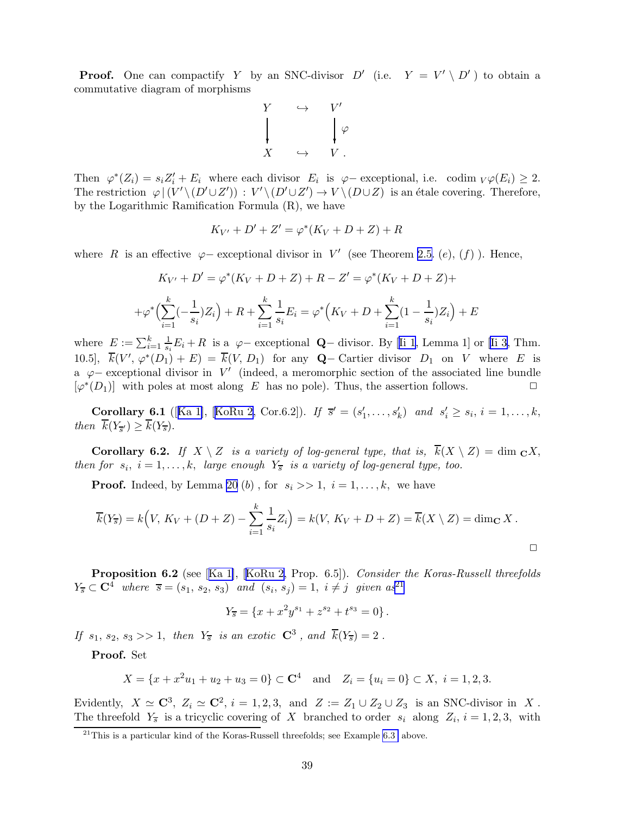**Proof.** One can compactify Y by an SNC-divisor  $D'$  (i.e.  $Y = V' \setminus D'$ ) to obtain a commutative diagram of morphisms



Then  $\varphi^*(Z_i) = s_i Z'_i + E_i$  where each divisor  $E_i$  is  $\varphi$  – exceptional, i.e. codim  $\varphi(E_i) \geq 2$ . The restriction  $\varphi \mid (V' \setminus (D' \cup Z')) : V' \setminus (D' \cup Z') \to V \setminus (D \cup Z)$  is an étale covering. Therefore, by the Logarithmic Ramification Formula (R), we have

$$
K_{V'} + D' + Z' = \varphi^*(K_V + D + Z) + R
$$

where R is an effective  $\varphi$ – exceptional divisor in V' (see Theorem [2.5.](#page-10-0) (e), (f)). Hence,

$$
K_{V'} + D' = \varphi^*(K_V + D + Z) + R - Z' = \varphi^*(K_V + D + Z) +
$$
  
+
$$
\varphi^*\left(\sum_{i=1}^k \left(-\frac{1}{s_i}\right)Z_i\right) + R + \sum_{i=1}^k \frac{1}{s_i}E_i = \varphi^*\left(K_V + D + \sum_{i=1}^k (1 - \frac{1}{s_i})Z_i\right) + E
$$

where $E := \sum_{i=1}^{k} \frac{1}{s_i} E_i + R$  is a  $\varphi$ -exceptional **Q**-divisor. By [[Ii 1](#page-55-0), Lemma 1] or [\[Ii 3](#page-55-0), Thm. 10.5],  $\overline{k}(V', \varphi^*(D_1) + E) = \overline{k}(V, D_1)$  for any **Q**– Cartier divisor  $D_1$  on V where E is a  $\varphi$  – exceptional divisor in V' (indeed, a meromorphic section of the associated line bundle  $[\varphi^*(D_1)]$  with poles at most along E has no pole). Thus, the assertion follows.

**Corollary6.1** ([[Ka 1\]](#page-55-0), [[KoRu 2](#page-56-0), Cor.6.2]). If  $\vec{s}' = (s'_1, ..., s'_k)$  and  $s'_i \ge s_i, i = 1, ..., k$ , then  $k(Y_{\overline{s}}) \geq k(Y_{\overline{s}})$ .

**Corollary 6.2.** If  $X \setminus Z$  is a variety of log-general type, that is,  $\overline{k}(X \setminus Z) = \dim_{\mathbf{C}} X$ , then for  $s_i$ ,  $i = 1, ..., k$ , large enough  $Y_{\overline{s}}$  is a variety of log-general type, too.

**Proof.** Indeed, by Lemma [20](#page-37-0) (b), for  $s_i \gg 1$ ,  $i = 1, \ldots, k$ , we have

$$
\overline{k}(Y_{\overline{s}}) = k\Big(V, K_V + (D + Z) - \sum_{i=1}^k \frac{1}{s_i} Z_i\Big) = k(V, K_V + D + Z) = \overline{k}(X \setminus Z) = \dim_{\mathbf{C}} X.
$$

Proposition6.2 (see [[Ka 1\]](#page-55-0), [[KoRu 2,](#page-56-0) Prop. 6.5]). Consider the Koras-Russell threefolds  $Y_{\overline{s}} \subset \mathbf{C}^4$  where  $\overline{s} = (s_1, s_2, s_3)$  and  $(s_i, s_j) = 1, i \neq j$  given  $as^{21}$ 

$$
Y_{\overline{s}} = \{x + x^2y^{s_1} + z^{s_2} + t^{s_3} = 0\}.
$$

If  $s_1$ ,  $s_2$ ,  $s_3 >> 1$ , then  $Y_{\overline{s}}$  is an exotic  $\mathbb{C}^3$ , and  $\overline{k}(Y_{\overline{s}}) = 2$ .

Proof. Set

$$
X = \{x + x^2u_1 + u_2 + u_3 = 0\} \subset \mathbb{C}^4
$$
 and  $Z_i = \{u_i = 0\} \subset X, i = 1, 2, 3.$ 

Evidently,  $X \simeq \mathbb{C}^3$ ,  $Z_i \simeq \mathbb{C}^2$ ,  $i = 1, 2, 3$ , and  $Z := Z_1 \cup Z_2 \cup Z_3$  is an SNC-divisor in X. The threefold  $Y_{\overline{s}}$  is a tricyclic covering of X branched to order  $s_i$  along  $Z_i$ ,  $i = 1, 2, 3$ , with

 $^{21}$ This is a particular kind of the Koras-Russell threefolds; see Example [6.3](#page-7-0) above.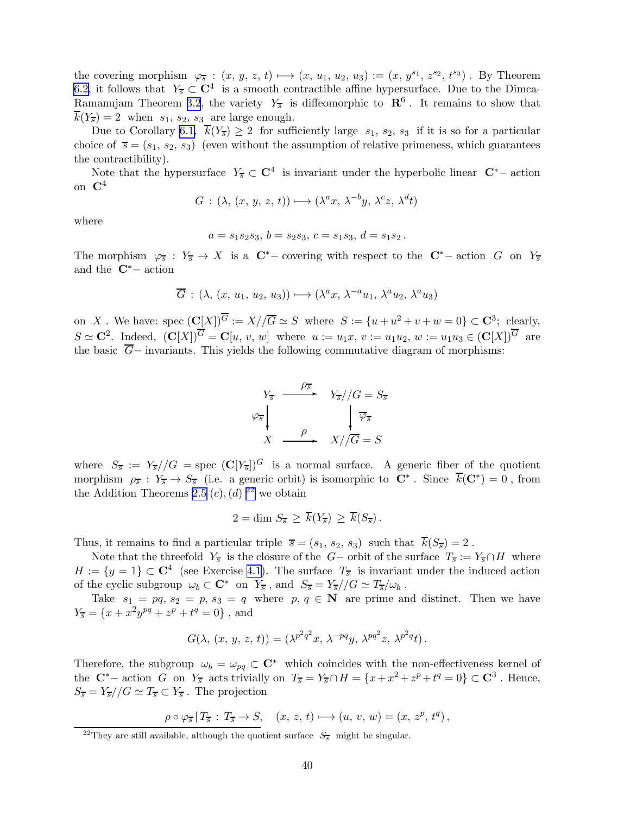the covering morphism  $\varphi_{\overline{s}} : (x, y, z, t) \longmapsto (x, u_1, u_2, u_3) := (x, y^{s_1}, z^{s_2}, t^{s_3})$ . By Theorem [6.2,](#page-36-0) it follows that  $Y_{\overline{s}} \subset \mathbb{C}^4$  is a smooth contractible affine hypersurface. Due to the Dimca-Ramanujam Theorem [3.2](#page-13-0), the variety  $Y_{\overline{s}}$  is diffeomorphic to  $\mathbb{R}^6$ . It remains to show that  $k(Y_{\overline{s}}) = 2$  when  $s_1, s_2, s_3$  are large enough.

Due to Corollary [6.1,](#page-5-0)  $\overline{k}(Y_{\overline{s}}) \geq 2$  for sufficiently large  $s_1, s_2, s_3$  if it is so for a particular choice of  $\bar{s} = (s_1, s_2, s_3)$  (even without the assumption of relative primeness, which guarantees the contractibility).

Note that the hypersurface  $Y_{\overline{s}} \subset \mathbb{C}^4$  is invariant under the hyperbolic linear  $\mathbb{C}^*$  - action on  $\mathbf{C}^4$ 

$$
G: (\lambda, (x, y, z, t)) \mapsto (\lambda^a x, \lambda^{-b} y, \lambda^c z, \lambda^d t)
$$

where

$$
a = s_1 s_2 s_3, b = s_2 s_3, c = s_1 s_3, d = s_1 s_2.
$$

The morphism  $\varphi_{\overline{s}} : Y_{\overline{s}} \to X$  is a  $\mathbb{C}^*$ - covering with respect to the  $\mathbb{C}^*$ - action G on  $Y_{\overline{s}}$ and the <sup>C</sup>∗<sup>−</sup> action

$$
\overline{G} : (\lambda, (x, u_1, u_2, u_3)) \longmapsto (\lambda^a x, \lambda^{-a} u_1, \lambda^a u_2, \lambda^a u_3)
$$

on X. We have: spec  $(\mathbb{C}[X])^G := X/\sqrt{G} \simeq S$  where  $S := \{u + u^2 + v + w = 0\} \subset \mathbb{C}^3$ ; clearly,  $S \simeq \mathbf{C}^2$ . Indeed,  $(\mathbf{C}[X])^G = \mathbf{C}[u, v, w]$  where  $u := u_1x, v := u_1u_2, w := u_1u_3 \in (\mathbf{C}[X])^G$  are the basic  $\overline{G}$ − invariants. This yields the following commutative diagram of morphisms:



where  $S_{\overline{s}} := Y_{\overline{s}}//G = \text{spec } (\mathbf{C}[Y_{\overline{s}}])^G$  is a normal surface. A generic fiber of the quotient morphism  $\rho_{\overline{s}} : Y_{\overline{s}} \to S_{\overline{s}}$  (i.e. a generic orbit) is isomorphic to  $\mathbb{C}^*$ . Since  $\overline{k}(\mathbb{C}^*) = 0$ , from the Addition Theorems [2.5](#page-10-0)  $(c)$ ,  $(d)$  <sup>22</sup> we obtain

$$
2 = \dim S_{\overline{s}} \geq \overline{k}(Y_{\overline{s}}) \geq \overline{k}(S_{\overline{s}}).
$$

Thus, it remains to find a particular triple  $\bar{s} = (s_1, s_2, s_3)$  such that  $\bar{k}(S_{\bar{s}}) = 2$ .

Note that the threefold  $Y_{\overline{s}}$  is the closure of the G− orbit of the surface  $T_{\overline{s}} := Y_{\overline{s}} \cap H$  where  $H := \{y = 1\} \subset \mathbb{C}^4$  (see Exercise [4.1\)](#page-6-0). The surface  $T_{\overline{s}}$  is invariant under the induced action of the cyclic subgroup  $\omega_b \subset \mathbf{C}^*$  on  $Y_{\overline{s}}$ , and  $S_{\overline{s}} = Y_{\overline{s}}//G \simeq T_{\overline{s}}/\omega_b$ .

Take  $s_1 = pq$ ,  $s_2 = p$ ,  $s_3 = q$  where  $p, q \in \mathbb{N}$  are prime and distinct. Then we have  $Y_{\overline{s}} = \{x + x^2y^{pq} + z^p + t^q = 0\}$ , and

$$
G(\lambda, (x, y, z, t)) = (\lambda^{p^2 q^2} x, \lambda^{-pq} y, \lambda^{pq^2} z, \lambda^{p^2 q} t).
$$

Therefore, the subgroup  $\omega_b = \omega_{pq} \subset \mathbb{C}^*$  which coincides with the non-effectiveness kernel of the  $\mathbf{C}^*$  – action G on  $Y_{\overline{s}}$  acts trivially on  $T_{\overline{s}} = Y_{\overline{s}} \cap H = \{x + x^2 + z^p + t^q = 0\} \subset \mathbf{C}^3$ . Hence,  $S_{\overline{s}} = Y_{\overline{s}}//G \simeq T_{\overline{s}} \subset Y_{\overline{s}}$ . The projection

$$
\rho \circ \varphi_{\overline{s}} \, | \, T_{\overline{s}} \, : \, T_{\overline{s}} \to S, \quad (x, z, t) \longmapsto (u, v, w) = (x, z^p, t^q) \,,
$$

<sup>&</sup>lt;sup>22</sup>They are still available, although the quotient surface  $S_{\overline{s}}$  might be singular.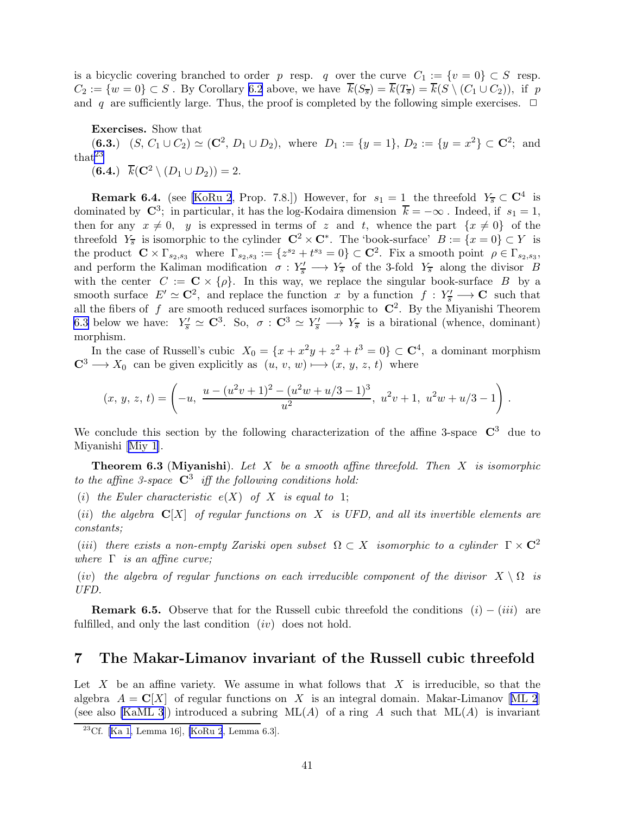<span id="page-40-0"></span>is a bicyclic covering branched to order p resp. q over the curve  $C_1 := \{v = 0\} \subset S$  resp.  $C_2 := \{w = 0\} \subset S$ . By Corollary [6.2](#page-5-0) above, we have  $\overline{k}(S_{\overline{s}}) = \overline{k}(T_{\overline{s}}) = \overline{k}(S \setminus (C_1 \cup C_2)),$  if p and q are sufficiently large. Thus, the proof is completed by the following simple exercises.  $\Box$ 

Exercises. Show that

(6.3.)  $(S, C_1 \cup C_2) \simeq (\mathbb{C}^2, D_1 \cup D_2)$ , where  $D_1 := \{y = 1\}, D_2 := \{y = x^2\} \subset \mathbb{C}^2$ ; and that<sup>23</sup>

(6.4.)  $\overline{k}(\mathbf{C}^2 \setminus (D_1 \cup D_2)) = 2.$ 

**Remark 6.4.** (see [\[KoRu 2](#page-56-0), Prop. 7.8.]) However, for  $s_1 = 1$  the threefold  $Y_{\overline{s}} \subset \mathbb{C}^4$  is dominated by  $\mathbb{C}^3$ ; in particular, it has the log-Kodaira dimension  $\overline{k} = -\infty$ . Indeed, if  $s_1 = 1$ , then for any  $x \neq 0$ , y is expressed in terms of z and t, whence the part  $\{x \neq 0\}$  of the threefold  $Y_{\overline{s}}$  is isomorphic to the cylinder  $\mathbb{C}^2 \times \mathbb{C}^*$ . The 'book-surface'  $B := \{x = 0\} \subset Y$  is the product  $\mathbf{C} \times \Gamma_{s_2,s_3}$  where  $\Gamma_{s_2,s_3} := \{z^{s_2} + t^{s_3} = 0\} \subset \mathbf{C}^2$ . Fix a smooth point  $\rho \in \Gamma_{s_2,s_3}$ , and perform the Kaliman modification  $\sigma: Y'_{\overline{s}} \longrightarrow Y_{\overline{s}}$  of the 3-fold  $Y_{\overline{s}}$  along the divisor B with the center  $C := \mathbf{C} \times \{\rho\}$ . In this way, we replace the singular book-surface B by a smooth surface  $E' \simeq \mathbb{C}^2$ , and replace the function x by a function  $f : Y'_{\overline{s}} \longrightarrow \mathbb{C}$  such that all the fibers of  $f$  are smooth reduced surfaces isomorphic to  $\mathbb{C}^2$ . By the Miyanishi Theorem 6.3 below we have:  $Y'_{\overline{s}} \simeq \mathbb{C}^3$ . So,  $\sigma : \mathbb{C}^3 \simeq Y'_{\overline{s}} \longrightarrow Y_{\overline{s}}$  is a birational (whence, dominant) morphism.

In the case of Russell's cubic  $X_0 = \{x + x^2y + z^2 + t^3 = 0\} \subset \mathbb{C}^4$ , a dominant morphism  $C^3 \longrightarrow X_0$  can be given explicitly as  $(u, v, w) \longmapsto (x, y, z, t)$  where

$$
(x, y, z, t) = \left(-u, \frac{u - (u^2v + 1)^2 - (u^2w + u/3 - 1)^3}{u^2}, u^2v + 1, u^2w + u/3 - 1\right).
$$

We conclude this section by the following characterization of the affine 3-space  $\mathbb{C}^3$  due to Miyanishi [\[Miy 1\]](#page-57-0).

**Theorem 6.3 (Miyanishi).** Let X be a smooth affine threefold. Then X is isomorphic to the affine 3-space  $\mathbb{C}^3$  iff the following conditions hold:

(i) the Euler characteristic  $e(X)$  of X is equal to 1;

(ii) the algebra  $\mathbb{C}[X]$  of regular functions on X is UFD, and all its invertible elements are constants;

(iii) there exists a non-empty Zariski open subset  $\Omega \subset X$  isomorphic to a cylinder  $\Gamma \times \mathbb{C}^2$ where  $\Gamma$  is an affine curve;

(iv) the algebra of regular functions on each irreducible component of the divisor  $X \setminus \Omega$  is UFD.

**Remark 6.5.** Observe that for the Russell cubic threefold the conditions  $(i) - (iii)$  are fulfilled, and only the last condition  $(iv)$  does not hold.

# 7 The Makar-Limanov invariant of the Russell cubic threefold

Let  $X$  be an affine variety. We assume in what follows that  $X$  is irreducible, so that the algebra $A = \mathbb{C}[X]$  of regular functions on X is an integral domain. Makar-Limanov [[ML 2](#page-57-0)] (see also [\[KaML 3](#page-55-0)]) introduced a subring  $ML(A)$  of a ring A such that  $ML(A)$  is invariant

 $23Cf.$  [\[Ka 1,](#page-55-0) Lemma 16], [\[KoRu 2](#page-56-0), Lemma 6.3].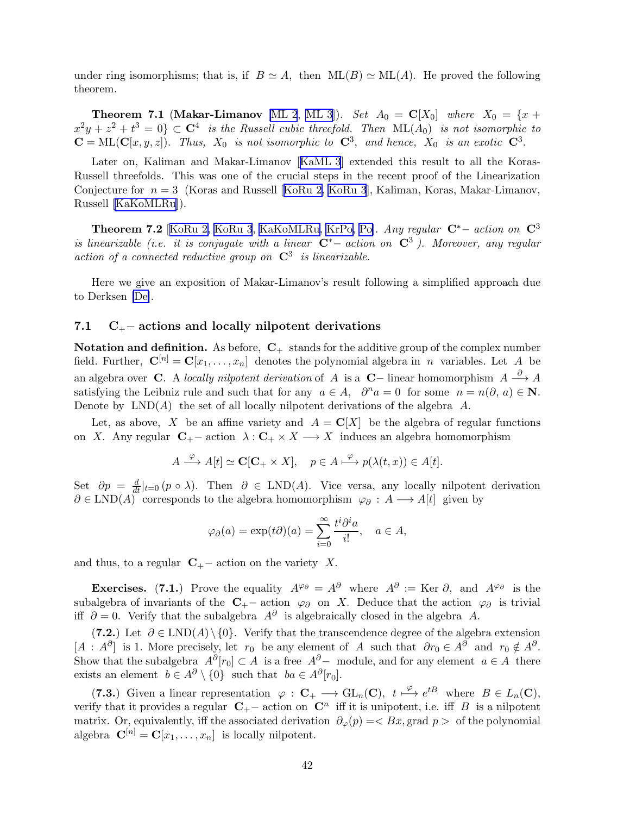<span id="page-41-0"></span>under ring isomorphisms; that is, if  $B \simeq A$ , then  $ML(B) \simeq ML(A)$ . He proved the following theorem.

**Theorem 7.1 (Makar-Limanov** [\[ML 2](#page-57-0), [ML 3](#page-57-0)]). Set  $A_0 = \mathbf{C}[X_0]$  where  $X_0 = \{x +$  $x^2y + z^2 + t^3 = 0$   $\subset \mathbb{C}^4$  is the Russell cubic threefold. Then  $\text{ML}(A_0)$  is not isomorphic to  $\mathbf{C} = \text{ML}(\mathbf{C}[x, y, z])$ . Thus,  $X_0$  is not isomorphic to  $\mathbf{C}^3$ , and hence,  $X_0$  is an exotic  $\mathbf{C}^3$ .

Later on, Kaliman and Makar-Limanov[[KaML 3](#page-55-0)] extended this result to all the Koras-Russell threefolds. This was one of the crucial steps in the recent proof of the Linearization Conjecturefor  $n = 3$  (Koras and Russell [[KoRu 2, KoRu 3](#page-56-0)], Kaliman, Koras, Makar-Limanov, Russell [\[KaKoMLRu](#page-55-0)]).

Theorem 7.2 [[KoRu 2, KoRu 3](#page-56-0), [KaKoMLRu,](#page-55-0) [KrPo,](#page-56-0) [Po\]](#page-58-0). Any regular <sup>C</sup>∗<sup>−</sup> action on <sup>C</sup><sup>3</sup> is linearizable (i.e. it is conjugate with a linear  $\mathbb{C}^*$  action on  $\mathbb{C}^3$ ). Moreover, any regular action of a connected reductive group on  $\mathbb{C}^3$  is linearizable.

Here we give an exposition of Makar-Limanov's result following a simplified approach due to Derksen [\[De\]](#page-53-0).

#### 7.1  $C_{+}$  – actions and locally nilpotent derivations

Notation and definition. As before,  $C_+$  stands for the additive group of the complex number field. Further,  $\mathbf{C}^{[n]} = \mathbf{C}[x_1,\ldots,x_n]$  denotes the polynomial algebra in n variables. Let A be an algebra over C. A locally nilpotent derivation of A is a C– linear homomorphism  $A \stackrel{\partial}{\longrightarrow} A$ satisfying the Leibniz rule and such that for any  $a \in A$ ,  $\partial^n a = 0$  for some  $n = n(\partial, a) \in \mathbb{N}$ . Denote by  $LND(A)$  the set of all locally nilpotent derivations of the algebra A.

Let, as above, X be an affine variety and  $A = \mathbf{C}[X]$  be the algebra of regular functions on X. Any regular  $C_+$  – action  $\lambda : C_+ \times X \longrightarrow X$  induces an algebra homomorphism

$$
A \xrightarrow{\varphi} A[t] \simeq \mathbf{C}[\mathbf{C}_{+} \times X], \quad p \in A \xrightarrow{\varphi} p(\lambda(t, x)) \in A[t].
$$

Set  $\partial p = \frac{d}{dt}|_{t=0} (p \circ \lambda)$ . Then  $\partial \in \text{LND}(A)$ . Vice versa, any locally nilpotent derivation  $\partial \in \text{LND}(A)$  corresponds to the algebra homomorphism  $\varphi_{\partial}: A \longrightarrow A[t]$  given by

$$
\varphi_{\partial}(a) = \exp(t\partial)(a) = \sum_{i=0}^{\infty} \frac{t^i \partial^i a}{i!}, \quad a \in A,
$$

and thus, to a regular  $C_{+}$  – action on the variety X.

Exercises. (7.1.) Prove the equality  $A^{\varphi_{\partial}} = A^{\partial}$  where  $A^{\partial} := \text{Ker } \partial$ , and  $A^{\varphi_{\partial}}$  is the subalgebra of invariants of the  $C_{+}$ − action  $\varphi_{\partial}$  on X. Deduce that the action  $\varphi_{\partial}$  is trivial iff  $\partial = 0$ . Verify that the subalgebra  $A^{\partial}$  is algebraically closed in the algebra A.

(7.2.) Let  $\partial \in \text{LND}(A) \setminus \{0\}$ . Verify that the transcendence degree of the algebra extension  $[A : A^{\partial}]$  is 1. More precisely, let  $r_0$  be any element of A such that  $\partial r_0 \in A^{\partial}$  and  $r_0 \notin A^{\partial}$ . Show that the subalgebra  $A^{\partial}[r_0] \subset A$  is a free  $A^{\partial}$  module, and for any element  $a \in A$  there exists an element  $b \in A^{\partial} \setminus \{0\}$  such that  $ba \in A^{\partial}[r_0]$ .

(7.3.) Given a linear representation  $\varphi : \mathbf{C}_+ \longrightarrow \text{GL}_n(\mathbf{C}), t \stackrel{\varphi}{\longmapsto} e^{tB}$  where  $B \in L_n(\mathbf{C}),$ verify that it provides a regular  $C_{+}$  – action on  $C^n$  iff it is unipotent, i.e. iff B is a nilpotent matrix. Or, equivalently, iff the associated derivation  $\partial_{\varphi}(p) = \langle Bx, \text{grad } p \rangle$  of the polynomial algebra  $\mathbf{C}^{[n]} = \mathbf{C}[x_1,\ldots,x_n]$  is locally nilpotent.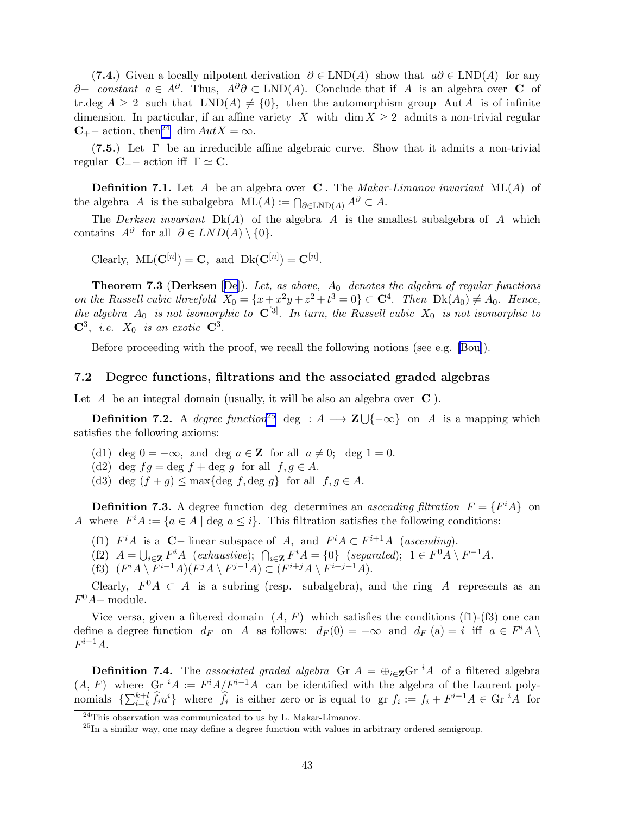<span id="page-42-0"></span>(7.4.) Given a locally nilpotent derivation  $\partial \in \text{LND}(A)$  show that  $a\partial \in \text{LND}(A)$  for any ∂− constant  $a \in A^{\partial}$ . Thus,  $A^{\partial} \partial \subset \text{LND}(A)$ . Conclude that if A is an algebra over **C** of tr.deg  $A \ge 2$  such that  $LND(A) \ne \{0\}$ , then the automorphism group Aut A is of infinite dimension. In particular, if an affine variety X with dim  $X \geq 2$  admits a non-trivial regular  $C_{+}$  action, then<sup>24</sup> dim  $Aut X = \infty$ .

(7.5.) Let  $\Gamma$  be an irreducible affine algebraic curve. Show that it admits a non-trivial regular  $C_{+}$  – action iff  $\Gamma \simeq C$ .

**Definition 7.1.** Let A be an algebra over **C**. The *Makar-Limanov invariant*  $ML(A)$  of the algebra  $A$  is the subalgebra  $\mathrm{ML}(A) := \bigcap_{\partial \in \mathrm{LND}(A)} A^{\partial} \subset A$ .

The *Derksen invariant*  $Dk(A)$  of the algebra A is the smallest subalgebra of A which contains  $A^{\partial}$  for all  $\partial \in LND(A) \setminus \{0\}.$ 

Clearly,  $\text{ML}(\mathbf{C}^{[n]}) = \mathbf{C}$ , and  $\text{Dk}(\mathbf{C}^{[n]}) = \mathbf{C}^{[n]}$ .

**Theorem 7.3 (Derksen** [[De\]](#page-53-0)). Let, as above,  $A_0$  denotes the algebra of regular functions on the Russell cubic threefold  $X_0 = \{x + x^2y + z^2 + t^3 = 0\} \subset \mathbb{C}^4$ . Then  $Dk(A_0) \neq A_0$ . Hence, the algebra  $A_0$  is not isomorphic to  $\mathbb{C}^{[3]}$ . In turn, the Russell cubic  $X_0$  is not isomorphic to  $\mathbf{C}^3$ , *i.e.*  $X_0$  *is an exotic*  $\mathbf{C}^3$ .

Before proceeding with the proof, we recall the following notions (see e.g. [\[Bou\]](#page-53-0)).

#### 7.2 Degree functions, filtrations and the associated graded algebras

Let  $A$  be an integral domain (usually, it will be also an algebra over  $C$ ).

**Definition 7.2.** A degree function<sup>25</sup> deg :  $A \longrightarrow \mathbf{Z} \cup \{-\infty\}$  on A is a mapping which satisfies the following axioms:

- (d1) deg  $0 = -\infty$ , and deg  $a \in \mathbb{Z}$  for all  $a \neq 0$ ; deg  $1 = 0$ .
- (d2) deg  $fg = \text{deg } f + \text{deg } g$  for all  $f, g \in A$ .
- (d3) deg  $(f+g) \leq \max\{\text{deg } f, \text{deg } g\}$  for all  $f, g \in A$ .

**Definition 7.3.** A degree function deg determines an *ascending filtration*  $F = \{F^i A\}$  on A where  $F^i A := \{a \in A \mid \text{deg } a \leq i\}.$  This filtration satisfies the following conditions:

- (f1)  $F^iA$  is a **C** linear subspace of A, and  $F^iA \subset F^{i+1}A$  (ascending).
- (f2)  $A = \bigcup_{i \in \mathbf{Z}} F^i A$  (exhaustive);  $\bigcap_{i \in \mathbf{Z}} F^i A = \{0\}$  (separated);  $1 \in F^0 A \setminus F^{-1} A$ .
- (f3)  $(F^i A \setminus F^{i-1} A)(F^j A \setminus F^{j-1} A) \subset (F^{i+j} A \setminus F^{i+j-1} A).$

Clearly,  $F^0A \subset A$  is a subring (resp. subalgebra), and the ring A represents as an  $F^0A-$  module.

Vice versa, given a filtered domain  $(A, F)$  which satisfies the conditions (f1)-(f3) one can define a degree function  $d_F$  on A as follows:  $d_F(0) = -\infty$  and  $d_F(a) = i$  iff  $a \in F^i A \setminus \mathbb{R}$  $F^{i-1}A$ .

**Definition 7.4.** The associated graded algebra Gr  $A = \bigoplus_{i \in \mathbb{Z}} G_i$  of a filtered algebra  $(A, F)$  where Gr<sup>i</sup>A :=  $F^i A/F^{i-1}A$  can be identified with the algebra of the Laurent polynomials  $\{\sum_{i=k}^{k+l} \hat{f}_i u^i\}$  where  $\hat{f}_i$  is either zero or is equal to gr  $f_i := f_i + F^{i-1}A \in \text{Gr }^iA$  for

 $^{24}$ This observation was communicated to us by L. Makar-Limanov.

 $^{25}$ In a similar way, one may define a degree function with values in arbitrary ordered semigroup.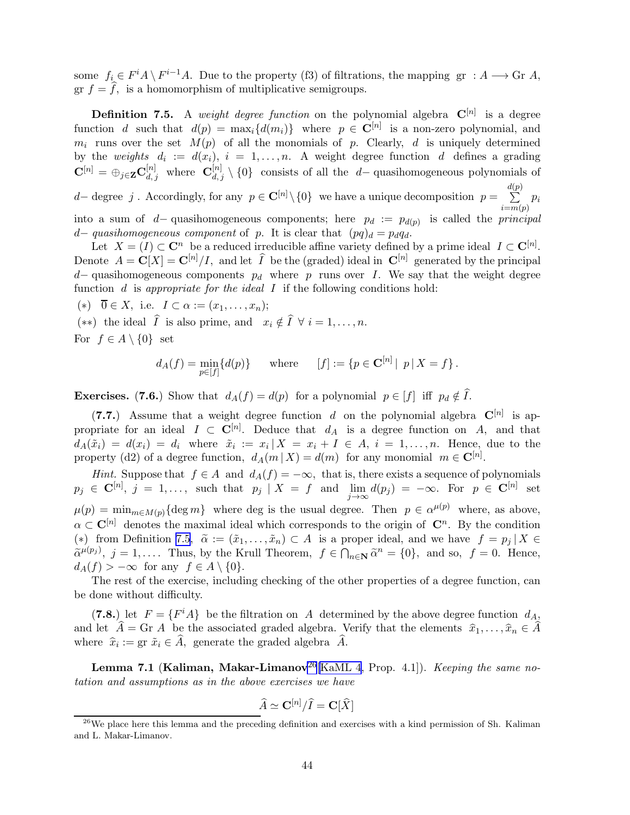<span id="page-43-0"></span>some  $f_i \in F^i A \setminus F^{i-1}A$ . Due to the property (f3) of filtrations, the mapping gr :  $A \longrightarrow$  Gr  $A$ , gr  $f = \hat{f}$ , is a homomorphism of multiplicative semigroups.

**Definition 7.5.** A weight degree function on the polynomial algebra  $\mathbf{C}^{[n]}$  is a degree function d such that  $d(p) = \max_i \{d(m_i)\}\$  where  $p \in \mathbb{C}^{[n]}$  is a non-zero polynomial, and  $m_i$  runs over the set  $M(p)$  of all the monomials of p. Clearly, d is uniquely determined by the weights  $d_i := d(x_i), i = 1, ..., n$ . A weight degree function d defines a grading  $\mathbf{C}^{[n]} = \bigoplus_{j \in \mathbf{Z}} \mathbf{C}_{d,j}^{[n]}$  where  $\mathbf{C}_{d,j}^{[n]} \setminus \{0\}$  consists of all the d– quasihomogeneous polynomials of

d– degree j. Accordingly, for any  $p \in \mathbb{C}^{[n]} \setminus \{0\}$  we have a unique decomposition  $p = \sum_{n=0}^{d(p)} p_n$  $i = m(p)$  $p_i$ into a sum of d– quasihomogeneous components; here  $p_d := p_{d(p)}$  is called the *principal* d– quasihomogeneous component of p. It is clear that  $(pq)_d = p_dq_d$ .

Let  $X = (I) \subset \mathbb{C}^n$  be a reduced irreducible affine variety defined by a prime ideal  $I \subset \mathbb{C}^{[n]}$ . Denote  $A = \mathbf{C}[X] = \mathbf{C}^{[n]}/I$ , and let  $\widehat{I}$  be the (graded) ideal in  $\mathbf{C}^{[n]}$  generated by the principal  $d-$  quasihomogeneous components  $p_d$  where p runs over I. We say that the weight degree function  $d$  is appropriate for the ideal  $I$  if the following conditions hold:

(\*)  $\overline{0} \in X$ , i.e.  $I \subset \alpha := (x_1, \ldots, x_n);$ 

(\*\*) the ideal  $I$  is also prime, and  $x_i \notin I \ \forall \ i = 1, \ldots, n$ . For  $f \in A \setminus \{0\}$  set

$$
d_A(f) = \min_{p \in [f]} \{d(p)\}
$$
 where  $[f] := \{p \in \mathbf{C}^{[n]} | p | X = f\}.$ 

**Exercises.** (7.6.) Show that  $d_A(f) = d(p)$  for a polynomial  $p \in [f]$  iff  $p_d \notin I$ .

(7.7.) Assume that a weight degree function d on the polynomial algebra  $\mathbf{C}^{[n]}$  is appropriate for an ideal  $I \subset \mathbf{C}^{[n]}$ . Deduce that  $d_A$  is a degree function on A, and that  $d_A(\tilde{x}_i) = d(x_i) = d_i$  where  $\tilde{x}_i := x_i \mid X = x_i + I \in A$ ,  $i = 1, \ldots, n$ . Hence, due to the property (d2) of a degree function,  $d_A(m | X) = d(m)$  for any monomial  $m \in \mathbb{C}^{[n]}$ .

Hint. Suppose that  $f \in A$  and  $d_A(f) = -\infty$ , that is, there exists a sequence of polynomials  $p_j \in {\bf C}^{[n]},\ j=\ 1,\ldots,\ \text{ such that }\ p_j\ \mid X\ =\ f\ \ \text{ and }\ \lim_{j\to\infty}d(p_j)\ =\ -\infty. \ \ \text{For }\ \ p\ \in\ {\bf C}^{[n]}\ \ \text{set}$  $\mu(p) = \min_{m \in M(p)} {\text{deg } m}$  where deg is the usual degree. Then  $p \in \alpha^{\mu(p)}$  where, as above,  $\alpha \in \mathbb{C}^{[n]}$  denotes the maximal ideal which corresponds to the origin of  $\mathbb{C}^n$ . By the condition (\*) from Definition [7.5,](#page-9-0)  $\tilde{\alpha} := (\tilde{x}_1, \ldots, \tilde{x}_n) \subset A$  is a proper ideal, and we have  $f = p_i | X \in$  $\tilde{\alpha}^{\mu(p_j)}$ ,  $j = 1, \ldots$  Thus, by the Krull Theorem,  $f \in \bigcap_{n \in \mathbb{N}} \tilde{\alpha}^n = \{0\}$ , and so,  $f = 0$ . Hence,  $d_A(f) > -\infty$  for any  $f \in A \setminus \{0\}.$ 

The rest of the exercise, including checking of the other properties of a degree function, can be done without difficulty.

(7.8.) let  $F = \{F^iA\}$  be the filtration on A determined by the above degree function  $d_{A_{\lambda}}$ and let  $\hat{A} = \text{Gr } A$  be the associated graded algebra. Verify that the elements  $\hat{x}_1, \dots, \hat{x}_n \in \hat{A}$ where  $\hat{x}_i := \text{gr } \tilde{x}_i \in A$ , generate the graded algebra A.

**Lemma 7.1 (Kaliman, Makar-Limanov**<sup>26</sup>[\[KaML 4](#page-55-0), Prop. 4.1]). *Keeping the same no*tation and assumptions as in the above exercises we have

$$
\widehat{A} \simeq \mathbf{C}^{[n]}/\widehat{I} = \mathbf{C}[\widehat{X}]
$$

 $^{26}$ We place here this lemma and the preceding definition and exercises with a kind permission of Sh. Kaliman and L. Makar-Limanov.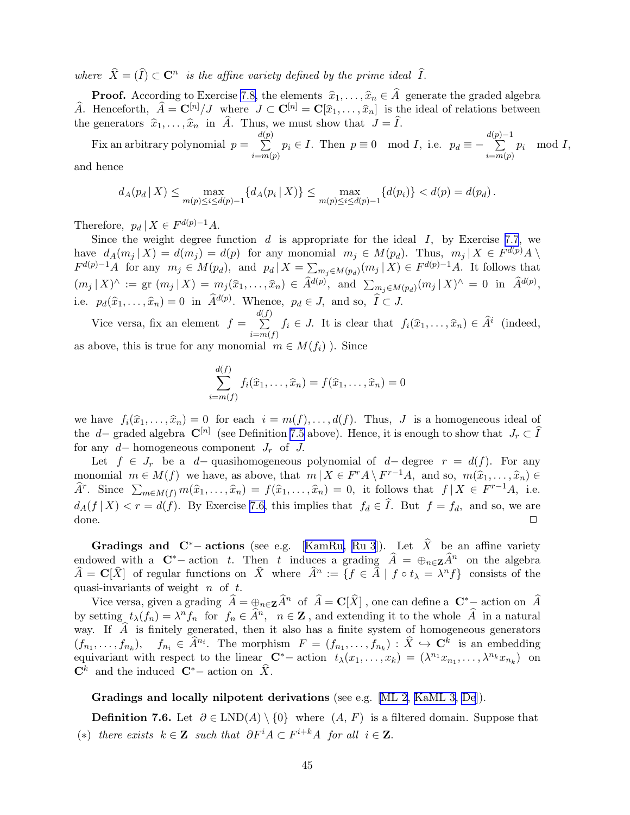where  $\hat{X} = (\hat{I}) \subset \mathbf{C}^n$  is the affine variety defined by the prime ideal  $\hat{I}$ .

**Proof.** According to Exercise [7.8,](#page-43-0) the elements  $\hat{x}_1, \ldots, \hat{x}_n \in \hat{A}$  generate the graded algebra  $\widehat{A}$ . Henceforth,  $\widehat{A} = \mathbf{C}^{[n]}/J$  where  $J \subset \mathbf{C}^{[n]} = \mathbf{C}[\widehat{x}_1, \ldots, \widehat{x}_n]$  is the ideal of relations between the generators  $\hat{x}_1, \ldots, \hat{x}_n$  in  $\hat{A}$ . Thus, we must show that  $J = \hat{I}$ .

Fix an arbitrary polynomial  $p =$  $\frac{d(p)}{\sum}$  $\sum_{i=m(p)} p_i \in I$ . Then  $p \equiv 0 \mod I$ , i.e.  $p_d \equiv -1$  $\sum_{n=1}^{d(p)-1}$  $i = m(p)$  $p_i \mod I$ , and hence

$$
d_A(p_d | X) \le \max_{m(p) \le i \le d(p)-1} \{ d_A(p_i | X) \} \le \max_{m(p) \le i \le d(p)-1} \{ d(p_i) \} < d(p) = d(p_d).
$$

Therefore,  $p_d | X \in F^{d(p)-1}A$ .

Since the weight degree function  $d$  is appropriate for the ideal  $I$ , by Exercise [7.7](#page-32-0), we have  $d_A(m_j | X) = d(m_j) = d(p)$  for any monomial  $m_j \in M(p_d)$ . Thus,  $m_j | X \in F^{d(p)}A \setminus$  $F^{d(p)-1}A$  for any  $m_j \in M(p_d)$ , and  $p_d | X = \sum_{m_j \in M(p_d)} (m_j | X) \in F^{d(p)-1}A$ . It follows that  $(m_j | X)^{\wedge} := \text{gr } (m_j | X) = m_j(\widehat{x}_1, \dots, \widehat{x}_n) \in \widehat{A}^{d(p)}, \text{ and } \sum_{m_j \in M(p_d)} (m_j | X)^{\wedge} = 0 \text{ in } \widehat{A}^{d(p)},$ i.e.  $p_d(\widehat{x}_1, \ldots, \widehat{x}_n) = 0$  in  $\widehat{A}^{d(p)}$ . Whence,  $p_d \in J$ , and so,  $\widehat{I} \subset J$ .

Vice versa, fix an element  $f =$  $\frac{d(f)}{\sum}$  $\sum_{i=m(f)}^{\infty} f_i \in J$ . It is clear that  $f_i(\widehat{x}_1,\ldots,\widehat{x}_n) \in \widehat{A}^i$  (indeed, as above, this is true for any monomial  $m \in M(f_i)$ ). Since

$$
\sum_{i=m(f)}^{d(f)} f_i(\widehat{x}_1,\ldots,\widehat{x}_n) = f(\widehat{x}_1,\ldots,\widehat{x}_n) = 0
$$

we have  $f_i(\hat{x}_1, \ldots, \hat{x}_n) = 0$  for each  $i = m(f), \ldots, d(f)$ . Thus, J is a homogeneous ideal of the d– graded algebra  $\mathbb{C}^{[n]}$  (see Definition [7.5](#page-9-0) above). Hence, it is enough to show that  $J_r \subset \hat{I}$ for any  $d-$  homogeneous component  $J_r$  of  $J$ .

Let  $f \in J_r$  be a d– quasihomogeneous polynomial of d– degree  $r = d(f)$ . For any monomial  $m \in M(f)$  we have, as above, that  $m \mid X \in F^r A \setminus F^{r-1} A$ , and so,  $m(\hat{x}_1, \ldots, \hat{x}_n) \in \hat{\mathbb{R}}$  $\widehat{A}^r$ . Since  $\sum_{m \in M(f)} m(\widehat{x}_1, \ldots, \widehat{x}_n) = f(\widehat{x}_1, \ldots, \widehat{x}_n) = 0$ , it follows that  $f | X \in F^{r-1}A$ , i.e.  $d_A(f | X) < r = d(f)$ . By Exercise [7.6,](#page-10-0) this implies that  $f_d \in I$ . But  $f = f_d$ , and so, we are  $\Box$ 

Gradingsand C<sup>\*</sup>− actions (see e.g. [[KamRu,](#page-56-0) [Ru 3](#page-58-0)]). Let  $\hat{X}$  be an affine variety endowed with a  $\mathbf{C}^*$ − action t. Then t induces a grading  $\hat{A} = \bigoplus_{n \in \mathbf{Z}} \hat{A}^n$  on the algebra  $\widehat{A} = \mathbf{C}[\widehat{X}]$  of regular functions on  $\widehat{X}$  where  $\widehat{A}^n := \{f \in \widehat{A} \mid f \circ t_\lambda = \lambda^n f\}$  consists of the quasi-invariants of weight  $n$  of  $t$ .

Vice versa, given a grading  $\hat{A} = \bigoplus_{n \in \mathbf{Z}} \hat{A}^n$  of  $\hat{A} = \mathbf{C}[\hat{X}]$ , one can define a  $\mathbf{C}^*$  – action on  $\hat{A}$ by setting  $t_\lambda(f_n) = \lambda^n f_n$  for  $f_n \in \hat{A}^n$ ,  $n \in \mathbb{Z}$ , and extending it to the whole  $\hat{A}$  in a natural way. If  $\hat{A}$  is finitely generated, then it also has a finite system of homogeneous generators  $(f_{n_1},\ldots,f_{n_k}),\quad f_{n_i}\in \hat{A}^{n_i}$ . The morphism  $F=(f_{n_1},\ldots,f_{n_k}): \hat{X}\hookrightarrow \mathbf{C}^k$  is an embedding equivariant with respect to the linear  $\mathbb{C}^*$  action  $t_\lambda(x_1,\ldots,x_k) = (\lambda^{n_1}x_{n_1},\ldots,\lambda^{n_k}x_{n_k})$  on  $\mathbf{C}^k$  and the induced  $\mathbf{C}^*$  action on  $\hat{X}$ .

Gradings and locally nilpotent derivations (see e.g.  $[ML 2, KaML 3, De]$  $[ML 2, KaML 3, De]$  $[ML 2, KaML 3, De]$  $[ML 2, KaML 3, De]$ ).

**Definition 7.6.** Let  $\partial \in \text{LND}(A) \setminus \{0\}$  where  $(A, F)$  is a filtered domain. Suppose that (\*) there exists  $k \in \mathbb{Z}$  such that  $\partial F^i A \subset F^{i+k}A$  for all  $i \in \mathbb{Z}$ .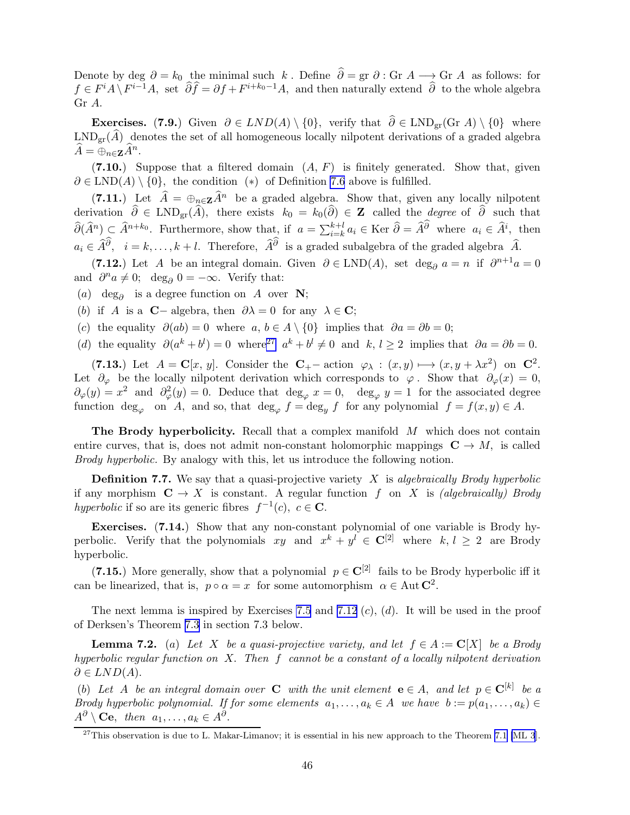<span id="page-45-0"></span>Denote by deg  $\partial = k_0$  the minimal such k. Define  $\hat{\partial} = \text{gr } \partial : \text{Gr } A \longrightarrow \text{Gr } A$  as follows: for  $f \in F^i A \setminus F^{i-1}A$ , set  $\widehat{\partial} \widehat{f} = \partial f + F^{i+k_0-1}A$ , and then naturally extend  $\widehat{\partial}$  to the whole algebra Gr A.

Exercises. (7.9.) Given  $\partial \in LND(A) \setminus \{0\}$ , verify that  $\hat{\partial} \in LND_{gr}(Gr A) \setminus \{0\}$  where  $LND_{\text{gr}}(\hat{A})$  denotes the set of all homogeneous locally nilpotent derivations of a graded algebra  $\widehat{A} = \bigoplus_{n \in \mathbf{Z}} \widehat{A}^n.$ 

(7.10.) Suppose that a filtered domain  $(A, F)$  is finitely generated. Show that, given  $\partial \in \text{LND}(A) \setminus \{0\}$ , the condition  $(*)$  of Definition [7.6](#page-10-0) above is fulfilled.

(7.11.) Let  $\hat{A} = \bigoplus_{n \in \mathbb{Z}} \hat{A}^n$  be a graded algebra. Show that, given any locally nilpotent derivation  $\partial \in \text{LND}_{gr}(A)$ , there exists  $k_0 = k_0(\partial) \in \mathbb{Z}$  called the *degree* of  $\partial$  such that  $\widehat{\partial}(\widehat{A}^n) \subsetneq \widehat{A}^{n+k_0}$ . Furthermore, show that, if  $a = \sum_{i=k}^{k+l} a_i \in \text{Ker } \widehat{\partial} = \widehat{A}^{\partial}$  where  $a_i \in \widehat{A}^i$ , then  $a_i \in \hat{A}^{\partial}, i = k, \ldots, k + l$ . Therefore,  $\hat{A}^{\partial}$  is a graded subalgebra of the graded algebra  $\hat{A}$ .

(7.12.) Let A be an integral domain. Given  $\partial \in LND(A)$ , set deg<sub> $\partial$ </sub> a = n if  $\partial^{n+1}a = 0$ and  $\partial^n a \neq 0$ ; deg<sub> $\partial$ </sub> 0 =  $-\infty$ . Verify that:

(a) deg<sub> $\partial$ </sub> is a degree function on A over **N**;

(b) if A is a **C**− algebra, then  $\partial \lambda = 0$  for any  $\lambda \in \mathbb{C}$ ;

(c) the equality  $\partial(ab) = 0$  where  $a, b \in A \setminus \{0\}$  implies that  $\partial a = \partial b = 0$ ;

(d) the equality  $\partial (a^k + b^l) = 0$  where<sup>27</sup>  $a^k + b^l \neq 0$  and  $k, l \geq 2$  implies that  $\partial a = \partial b = 0$ .

(7.13.) Let  $A = \mathbf{C}[x, y]$ . Consider the  $\mathbf{C}_{+}$  action  $\varphi_{\lambda} : (x, y) \longmapsto (x, y + \lambda x^{2})$  on  $\mathbf{C}^{2}$ . Let  $\partial_{\varphi}$  be the locally nilpotent derivation which corresponds to  $\varphi$ . Show that  $\partial_{\varphi}(x) = 0$ ,  $\partial_{\varphi}(y) = x^2$  and  $\partial_{\varphi}^2(y) = 0$ . Deduce that  $\deg_{\varphi} x = 0$ ,  $\deg_{\varphi} y = 1$  for the associated degree function  $\deg_{\varphi}$  on A, and so, that  $\deg_{\varphi} f = \deg_y f$  for any polynomial  $f = f(x, y) \in A$ .

The Brody hyperbolicity. Recall that a complex manifold M which does not contain entire curves, that is, does not admit non-constant holomorphic mappings  $C \rightarrow M$ , is called Brody hyperbolic. By analogy with this, let us introduce the following notion.

**Definition 7.7.** We say that a quasi-projective variety  $X$  is algebraically Brody hyperbolic if any morphism  $C \to X$  is constant. A regular function f on X is *(algebraically)* Brody hyperbolic if so are its generic fibres  $f^{-1}(c)$ ,  $c \in \mathbb{C}$ .

Exercises. (7.14.) Show that any non-constant polynomial of one variable is Brody hyperbolic. Verify that the polynomials  $xy$  and  $x^k + y^l \in \mathbb{C}^{[2]}$  where  $k, l \geq 2$  are Brody hyperbolic.

(7.15.) More generally, show that a polynomial  $p \in \mathbb{C}^{[2]}$  fails to be Brody hyperbolic iff it can be linearized, that is,  $p \circ \alpha = x$  for some automorphism  $\alpha \in \text{Aut } \mathbb{C}^2$ .

The next lemma is inspired by Exercises [7.5](#page-10-0) and 7.12  $(c)$ ,  $(d)$ . It will be used in the proof of Derksen's Theorem [7.3](#page-42-0) in section 7.3 below.

**Lemma 7.2.** (a) Let X be a quasi-projective variety, and let  $f \in A := \mathbb{C}[X]$  be a Brody hyperbolic regular function on  $X$ . Then  $f$  cannot be a constant of a locally nilpotent derivation  $\partial \in LND(A).$ 

(b) Let A be an integral domain over **C** with the unit element **e**  $\in$  A, and let  $p \in \mathbb{C}^{[k]}$  be a Brody hyperbolic polynomial. If for some elements  $a_1, \ldots, a_k \in A$  we have  $b := p(a_1, \ldots, a_k) \in A$  $A^{\partial} \setminus \mathbf{C}\mathbf{e}, \text{ then } a_1, \ldots, a_k \in A^{\partial}.$ 

 $^{27}$ This observation is due to L. Makar-Limanov; it is essential in his new approach to the Theorem [7.1](#page-41-0) [\[ML 3](#page-57-0)].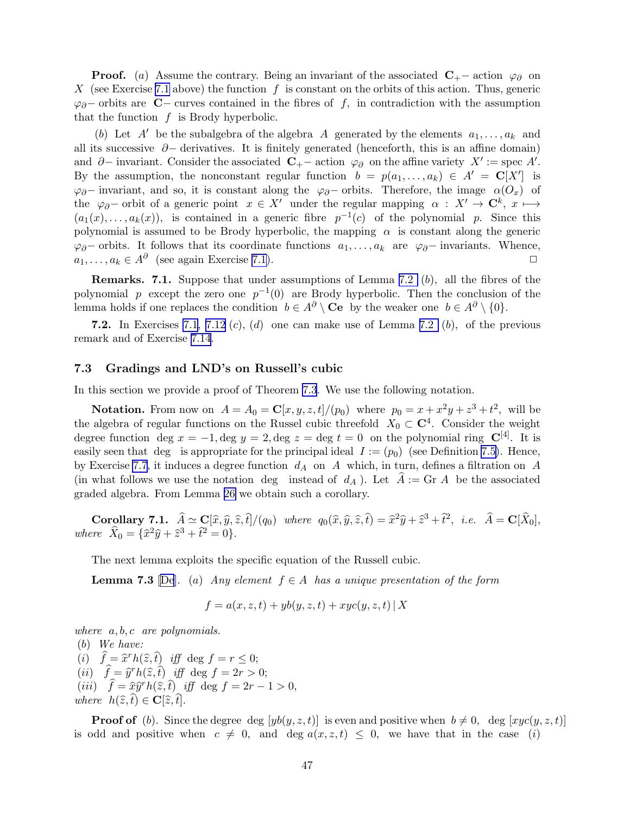<span id="page-46-0"></span>**Proof.** (a) Assume the contrary. Being an invariant of the associated  $C_{+}$  – action  $\varphi_{\partial}$  on X (see Exercise [7.1](#page-6-0) above) the function f is constant on the orbits of this action. Thus, generic  $\varphi_{\partial}$ − orbits are **C**− curves contained in the fibres of f, in contradiction with the assumption that the function  $f$  is Brody hyperbolic.

(b) Let A' be the subalgebra of the algebra A generated by the elements  $a_1, \ldots, a_k$  and all its successive  $\partial$ − derivatives. It is finitely generated (henceforth, this is an affine domain) and  $\partial$ – invariant. Consider the associated  $\mathbb{C}_{+}$ – action  $\varphi_{\partial}$  on the affine variety  $X' :=$  spec A'. By the assumption, the nonconstant regular function  $b = p(a_1, \ldots, a_k) \in A' = \mathbb{C}[X']$  is  $\varphi_{\partial}$ − invariant, and so, it is constant along the  $\varphi_{\partial}$ − orbits. Therefore, the image  $\alpha(O_x)$  of the  $\varphi_{\partial}$ − orbit of a generic point  $x \in X'$  under the regular mapping  $\alpha : X' \to \mathbb{C}^k$ ,  $x \mapsto$  $(a_1(x), \ldots, a_k(x))$ , is contained in a generic fibre  $p^{-1}(c)$  of the polynomial p. Since this polynomial is assumed to be Brody hyperbolic, the mapping  $\alpha$  is constant along the generic  $\varphi_{\partial}$ − orbits. It follows that its coordinate functions  $a_1, \ldots, a_k$  are  $\varphi_{\partial}$ − invariants. Whence,  $a_1, \ldots, a_k \in A^{\partial}$  (see again Exercise 7.1).  $a_1, \ldots, a_k \in A^\partial$  (see again Exercise [7.1\)](#page-6-0).

**Remarks.** 7.1. Suppose that under assumptions of Lemma [7.2](#page-8-0)  $(b)$ , all the fibres of the polynomial p except the zero one  $p^{-1}(0)$  are Brody hyperbolic. Then the conclusion of the lemma holds if one replaces the condition  $b \in A^{\partial} \setminus \mathbf{C}\mathbf{e}$  by the weaker one  $b \in A^{\partial} \setminus \{0\}$ .

7.2. In Exercises [7.1](#page-6-0), [7.12](#page-45-0) (c), (d) one can make use of Lemma [7.2](#page-8-0) (b), of the previous remark and of Exercise [7.14](#page-45-0).

#### 7.3 Gradings and LND's on Russell's cubic

In this section we provide a proof of Theorem [7.3](#page-42-0). We use the following notation.

**Notation.** From now on  $A = A_0 = \mathbb{C}[x, y, z, t]/(p_0)$  where  $p_0 = x + x^2y + z^3 + t^2$ , will be the algebra of regular functions on the Russel cubic threefold  $X_0 \subset \mathbb{C}^4$ . Consider the weight degree function deg  $x = -1$ , deg  $y = 2$ , deg  $z =$  deg  $t = 0$  on the polynomial ring  $\mathbb{C}^{[4]}$ . It is easily seen that deg is appropriate for the principal ideal  $I := (p_0)$  (see Definition [7.5\)](#page-9-0). Hence, by Exercise [7.7](#page-32-0), it induces a degree function  $d_A$  on A which, in turn, defines a filtration on A (in what follows we use the notation deg instead of  $d_A$ ). Let  $A := \text{Gr } A$  be the associated graded algebra. From Lemma [26](#page-43-0) we obtain such a corollary.

Corollary 7.1.  $\hat{A} \simeq \mathbf{C}[\hat{x}, \hat{y}, \hat{z}, \hat{t}]/(q_0)$  where  $q_0(\hat{x}, \hat{y}, \hat{z}, \hat{t}) = \hat{x}^2 \hat{y} + \hat{z}^3 + \hat{t}^2$ , i.e.  $\hat{A} = \mathbf{C}[\hat{X}_0],$ where  $\hat{X}_0 = {\hat{x}^2 \hat{y} + \hat{z}^3 + \hat{t}^2 = 0}.$ 

The next lemma exploits the specific equation of the Russell cubic.

**Lemma 7.3** [\[De](#page-53-0)]. (a) Any element  $f \in A$  has a unique presentation of the form

$$
f = a(x, z, t) + yb(y, z, t) + xyc(y, z, t) | X
$$

where  $a, b, c$  are polynomials.

(b) We have: (i)  $\hat{f} = \hat{x}^r h(\hat{z}, \hat{t})$  iff deg  $f = r \leq 0;$ (ii)  $\hat{f} = \hat{y}^r h(\hat{z}, \hat{t})$  iff deg  $f = 2r > 0;$ (*iii*)  $\hat{f} = \hat{x}\hat{y}^rh(\hat{z}, \hat{t})$  *iff* deg  $f = 2r - 1 > 0$ , where  $h(\hat{z}, \hat{t}) \in \mathbf{C}[\hat{z}, \hat{t}].$ 

**Proof of** (b). Since the degree deg  $[yb(y, z, t)]$  is even and positive when  $b \neq 0$ , deg  $[xyc(y, z, t)]$ is odd and positive when  $c \neq 0$ , and deg  $a(x, z, t) \leq 0$ , we have that in the case (i)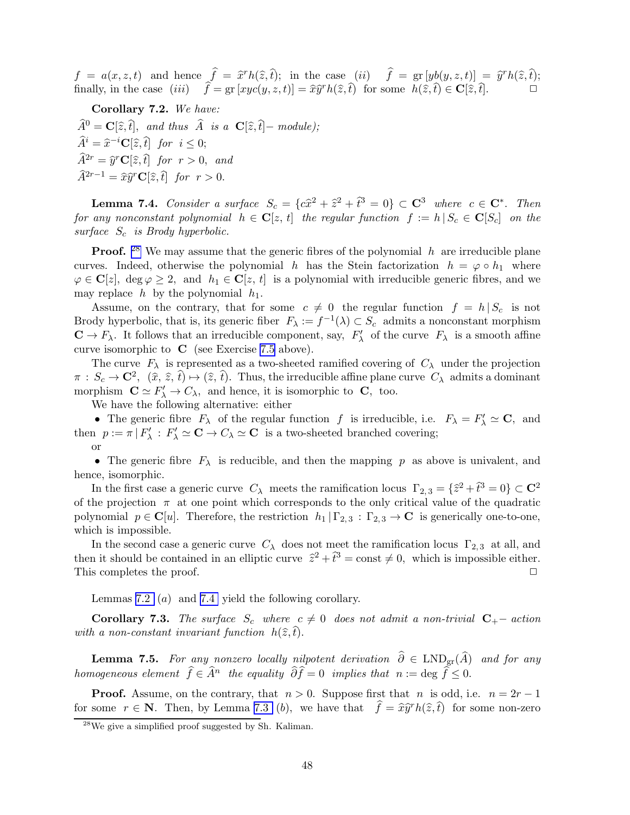$f = a(x, z, t)$  and hence  $\hat{f} = \hat{x}^r h(\hat{z}, \hat{t});$  in the case (ii)  $\hat{f} = \text{gr }[yb(y, z, t)] = \hat{y}^r h(\hat{z}, \hat{t});$ finally, in the case  $(iii)$   $\hat{f} = \text{gr} [xyc(y, z, t)] = \hat{x}\hat{y}^r h(\hat{z}, \hat{t})$  for some  $h(\hat{z}, \hat{t}) \in \mathbf{C}[\hat{z}, \hat{t}].$ 

Corollary 7.2. We have:

 $\widehat{A}^0 = \mathbf{C}[\widehat{z}, \widehat{t}],$  and thus  $\widehat{A}$  is a  $\mathbf{C}[\widehat{z}, \widehat{t}] - \text{module};$  $\widehat{A}^i = \widehat{x}^{-i}\mathbf{C}[\widehat{z}, \widehat{t}]$  for  $i \leq 0;$  $\widehat{A}^{2r} = \widehat{y}^r \mathbf{C}[\widehat{z}, \widehat{t}]$  for  $r > 0$ , and  $\widehat{A}^{2r-1} = \widehat{x}\widehat{y}^r\mathbf{C}[\widehat{z}, \widehat{t}]$  for  $r > 0$ .

**Lemma 7.4.** Consider a surface  $S_c = \{c\hat{x}^2 + \hat{z}^2 + \hat{t}^3 = 0\} \subset \mathbb{C}^3$  where  $c \in \mathbb{C}^*$ . Then for any nonconstant polynomial  $h \in \mathbf{C}[z, t]$  the regular function  $f := h | S_c \in \mathbf{C}[S_c]$  on the surface  $S_c$  is Brody hyperbolic.

**Proof.** <sup>28</sup> We may assume that the generic fibres of the polynomial  $h$  are irreducible plane curves. Indeed, otherwise the polynomial h has the Stein factorization  $h = \varphi \circ h_1$  where  $\varphi \in \mathbf{C}[z], \deg \varphi \geq 2, \text{ and } h_1 \in \mathbf{C}[z, t]$  is a polynomial with irreducible generic fibres, and we may replace  $h$  by the polynomial  $h_1$ .

Assume, on the contrary, that for some  $c \neq 0$  the regular function  $f = h | S_c$  is not Brody hyperbolic, that is, its generic fiber  $F_{\lambda} := f^{-1}(\lambda) \subset S_c$  admits a nonconstant morphism  $\mathbf{C} \to F_{\lambda}$ . It follows that an irreducible component, say,  $F'_{\lambda}$  of the curve  $F_{\lambda}$  is a smooth affine curve isomorphic to  $\,C\,$  (see Exercise [7.5](#page-10-0) above).

The curve  $F_{\lambda}$  is represented as a two-sheeted ramified covering of  $C_{\lambda}$  under the projection  $\pi : S_c \to \mathbb{C}^2$ ,  $(\hat{x}, \hat{z}, \hat{t}) \mapsto (\hat{z}, \hat{t})$ . Thus, the irreducible affine plane curve  $C_\lambda$  admits a dominant morphism  $\mathbf{C} \simeq F'_{\lambda} \to C_{\lambda}$ , and hence, it is isomorphic to  $\mathbf{C}$ , too.

We have the following alternative: either

• The generic fibre  $F_{\lambda}$  of the regular function f is irreducible, i.e.  $F_{\lambda} = F'_{\lambda} \simeq \mathbf{C}$ , and then  $p := \pi | F'_{\lambda} : F'_{\lambda} \simeq \mathbf{C} \to C_{\lambda} \simeq \mathbf{C}$  is a two-sheeted branched covering; or

• The generic fibre  $F_{\lambda}$  is reducible, and then the mapping p as above is univalent, and hence, isomorphic.

In the first case a generic curve  $C_{\lambda}$  meets the ramification locus  $\Gamma_{2,3} = {\hat{z}^2 + \hat{t}^3 = 0} \subset \mathbb{C}^2$ of the projection  $\pi$  at one point which corresponds to the only critical value of the quadratic polynomial  $p \in \mathbb{C}[u]$ . Therefore, the restriction  $h_1 | \Gamma_{2,3} : \Gamma_{2,3} \to \mathbb{C}$  is generically one-to-one, which is impossible.

In the second case a generic curve  $C_{\lambda}$  does not meet the ramification locus  $\Gamma_{2,3}$  at all, and then it should be contained in an elliptic curve  $\hat{z}^2 + \hat{t}^3 = \text{const} \neq 0$ , which is impossible either. This completes the proof.  $\Box$ 

Lemmas [7.2](#page-8-0) (a) and [7.4](#page-20-0) yield the following corollary.

**Corollary 7.3.** The surface  $S_c$  where  $c \neq 0$  does not admit a non-trivial  $C_+$ − action with a non-constant invariant function  $h(\hat{z}, t)$ .

**Lemma 7.5.** For any nonzero locally nilpotent derivation  $\hat{\partial} \in \text{LND}_{gr}(\hat{A})$  and for any homogeneous element  $\widehat{f} \in \widehat{A}^n$  the equality  $\widehat{\partial} \widehat{f} = 0$  implies that  $n := \deg \widehat{f} \leq 0$ .

**Proof.** Assume, on the contrary, that  $n > 0$ . Suppose first that n is odd, i.e.  $n = 2r - 1$ for some  $r \in \mathbb{N}$ . Then, by Lemma [7.3](#page-8-0) (b), we have that  $\hat{f} = \hat{x}\hat{y}^rh(\hat{z}, \hat{t})$  for some non-zero

 $^{28}$ We give a simplified proof suggested by Sh. Kaliman.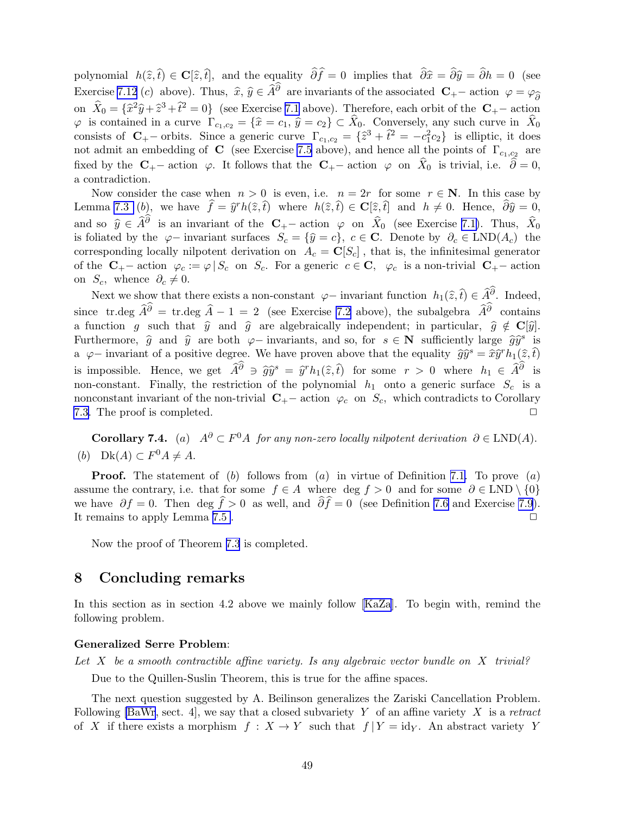<span id="page-48-0"></span>polynomial  $h(\hat{z}, t) \in \mathbf{C}[\hat{z}, t]$ , and the equality  $\partial f = 0$  implies that  $\partial \hat{x} = \partial \hat{y} = \partial h = 0$  (see Exercise [7.12](#page-45-0) (c) above). Thus,  $\hat{x}, \hat{y} \in \hat{A}^{\partial}$  are invariants of the associated  $\mathbf{C}_{+}$  action  $\varphi = \varphi_{\hat{\partial}}$ on  $\hat{X}_0 = \{\hat{x}^2\hat{y} + \hat{z}^3 + \hat{t}^2 = 0\}$  (see Exercise [7.1](#page-6-0) above). Therefore, each orbit of the  $C_+$ - action  $\varphi$  is contained in a curve  $\Gamma_{c_1,c_2} = {\hat{x} = c_1, \hat{y} = c_2} \subset X_0$ . Conversely, any such curve in  $X_0$ consists of  $C_{+}$  orbits. Since a generic curve  $\Gamma_{c_1,c_2} = \{\hat{z}^3 + \hat{t}^2 = -c_1^2c_2\}$  is elliptic, it does not admit an embedding of **C** (see Exercise [7.5](#page-10-0) above), and hence all the points of  $\Gamma_{c_1,c_2}$  are fixed by the  $C_{+}$  action  $\varphi$ . It follows that the  $C_{+}$  action  $\varphi$  on  $X_0$  is trivial, i.e.  $\partial = 0$ , a contradiction.

Now consider the case when  $n > 0$  is even, i.e.  $n = 2r$  for some  $r \in \mathbb{N}$ . In this case by Lemma [7.3](#page-8-0) (b), we have  $\hat{f} = \hat{y}^r h(\hat{z}, \hat{t})$  where  $h(\hat{z}, \hat{t}) \in \mathbf{C}[\hat{z}, \hat{t}]$  and  $h \neq 0$ . Hence,  $\hat{\partial} \hat{y} = 0$ , and so  $\hat{y} \in \hat{A}^{\partial}$  is an invariant of the  $C_{+}$ – action  $\varphi$  on  $\hat{X}_0$  (see Exercise [7.1\)](#page-6-0). Thus,  $\hat{X}_0$ is foliated by the  $\varphi$ − invariant surfaces  $S_c = {\hat{y} = c}$ ,  $c \in \mathbb{C}$ . Denote by  $\partial_c \in LND(A_c)$  the corresponding locally nilpotent derivation on  $A_c = \mathbf{C}[S_c]$ , that is, the infinitesimal generator of the  $C_{+}$ – action  $\varphi_c := \varphi \mid S_c$  on  $S_c$ . For a generic  $c \in \mathbb{C}$ ,  $\varphi_c$  is a non-trivial  $C_{+}$ – action on  $S_c$ , whence  $\partial_c \neq 0$ .

Next we show that there exists a non-constant  $\varphi$  – invariant function  $h_1(\hat{z}, \hat{t}) \in \widehat{A}^\partial$ . Indeed, since tr.deg  $\hat{A}^{\partial} = \text{tr.deg} \quad \hat{A} - 1 = 2$  (see Exercise [7.2](#page-7-0) above), the subalgebra  $\hat{A}^{\partial}$  contains a function g such that  $\hat{y}$  and  $\hat{g}$  are algebraically independent; in particular,  $\hat{g} \notin \mathbf{C}[\hat{y}]$ . Furthermore,  $\hat{g}$  and  $\hat{y}$  are both  $\varphi$ − invariants, and so, for  $s \in \mathbb{N}$  sufficiently large  $\hat{g}\hat{y}^s$  is a  $\varphi$ – invariant of a positive degree. We have proven above that the equality  $\widehat{gy}^s = \widehat{xy}^r h_1(\widehat{z}, \widehat{t})$ is impossible. Hence, we get  $\hat{A}^{\partial} \ni \hat{g}\hat{y}^{s} = \hat{y}^{r}h_{1}(\hat{z}, \hat{t})$  for some  $r > 0$  where  $h_{1} \in \hat{A}^{\partial}$  is non-constant. Finally, the restriction of the polynomial  $h_1$  onto a generic surface  $S_c$  is a nonconstant invariant of the non-trivial  $\mathbf{C}_{+}$  – action  $\varphi_c$  on  $S_c$ , which contradicts to Corollary 7.3. The proof is completed. [7.3.](#page-28-0) The proof is completed.

**Corollary 7.4.** (a)  $A^{\partial} \subset F^0A$  for any non-zero locally nilpotent derivation  $\partial \in \text{LND}(A)$ . (b) Dk(A)  $\subset F^0A \neq A$ .

**Proof.** The statement of  $(b)$  follows from  $(a)$  in virtue of Definition [7.1.](#page-5-0) To prove  $(a)$ assume the contrary, i.e. that for some  $f \in A$  where deg  $f > 0$  and for some  $\partial \in \text{LND} \setminus \{0\}$ we have  $\partial f = 0$ . Then deg  $f > 0$  as well, and  $\partial f = 0$  (see Definition [7.6](#page-10-0) and Exercise [7.9](#page-45-0)). It remains to apply Lemma [7.5](#page-22-0) .  $\Box$ 

Now the proof of Theorem [7.3](#page-42-0) is completed.

# 8 Concluding remarks

In this section as in section 4.2 above we mainly follow [\[KaZa](#page-55-0)]. To begin with, remind the following problem.

#### Generalized Serre Problem:

Let X be a smooth contractible affine variety. Is any algebraic vector bundle on X trivial? Due to the Quillen-Suslin Theorem, this is true for the affine spaces.

The next question suggested by A. Beilinson generalizes the Zariski Cancellation Problem. Following [\[BaWr](#page-52-0), sect. 4], we say that a closed subvariety Y of an affine variety X is a retract of X if there exists a morphism  $f : X \to Y$  such that  $f | Y = id_Y$ . An abstract variety Y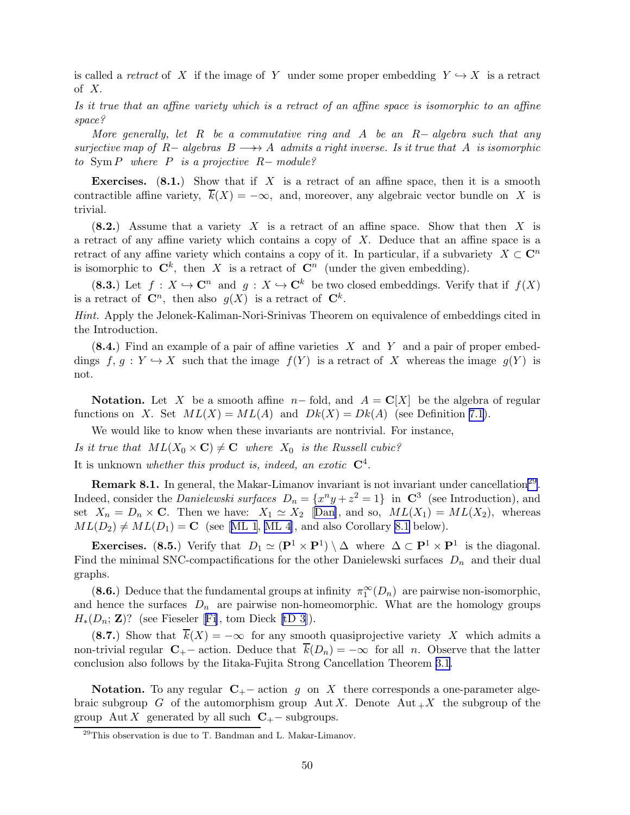is called a retract of X if the image of Y under some proper embedding  $Y \hookrightarrow X$  is a retract of  $X$ .

Is it true that an affine variety which is a retract of an affine space is isomorphic to an affine space?

More generally, let R be a commutative ring and A be an  $R-$  algebra such that any surjective map of R− algebras  $B \longrightarrow A$  admits a right inverse. Is it true that A is isomorphic to  $\text{Sym } P$  where P is a projective  $R$ -module?

**Exercises.** (8.1.) Show that if X is a retract of an affine space, then it is a smooth contractible affine variety,  $\overline{k}(X) = -\infty$ , and, moreover, any algebraic vector bundle on X is trivial.

 $(8.2.)$  Assume that a variety X is a retract of an affine space. Show that then X is a retract of any affine variety which contains a copy of X. Deduce that an affine space is a retract of any affine variety which contains a copy of it. In particular, if a subvariety  $X \subset \mathbb{C}^n$ is isomorphic to  $\mathbb{C}^k$ , then X is a retract of  $\mathbb{C}^n$  (under the given embedding).

(8.3.) Let  $f: X \hookrightarrow \mathbb{C}^n$  and  $q: X \hookrightarrow \mathbb{C}^k$  be two closed embeddings. Verify that if  $f(X)$ is a retract of  $\mathbb{C}^n$ , then also  $g(X)$  is a retract of  $\mathbb{C}^k$ .

Hint. Apply the Jelonek-Kaliman-Nori-Srinivas Theorem on equivalence of embeddings cited in the Introduction.

 $(8.4.)$  Find an example of a pair of affine varieties X and Y and a pair of proper embeddings  $f, g: Y \hookrightarrow X$  such that the image  $f(Y)$  is a retract of X whereas the image  $g(Y)$  is not.

Notation. Let X be a smooth affine  $n-$  fold, and  $A = \mathbb{C}[X]$  be the algebra of regular functions on X. Set  $ML(X) = ML(A)$  and  $Dk(X) = Dk(A)$  (see Definition [7.1](#page-5-0)).

We would like to know when these invariants are nontrivial. For instance, Is it true that  $ML(X_0 \times \mathbf{C}) \neq \mathbf{C}$  where  $X_0$  is the Russell cubic? It is unknown whether this product is, indeed, an exotic  $\mathbb{C}^4$ .

**Remark 8.1.** In general, the Makar-Limanov invariant is not invariant under cancellation<sup>29</sup>. Indeed, consider the *Danielewski surfaces*  $D_n = \{x^n y + z^2 = 1\}$  in  $\mathbb{C}^3$  (see Introduction), and set  $X_n = D_n \times \mathbf{C}$ . Then we have:  $X_1 \simeq X_2$  [[Dan\]](#page-53-0), and so,  $ML(X_1) = ML(X_2)$ , whereas  $ML(D_2) \neq ML(D_1) = \mathbf{C}$  $ML(D_2) \neq ML(D_1) = \mathbf{C}$  $ML(D_2) \neq ML(D_1) = \mathbf{C}$  (see [[ML 1](#page-57-0), [ML 4](#page-57-0)], and also Corollary [8.1](#page-50-0) below).

Exercises. (8.5.) Verify that  $D_1 \simeq (\mathbf{P}^1 \times \mathbf{P}^1) \setminus \Delta$  where  $\Delta \subset \mathbf{P}^1 \times \mathbf{P}^1$  is the diagonal. Find the minimal SNC-compactifications for the other Danielewski surfaces  $D_n$  and their dual graphs.

(8.6.) Deduce that the fundamental groups at infinity  $\pi_1^{\infty}(D_n)$  are pairwise non-isomorphic, and hence the surfaces  $D_n$  are pairwise non-homeomorphic. What are the homology groups  $H_*(D_n; \mathbf{Z})$  $H_*(D_n; \mathbf{Z})$  $H_*(D_n; \mathbf{Z})$ ? (see [Fi](#page-54-0)eseler [Fi], tom Dieck [\[tD 3](#page-59-0)]).

(8.7.) Show that  $\overline{k}(X) = -\infty$  for any smooth quasiprojective variety X which admits a non-trivial regular  $C_{+}$ – action. Deduce that  $\overline{k}(D_n) = -\infty$  for all n. Observe that the latter conclusion also follows by the Iitaka-Fujita Strong Cancellation Theorem [3.1](#page-13-0).

Notation. To any regular  $C_{+}$  – action g on X there corresponds a one-parameter algebraic subgroup G of the automorphism group Aut X. Denote Aut  $+X$  the subgroup of the group Aut X generated by all such  $C_{+}$  – subgroups.

 $^{29}$ This observation is due to T. Bandman and L. Makar-Limanov.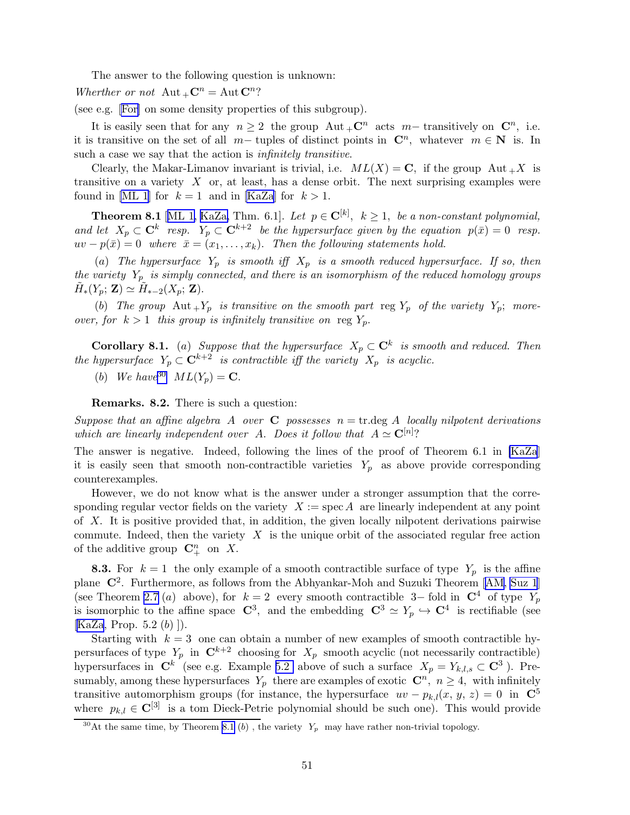<span id="page-50-0"></span>The answer to the following question is unknown:

Wherther or not  $\mathrm{Aut}_{+}\mathbb{C}^n = \mathrm{Aut}\,\mathbb{C}^n$ ?

(see e.g. [\[For](#page-54-0)] on some density properties of this subgroup).

It is easily seen that for any  $n \geq 2$  the group  $\mathrm{Aut}_{+}C^n$  acts  $m-$  transitively on  $C^n$ , i.e. it is transitive on the set of all  $m-$  tuples of distinct points in  $\mathbb{C}^n$ , whatever  $m \in \mathbb{N}$  is. In such a case we say that the action is *infinitely transitive*.

Clearly, the Makar-Limanov invariant is trivial, i.e.  $ML(X) = \mathbf{C}$ , if the group  $Aut_{+}X$  is transitive on a variety  $X$  or, at least, has a dense orbit. The next surprising examples were found in [\[ML 1](#page-57-0)] for  $k = 1$  and in [\[KaZa](#page-55-0)] for  $k > 1$ .

**Theorem 8.1** [[ML 1,](#page-57-0) [KaZa,](#page-55-0) Thm. 6.1]. Let  $p \in \mathbb{C}^{[k]}$ ,  $k \geq 1$ , be a non-constant polynomial, and let  $X_p \subset \mathbf{C}^k$  resp.  $Y_p \subset \mathbf{C}^{k+2}$  be the hypersurface given by the equation  $p(\bar{x}) = 0$  resp.  $uv - p(\bar{x}) = 0$  where  $\bar{x} = (x_1, \ldots, x_k)$ . Then the following statements hold.

(a) The hypersurface  $Y_p$  is smooth iff  $X_p$  is a smooth reduced hypersurface. If so, then the variety  $Y_p$  is simply connected, and there is an isomorphism of the reduced homology groups  $\tilde{H}_*(Y_p; \mathbf{Z}) \simeq \tilde{H}_{*-2}(X_p; \mathbf{Z}).$ 

(b) The group  $\text{Aut}_+Y_p$  is transitive on the smooth part reg  $Y_p$  of the variety  $Y_p$ ; moreover, for  $k > 1$  this group is infinitely transitive on reg  $Y_p$ .

**Corollary 8.1.** (a) Suppose that the hypersurface  $X_p \subset \mathbb{C}^k$  is smooth and reduced. Then the hypersurface  $Y_p \subset \mathbf{C}^{k+2}$  is contractible iff the variety  $X_p$  is acyclic.

(b) We have <sup>30</sup>  $ML(Y_p) = \mathbf{C}$ .

Remarks. 8.2. There is such a question:

Suppose that an affine algebra A over C possesses  $n = \text{tr.deg}$  A locally nilpotent derivations which are linearly independent over A. Does it follow that  $A \simeq \mathbf{C}^{[n]}$ ?

The answer is negative. Indeed, following the lines of the proof of Theorem 6.1 in [\[KaZa](#page-55-0)] it is easily seen that smooth non-contractible varieties  $Y_p$  as above provide corresponding counterexamples.

However, we do not know what is the answer under a stronger assumption that the corresponding regular vector fields on the variety  $X := \text{spec } A$  are linearly independent at any point of X. It is positive provided that, in addition, the given locally nilpotent derivations pairwise commute. Indeed, then the variety  $X$  is the unique orbit of the associated regular free action of the additive group  $\mathbb{C}^n_+$  on X.

**8.3.** For  $k = 1$  the only example of a smooth contractible surface of type  $Y_p$  is the affine plane $\mathbb{C}^2$ . Furthermore, as follows from the Abhyankar-Moh and Suzuki Theorem [[AM,](#page-52-0) [Suz 1](#page-58-0)] (see Theorem [2.7](#page-12-0) (a) above), for  $k = 2$  every smooth contractible 3– fold in  $\mathbb{C}^4$  of type  $Y_p$ is isomorphic to the affine space  $\mathbb{C}^3$ , and the embedding  $\mathbb{C}^3 \simeq Y_p \hookrightarrow \mathbb{C}^4$  is rectifiable (see  $[KaZa, Prop. 5.2 (b) ].$  $[KaZa, Prop. 5.2 (b) ].$ 

Starting with  $k = 3$  one can obtain a number of new examples of smooth contractible hypersurfaces of type  $Y_p$  in  $\mathbb{C}^{k+2}$  choosing for  $X_p$  smooth acyclic (not necessarily contractible) hypersurfaces in  $\mathbb{C}^k$  (see e.g. Example [5.2](#page-6-0) above of such a surface  $X_p = Y_{k,l,s} \subset \mathbb{C}^3$ ). Presumably, among these hypersurfaces  $Y_p$  there are examples of exotic  $\mathbb{C}^n$ ,  $n \geq 4$ , with infinitely transitive automorphism groups (for instance, the hypersurface  $uv - p_{k,l}(x, y, z) = 0$  in  $\mathbb{C}^5$ where  $p_{k,l} \in \mathbb{C}^{[3]}$  is a tom Dieck-Petrie polynomial should be such one). This would provide

<sup>&</sup>lt;sup>30</sup>At the same time, by Theorem 8.1 (b), the variety  $Y_p$  may have rather non-trivial topology.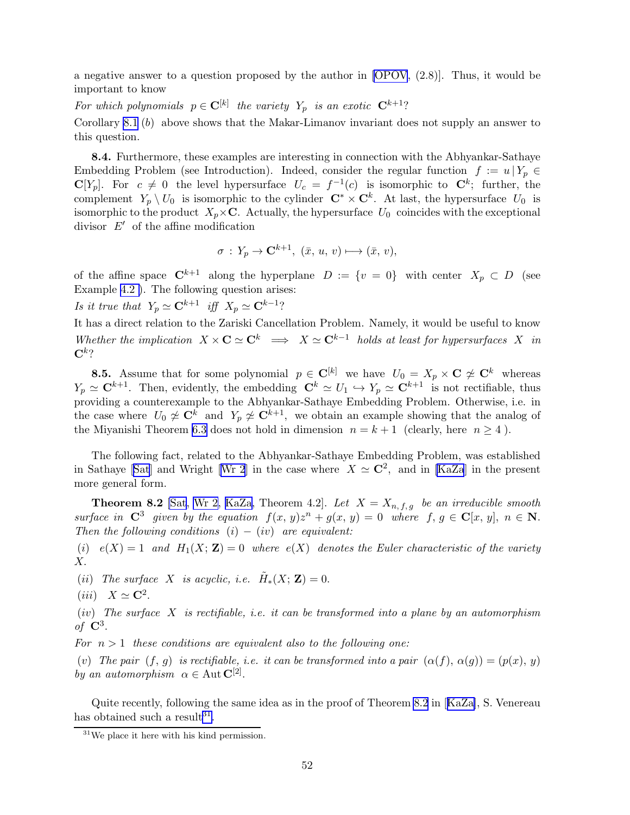a negative answer to a question proposed by the author in [\[OPOV](#page-57-0), (2.8)]. Thus, it would be important to know

For which polynomials  $p \in \mathbf{C}^{[k]}$  the variety  $Y_p$  is an exotic  $\mathbf{C}^{k+1}$ ?

Corollary [8.1](#page-50-0) (b) above shows that the Makar-Limanov invariant does not supply an answer to this question.

8.4. Furthermore, these examples are interesting in connection with the Abhyankar-Sathaye Embedding Problem (see Introduction). Indeed, consider the regular function  $f := u | Y_p \in$  $\mathbf{C}[Y_p]$ . For  $c \neq 0$  the level hypersurface  $U_c = f^{-1}(c)$  is isomorphic to  $\mathbf{C}^k$ ; further, the complement  $Y_p \setminus U_0$  is isomorphic to the cylinder  $\mathbb{C}^* \times \mathbb{C}^k$ . At last, the hypersurface  $U_0$  is isomorphic to the product  $X_p \times \mathbf{C}$ . Actually, the hypersurface  $U_0$  coincides with the exceptional divisor  $E'$  of the affine modification

$$
\sigma: Y_p \to \mathbf{C}^{k+1}, \; (\bar{x}, u, v) \longmapsto (\bar{x}, v),
$$

of the affine space  $\mathbb{C}^{k+1}$  along the hyperplane  $D := \{v = 0\}$  with center  $X_p \subset D$  (see Example [4.2 \)](#page-6-0). The following question arises:

Is it true that  $Y_p \simeq \mathbf{C}^{k+1}$  iff  $X_p \simeq \mathbf{C}^{k-1}$ ?

It has a direct relation to the Zariski Cancellation Problem. Namely, it would be useful to know Whether the implication  $X \times \mathbf{C} \simeq \mathbf{C}^k \implies X \simeq \mathbf{C}^{k-1}$  holds at least for hypersurfaces X in  ${\bf C}^{k}$ ?

**8.5.** Assume that for some polynomial  $p \in \mathbb{C}^{[k]}$  we have  $U_0 = X_p \times \mathbb{C} \not\cong \mathbb{C}^k$  whereas  $Y_p \simeq \mathbf{C}^{k+1}$ . Then, evidently, the embedding  $\mathbf{C}^k \simeq U_1 \hookrightarrow Y_p \simeq \mathbf{C}^{k+1}$  is not rectifiable, thus providing a counterexample to the Abhyankar-Sathaye Embedding Problem. Otherwise, i.e. in the case where  $U_0 \not\simeq \mathbf{C}^k$  and  $Y_p \not\simeq \mathbf{C}^{k+1}$ , we obtain an example showing that the analog of the Miyanishi Theorem [6.3](#page-40-0) does not hold in dimension  $n = k + 1$  (clearly, here  $n \ge 4$ ).

The following fact, related to the Abhyankar-Sathaye Embedding Problem, was established in[Sat](#page-58-0)haye [Sat] and Wright [[Wr 2](#page-59-0)] in the case where  $X \simeq \mathbb{C}^2$ , and in [\[KaZa](#page-55-0)] in the present more general form.

**Theorem 8.2** [\[Sat](#page-58-0), [Wr 2,](#page-59-0) [KaZa,](#page-55-0) Theorem 4.2]. Let  $X = X_{n,f,q}$  be an irreducible smooth surface in  $C^3$  given by the equation  $f(x, y)z^n + g(x, y) = 0$  where  $f, g \in C[x, y], n \in N$ . Then the following conditions  $(i) - (iv)$  are equivalent:

(i)  $e(X) = 1$  and  $H_1(X; \mathbf{Z}) = 0$  where  $e(X)$  denotes the Euler characteristic of the variety  $X_{\cdot}$ 

(ii) The surface X is acyclic, i.e.  $\tilde{H}_*(X; \mathbf{Z}) = 0$ .

$$
(iii) \quad X \simeq \mathbf{C}^2.
$$

(iv) The surface X is rectifiable, i.e. it can be transformed into a plane by an automorphism of  $\mathbf{C}^3$ .

For  $n > 1$  these conditions are equivalent also to the following one:

(v) The pair  $(f, g)$  is rectifiable, i.e. it can be transformed into a pair  $(\alpha(f), \alpha(g)) = (p(x), y)$ by an automorphism  $\alpha \in \text{Aut } \mathbf{C}^{[2]}$ .

Quite recently, following the same idea as in the proof of Theorem 8.2 in[[KaZa\]](#page-55-0), S. Venereau has obtained such a result<sup>31</sup>.

 $\rm{^{31}We}$  place it here with his kind permission.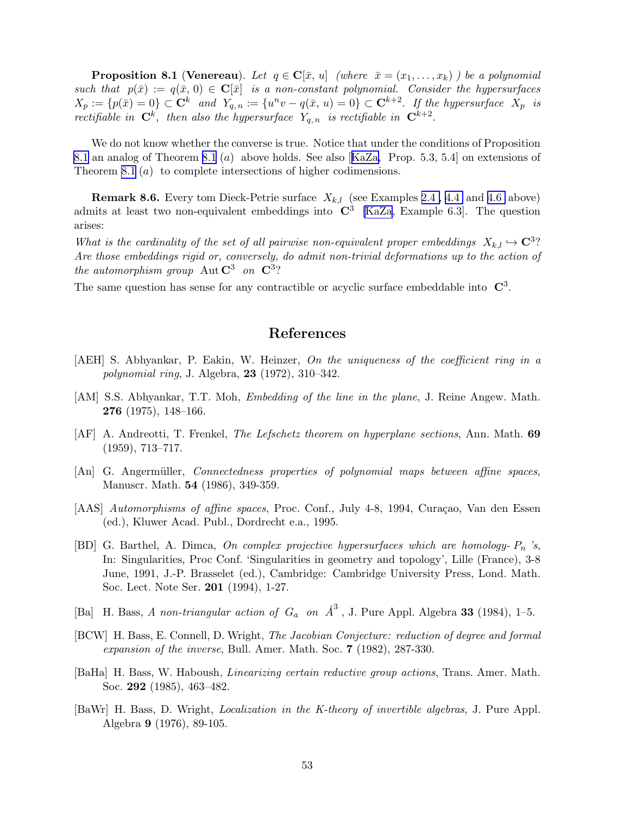<span id="page-52-0"></span>**Proposition 8.1 (Venereau).** Let  $q \in \mathbb{C}[\bar{x}, u]$  (where  $\bar{x} = (x_1, \ldots, x_k)$ ) be a polynomial such that  $p(\bar{x}) := q(\bar{x}, 0) \in \mathbb{C}[\bar{x}]$  is a non-constant polynomial. Consider the hypersurfaces  $X_p := \{p(\bar{x}) = 0\} \subset \mathbf{C}^k$  and  $Y_{q,n} := \{u^n v - q(\bar{x}, u) = 0\} \subset \mathbf{C}^{k+2}$ . If the hypersurface  $X_p$  is rectifiable in  $\mathbf{C}^k$ , then also the hypersurface  $Y_{q,n}$  is rectifiable in  $\mathbf{C}^{k+2}$ .

We do not know whether the converse is true. Notice that under the conditions of Proposition [8.1](#page-4-0) an analog of Theorem [8.1](#page-50-0) (a) above holds. See also[[KaZa,](#page-55-0) Prop. 5.3, 5.4] on extensions of Theorem [8.1](#page-50-0) (a) to complete intersections of higher codimensions.

**Remark 8.6.** Every tom Dieck-Petrie surface  $X_{k,l}$  (see Examples 2.4, 4.4 and [4.6](#page-23-0) above) admits at least two non-equivalent embeddings into  $\mathbb{C}^3$  [\[KaZa](#page-55-0), Example 6.3]. The question arises:

What is the cardinality of the set of all pairwise non-equivalent proper embeddings  $X_{k,l} \hookrightarrow \mathbb{C}^3$ ? Are those embeddings rigid or, conversely, do admit non-trivial deformations up to the action of the automorphism group Aut  $C^3$  on  $C^3$ ?

The same question has sense for any contractible or acyclic surface embeddable into  $\mathbb{C}^3$ .

# References

- [AEH] S. Abhyankar, P. Eakin, W. Heinzer, On the uniqueness of the coefficient ring in a polynomial ring, J. Algebra, 23 (1972), 310–342.
- [AM] S.S. Abhyankar, T.T. Moh, Embedding of the line in the plane, J. Reine Angew. Math. 276 (1975), 148–166.
- [AF] A. Andreotti, T. Frenkel, The Lefschetz theorem on hyperplane sections, Ann. Math. 69 (1959), 713–717.
- [An] G. Angermüller, *Connectedness properties of polynomial maps between affine spaces*, Manuscr. Math. 54 (1986), 349-359.
- [AAS] Automorphisms of affine spaces, Proc. Conf., July 4-8, 1994, Curação, Van den Essen (ed.), Kluwer Acad. Publ., Dordrecht e.a., 1995.
- [BD] G. Barthel, A. Dimca, On complex projective hypersurfaces which are homology-  $P_n$  's, In: Singularities, Proc Conf. 'Singularities in geometry and topology', Lille (France), 3-8 June, 1991, J.-P. Brasselet (ed.), Cambridge: Cambridge University Press, Lond. Math. Soc. Lect. Note Ser. 201 (1994), 1-27.
- [Ba] H. Bass, A non-triangular action of  $G_a$  on  $\hat{A}^3$ , J. Pure Appl. Algebra 33 (1984), 1–5.
- [BCW] H. Bass, E. Connell, D. Wright, The Jacobian Conjecture: reduction of degree and formal expansion of the inverse, Bull. Amer. Math. Soc. 7 (1982), 287-330.
- [BaHa] H. Bass, W. Haboush, Linearizing certain reductive group actions, Trans. Amer. Math. Soc. 292 (1985), 463–482.
- [BaWr] H. Bass, D. Wright, Localization in the K-theory of invertible algebras, J. Pure Appl. Algebra 9 (1976), 89-105.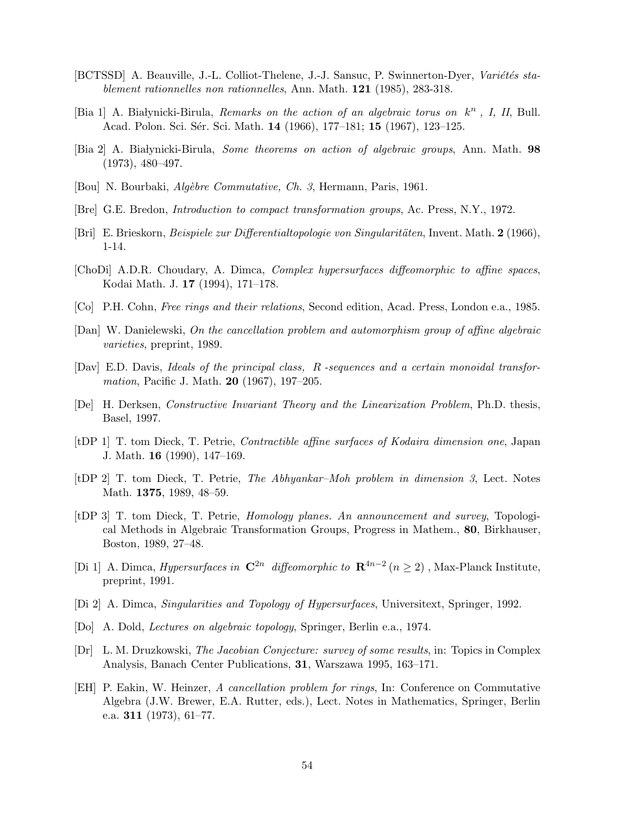- <span id="page-53-0"></span>[BCTSSD] A. Beauville, J.-L. Colliot-Thelene, J.-J. Sansuc, P. Swinnerton-Dyer, Variétés stablement rationnelles non rationnelles, Ann. Math. 121 (1985), 283-318.
- [Bia 1] A. Białynicki-Birula, Remarks on the action of an algebraic torus on  $k<sup>n</sup>$ , I, II, Bull. Acad. Polon. Sci. Sér. Sci. Math. 14 (1966), 177–181; 15 (1967), 123–125.
- [Bia 2] A. Białynicki-Birula, *Some theorems on action of algebraic groups*, Ann. Math. 98 (1973), 480–497.
- [Bou] N. Bourbaki, Algèbre Commutative, Ch. 3, Hermann, Paris, 1961.
- [Bre] G.E. Bredon, Introduction to compact transformation groups, Ac. Press, N.Y., 1972.
- [Bri] E. Brieskorn, *Beispiele zur Differentialtopologie von Singularitäten*, Invent. Math.  $2(1966)$ , 1-14.
- [ChoDi] A.D.R. Choudary, A. Dimca, Complex hypersurfaces diffeomorphic to affine spaces, Kodai Math. J. 17 (1994), 171–178.
- [Co] P.H. Cohn, Free rings and their relations, Second edition, Acad. Press, London e.a., 1985.
- [Dan] W. Danielewski, On the cancellation problem and automorphism group of affine algebraic varieties, preprint, 1989.
- [Dav] E.D. Davis, Ideals of the principal class, R -sequences and a certain monoidal transformation, Pacific J. Math. **20** (1967), 197–205.
- [De] H. Derksen, Constructive Invariant Theory and the Linearization Problem, Ph.D. thesis, Basel, 1997.
- [tDP 1] T. tom Dieck, T. Petrie, Contractible affine surfaces of Kodaira dimension one, Japan J. Math. 16 (1990), 147–169.
- [tDP 2] T. tom Dieck, T. Petrie, The Abhyankar–Moh problem in dimension 3, Lect. Notes Math. 1375, 1989, 48–59.
- [tDP 3] T. tom Dieck, T. Petrie, Homology planes. An announcement and survey, Topological Methods in Algebraic Transformation Groups, Progress in Mathem., 80, Birkhauser, Boston, 1989, 27–48.
- [Di 1] A. Dimca, *Hypersurfaces in*  $\mathbb{C}^{2n}$  diffeomorphic to  $\mathbb{R}^{4n-2}$  ( $n \geq 2$ ), Max-Planck Institute, preprint, 1991.
- [Di 2] A. Dimca, Singularities and Topology of Hypersurfaces, Universitext, Springer, 1992.
- [Do] A. Dold, Lectures on algebraic topology, Springer, Berlin e.a., 1974.
- [Dr] L. M. Druzkowski, The Jacobian Conjecture: survey of some results, in: Topics in Complex Analysis, Banach Center Publications, 31, Warszawa 1995, 163–171.
- [EH] P. Eakin, W. Heinzer, A cancellation problem for rings, In: Conference on Commutative Algebra (J.W. Brewer, E.A. Rutter, eds.), Lect. Notes in Mathematics, Springer, Berlin e.a. 311 (1973),  $61-77$ .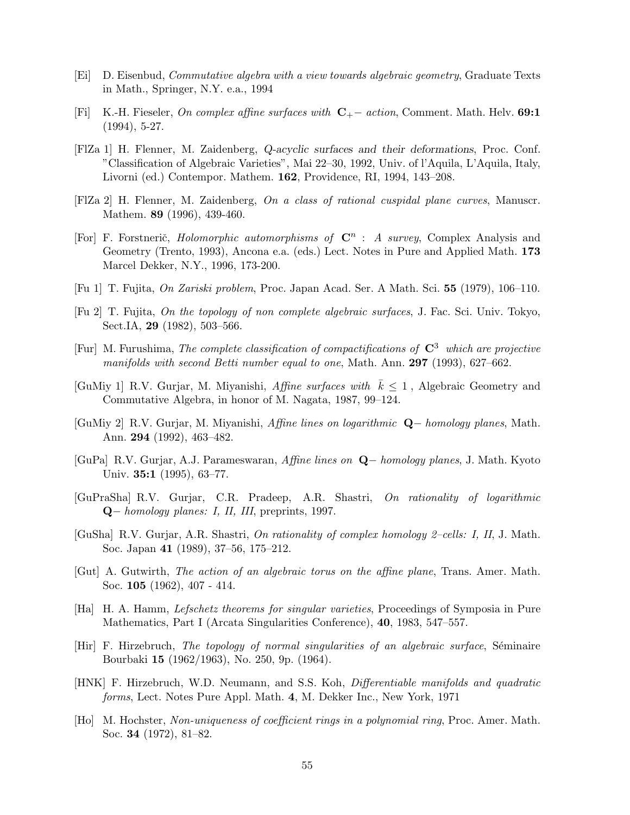- <span id="page-54-0"></span>[Ei] D. Eisenbud, Commutative algebra with a view towards algebraic geometry, Graduate Texts in Math., Springer, N.Y. e.a., 1994
- [Fi] K.-H. Fieseler, On complex affine surfaces with C+− action, Comment. Math. Helv. 69:1 (1994), 5-27.
- [FlZa 1] H. Flenner, M. Zaidenberg, Q-acyclic surfaces and their deformations, Proc. Conf. "Classification of Algebraic Varieties", Mai 22–30, 1992, Univ. of l'Aquila, L'Aquila, Italy, Livorni (ed.) Contempor. Mathem. 162, Providence, RI, 1994, 143–208.
- [FlZa 2] H. Flenner, M. Zaidenberg, On a class of rational cuspidal plane curves, Manuscr. Mathem. 89 (1996), 439-460.
- [For] F. Forstnerič, *Holomorphic automorphisms of*  $\mathbb{C}^n$  : *A survey*, Complex Analysis and Geometry (Trento, 1993), Ancona e.a. (eds.) Lect. Notes in Pure and Applied Math. 173 Marcel Dekker, N.Y., 1996, 173-200.
- [Fu 1] T. Fujita, On Zariski problem, Proc. Japan Acad. Ser. A Math. Sci. 55 (1979), 106–110.
- [Fu 2] T. Fujita, On the topology of non complete algebraic surfaces, J. Fac. Sci. Univ. Tokyo, Sect.IA, 29 (1982), 503–566.
- [Fur] M. Furushima, The complete classification of compactifications of  $\mathbb{C}^3$  which are projective manifolds with second Betti number equal to one, Math. Ann. 297 (1993), 627–662.
- [GuMiy 1] R.V. Gurjar, M. Miyanishi, Affine surfaces with  $k \leq 1$ , Algebraic Geometry and Commutative Algebra, in honor of M. Nagata, 1987, 99–124.
- [GuMiy 2] R.V. Gurjar, M. Miyanishi, Affine lines on logarithmic Q− homology planes, Math. Ann. 294 (1992), 463–482.
- [GuPa] R.V. Gurjar, A.J. Parameswaran, Affine lines on Q− homology planes, J. Math. Kyoto Univ. 35:1 (1995), 63–77.
- [GuPraSha] R.V. Gurjar, C.R. Pradeep, A.R. Shastri, On rationality of logarithmic Q− homology planes: I, II, III, preprints, 1997.
- [GuSha] R.V. Gurjar, A.R. Shastri, On rationality of complex homology 2–cells: I, II, J. Math. Soc. Japan 41 (1989), 37–56, 175–212.
- [Gut] A. Gutwirth, The action of an algebraic torus on the affine plane, Trans. Amer. Math. Soc. 105 (1962), 407 - 414.
- [Ha] H. A. Hamm, Lefschetz theorems for singular varieties, Proceedings of Symposia in Pure Mathematics, Part I (Arcata Singularities Conference), 40, 1983, 547–557.
- $[Hir]$  F. Hirzebruch, *The topology of normal singularities of an algebraic surface*, Séminaire Bourbaki 15 (1962/1963), No. 250, 9p. (1964).
- [HNK] F. Hirzebruch, W.D. Neumann, and S.S. Koh, Differentiable manifolds and quadratic forms, Lect. Notes Pure Appl. Math. 4, M. Dekker Inc., New York, 1971
- [Ho] M. Hochster, Non-uniqueness of coefficient rings in a polynomial ring, Proc. Amer. Math. Soc. 34 (1972), 81–82.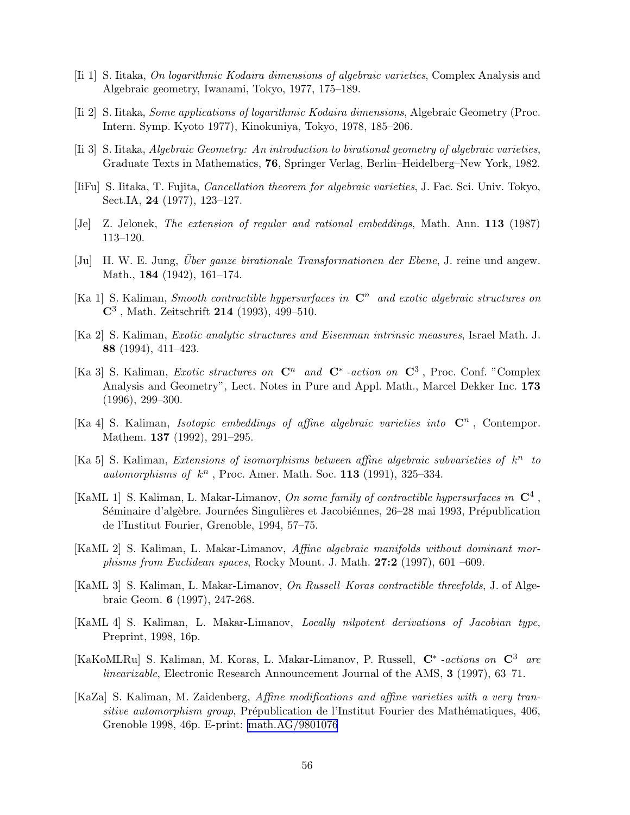- <span id="page-55-0"></span>[Ii 1] S. Iitaka, On logarithmic Kodaira dimensions of algebraic varieties, Complex Analysis and Algebraic geometry, Iwanami, Tokyo, 1977, 175–189.
- [Ii 2] S. Iitaka, Some applications of logarithmic Kodaira dimensions, Algebraic Geometry (Proc. Intern. Symp. Kyoto 1977), Kinokuniya, Tokyo, 1978, 185–206.
- [Ii 3] S. Iitaka, Algebraic Geometry: An introduction to birational geometry of algebraic varieties, Graduate Texts in Mathematics, 76, Springer Verlag, Berlin–Heidelberg–New York, 1982.
- [IiFu] S. Iitaka, T. Fujita, Cancellation theorem for algebraic varieties, J. Fac. Sci. Univ. Tokyo, Sect.IA, 24 (1977), 123–127.
- [Je] Z. Jelonek, The extension of regular and rational embeddings, Math. Ann. 113 (1987) 113–120.
- [Ju] H. W. E. Jung, *Über ganze birationale Transformationen der Ebene*, J. reine und angew. Math., 184 (1942), 161–174.
- [Ka 1] S. Kaliman, Smooth contractible hypersurfaces in  $\mathbb{C}^n$  and exotic algebraic structures on  $\mathbf{C}^3$ , Math. Zeitschrift 214 (1993), 499–510.
- [Ka 2] S. Kaliman, Exotic analytic structures and Eisenman intrinsic measures, Israel Math. J. 88 (1994), 411–423.
- [Ka 3] S. Kaliman, *Exotic structures on*  $\mathbb{C}^n$  and  $\mathbb{C}^*$  -action on  $\mathbb{C}^3$ , Proc. Conf. "Complex Analysis and Geometry", Lect. Notes in Pure and Appl. Math., Marcel Dekker Inc. 173 (1996), 299–300.
- [Ka 4] S. Kaliman, *Isotopic embeddings of affine algebraic varieties into*  $\mathbb{C}^n$ , Contempor. Mathem. 137 (1992), 291–295.
- [Ka 5] S. Kaliman, Extensions of isomorphisms between affine algebraic subvarieties of  $k^n$  to automorphisms of  $k^n$ , Proc. Amer. Math. Soc. 113 (1991), 325-334.
- [KaML 1] S. Kaliman, L. Makar-Limanov, On some family of contractible hypersurfaces in  $\mathbb{C}^4$ , Séminaire d'algèbre. Journées Singulières et Jacobiénnes, 26–28 mai 1993, Prépublication de l'Institut Fourier, Grenoble, 1994, 57–75.
- [KaML 2] S. Kaliman, L. Makar-Limanov, Affine algebraic manifolds without dominant morphisms from Euclidean spaces, Rocky Mount. J. Math.  $27:2$  (1997), 601 –609.
- [KaML 3] S. Kaliman, L. Makar-Limanov, On Russell–Koras contractible threefolds, J. of Algebraic Geom. 6 (1997), 247-268.
- [KaML 4] S. Kaliman, L. Makar-Limanov, Locally nilpotent derivations of Jacobian type, Preprint, 1998, 16p.
- [KaKoMLRu] S. Kaliman, M. Koras, L. Makar-Limanov, P. Russell,  $\mathbf{C}^*$  -actions on  $\mathbf{C}^3$  are linearizable, Electronic Research Announcement Journal of the AMS, 3 (1997), 63–71.
- [KaZa] S. Kaliman, M. Zaidenberg, Affine modifications and affine varieties with a very transitive automorphism group, Prépublication de l'Institut Fourier des Mathématiques, 406, Grenoble 1998, 46p. E-print: [math.AG/9801076](http://arxiv.org/abs/math/9801076)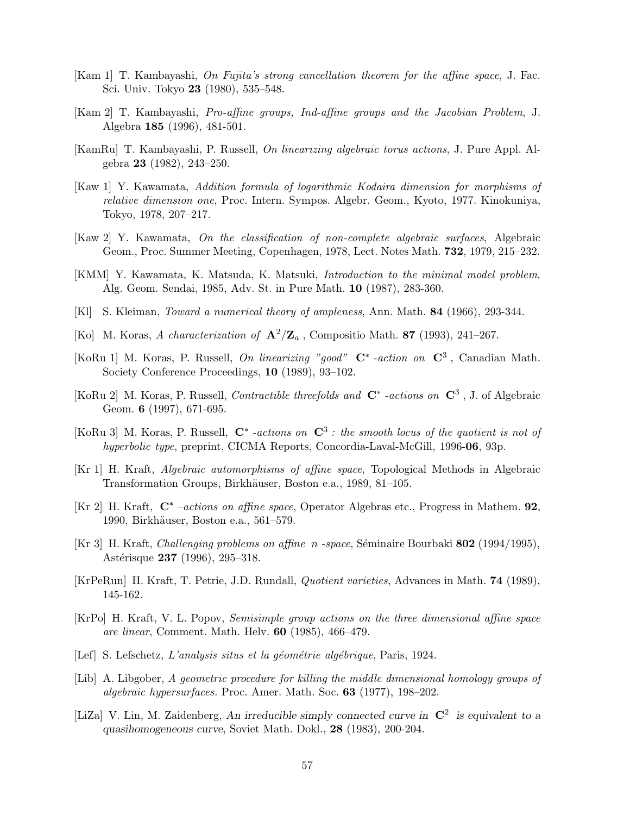- <span id="page-56-0"></span>[Kam 1] T. Kambayashi, On Fujita's strong cancellation theorem for the affine space, J. Fac. Sci. Univ. Tokyo 23 (1980), 535–548.
- [Kam 2] T. Kambayashi, Pro-affine groups, Ind-affine groups and the Jacobian Problem, J. Algebra 185 (1996), 481-501.
- [KamRu] T. Kambayashi, P. Russell, On linearizing algebraic torus actions, J. Pure Appl. Algebra 23 (1982), 243–250.
- [Kaw 1] Y. Kawamata, Addition formula of logarithmic Kodaira dimension for morphisms of relative dimension one, Proc. Intern. Sympos. Algebr. Geom., Kyoto, 1977. Kinokuniya, Tokyo, 1978, 207–217.
- [Kaw 2] Y. Kawamata, On the classification of non-complete algebraic surfaces, Algebraic Geom., Proc. Summer Meeting, Copenhagen, 1978, Lect. Notes Math. 732, 1979, 215–232.
- [KMM] Y. Kawamata, K. Matsuda, K. Matsuki, Introduction to the minimal model problem, Alg. Geom. Sendai, 1985, Adv. St. in Pure Math. 10 (1987), 283-360.
- [Kl] S. Kleiman, Toward a numerical theory of ampleness, Ann. Math. 84 (1966), 293-344.
- [Ko] M. Koras, A characterization of  $\mathbf{A}^2/\mathbf{Z}_a$ , Compositio Math. 87 (1993), 241–267.
- [KoRu 1] M. Koras, P. Russell, On linearizing "good"  $\mathbb{C}^*$  -action on  $\mathbb{C}^3$ , Canadian Math. Society Conference Proceedings, 10 (1989), 93–102.
- [KoRu 2] M. Koras, P. Russell, *Contractible threefolds and*  $\mathbb{C}^*$  -*actions on*  $\mathbb{C}^3$ , J. of Algebraic Geom. **6** (1997), 671-695.
- [KoRu 3] M. Koras, P. Russell,  $\mathbb{C}^*$  -actions on  $\mathbb{C}^3$ : the smooth locus of the quotient is not of hyperbolic type, preprint, CICMA Reports, Concordia-Laval-McGill, 1996-06, 93p.
- [Kr 1] H. Kraft, Algebraic automorphisms of affine space, Topological Methods in Algebraic Transformation Groups, Birkhäuser, Boston e.a., 1989, 81–105.
- [Kr 2] H. Kraft, C<sup>∗</sup> –actions on affine space, Operator Algebras etc., Progress in Mathem. 92, 1990, Birkhäuser, Boston e.a., 561–579.
- [Kr 3] H. Kraft, *Challenging problems on affine n -space*, Séminaire Bourbaki 802 (1994/1995), Astérisque 237 (1996), 295–318.
- [KrPeRun] H. Kraft, T. Petrie, J.D. Rundall, Quotient varieties, Advances in Math. 74 (1989), 145-162.
- [KrPo] H. Kraft, V. L. Popov, Semisimple group actions on the three dimensional affine space are linear, Comment. Math. Helv. 60 (1985), 466–479.
- [Lef] S. Lefschetz, L'analysis situs et la géométrie algébrique, Paris, 1924.
- [Lib] A. Libgober, A geometric procedure for killing the middle dimensional homology groups of algebraic hypersurfaces. Proc. Amer. Math. Soc. 63 (1977), 198–202.
- [LiZa] V. Lin, M. Zaidenberg, An irreducible simply connected curve in  $\mathbb{C}^2$  is equivalent to a quasihomogeneous curve, Soviet Math. Dokl., 28 (1983), 200-204.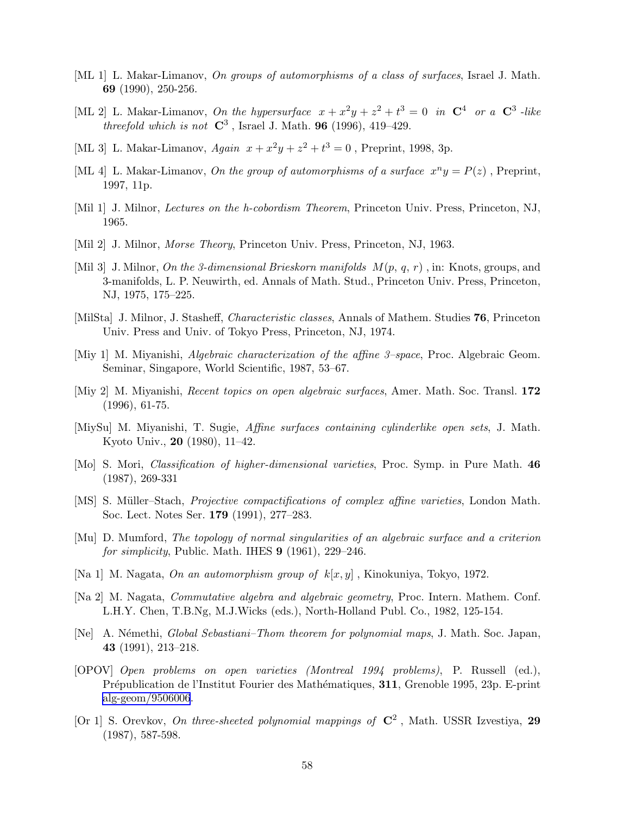- <span id="page-57-0"></span>[ML 1] L. Makar-Limanov, On groups of automorphisms of a class of surfaces, Israel J. Math. 69 (1990), 250-256.
- [ML 2] L. Makar-Limanov, On the hypersurface  $x + x^2y + z^2 + t^3 = 0$  in  $\mathbb{C}^4$  or a  $\mathbb{C}^3$ -like threefold which is not  $\mathbb{C}^3$ , Israel J. Math. 96 (1996), 419–429.
- [ML 3] L. Makar-Limanov,  $Again \ x + x^2y + z^2 + t^3 = 0$ , Preprint, 1998, 3p.
- [ML 4] L. Makar-Limanov, On the group of automorphisms of a surface  $x^n y = P(z)$ , Preprint, 1997, 11p.
- [Mil 1] J. Milnor, *Lectures on the h-cobordism Theorem*, Princeton Univ. Press, Princeton, NJ, 1965.
- [Mil 2] J. Milnor, *Morse Theory*, Princeton Univ. Press, Princeton, NJ, 1963.
- [Mil 3] J. Milnor, On the 3-dimensional Brieskorn manifolds  $M(p, q, r)$ , in: Knots, groups, and 3-manifolds, L. P. Neuwirth, ed. Annals of Math. Stud., Princeton Univ. Press, Princeton, NJ, 1975, 175–225.
- [MilSta] J. Milnor, J. Stasheff, Characteristic classes, Annals of Mathem. Studies 76, Princeton Univ. Press and Univ. of Tokyo Press, Princeton, NJ, 1974.
- [Miy 1] M. Miyanishi, Algebraic characterization of the affine 3–space, Proc. Algebraic Geom. Seminar, Singapore, World Scientific, 1987, 53–67.
- [Miy 2] M. Miyanishi, Recent topics on open algebraic surfaces, Amer. Math. Soc. Transl. 172 (1996), 61-75.
- [MiySu] M. Miyanishi, T. Sugie, Affine surfaces containing cylinderlike open sets, J. Math. Kyoto Univ., 20 (1980), 11–42.
- [Mo] S. Mori, Classification of higher-dimensional varieties, Proc. Symp. in Pure Math. 46 (1987), 269-331
- [MS] S. Müller–Stach, *Projective compactifications of complex affine varieties*, London Math. Soc. Lect. Notes Ser. 179 (1991), 277–283.
- [Mu] D. Mumford, The topology of normal singularities of an algebraic surface and a criterion for simplicity, Public. Math. IHES  $9$  (1961), 229–246.
- [Na 1] M. Nagata, On an automorphism group of  $k[x, y]$ , Kinokuniya, Tokyo, 1972.
- [Na 2] M. Nagata, Commutative algebra and algebraic geometry, Proc. Intern. Mathem. Conf. L.H.Y. Chen, T.B.Ng, M.J.Wicks (eds.), North-Holland Publ. Co., 1982, 125-154.
- [Ne] A. Némethi, *Global Sebastiani–Thom theorem for polynomial maps*, J. Math. Soc. Japan, 43 (1991), 213–218.
- [OPOV] Open problems on open varieties (Montreal 1994 problems), P. Russell (ed.), Prépublication de l'Institut Fourier des Mathématiques, 311, Grenoble 1995, 23p. E-print [alg-geom/9506006](http://arxiv.org/abs/alg-geom/9506006).
- [Or 1] S. Orevkov, On three-sheeted polynomial mappings of  $\mathbb{C}^2$ , Math. USSR Izvestiya, 29 (1987), 587-598.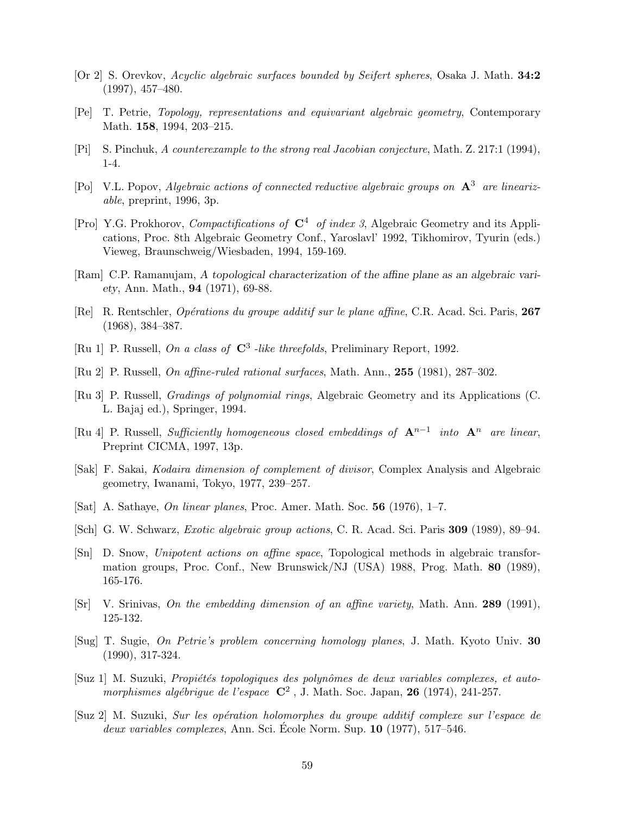- <span id="page-58-0"></span>[Or 2] S. Orevkov, Acyclic algebraic surfaces bounded by Seifert spheres, Osaka J. Math. 34:2 (1997), 457–480.
- [Pe] T. Petrie, Topology, representations and equivariant algebraic geometry, Contemporary Math. 158, 1994, 203–215.
- [Pi] S. Pinchuk, A counterexample to the strong real Jacobian conjecture, Math. Z. 217:1 (1994), 1-4.
- [Po] V.L. Popov, Algebraic actions of connected reductive algebraic groups on  $A^3$  are linearizable, preprint, 1996, 3p.
- [Pro] Y.G. Prokhorov, *Compactifications of*  $C^4$  *of index 3*, Algebraic Geometry and its Applications, Proc. 8th Algebraic Geometry Conf., Yaroslavl' 1992, Tikhomirov, Tyurin (eds.) Vieweg, Braunschweig/Wiesbaden, 1994, 159-169.
- [Ram] C.P. Ramanujam, A topological characterization of the affine plane as an algebraic variety, Ann. Math., 94 (1971), 69-88.
- [Re] R. Rentschler, *Opérations du groupe additif sur le plane affine*, C.R. Acad. Sci. Paris, 267 (1968), 384–387.
- [Ru 1] P. Russell, On a class of  $\mathbb{C}^3$  -like threefolds, Preliminary Report, 1992.
- [Ru 2] P. Russell, On affine-ruled rational surfaces, Math. Ann., 255 (1981), 287–302.
- [Ru 3] P. Russell, Gradings of polynomial rings, Algebraic Geometry and its Applications (C. L. Bajaj ed.), Springer, 1994.
- [Ru 4] P. Russell, Sufficiently homogeneous closed embeddings of  $A^{n-1}$  into  $A^n$  are linear, Preprint CICMA, 1997, 13p.
- [Sak] F. Sakai, Kodaira dimension of complement of divisor, Complex Analysis and Algebraic geometry, Iwanami, Tokyo, 1977, 239–257.
- [Sat] A. Sathaye, On linear planes, Proc. Amer. Math. Soc. 56 (1976), 1–7.
- [Sch] G. W. Schwarz, Exotic algebraic group actions, C. R. Acad. Sci. Paris 309 (1989), 89–94.
- [Sn] D. Snow, Unipotent actions on affine space, Topological methods in algebraic transformation groups, Proc. Conf., New Brunswick/NJ (USA) 1988, Prog. Math. 80 (1989), 165-176.
- [Sr] V. Srinivas, On the embedding dimension of an affine variety, Math. Ann. 289 (1991), 125-132.
- [Sug] T. Sugie, On Petrie's problem concerning homology planes, J. Math. Kyoto Univ. 30 (1990), 317-324.
- [Suz 1] M. Suzuki, *Propiétés topologiques des polynômes de deux variables complexes, et auto*morphismes algébrigue de l'espace  $\mathbb{C}^2$ , J. Math. Soc. Japan, 26 (1974), 241-257.
- [Suz 2] M. Suzuki, Sur les op´eration holomorphes du groupe additif complexe sur l'espace de  $deux\ variables\ complexes, Ann. Sci. École Norm. Sup. 10 (1977), 517–546.$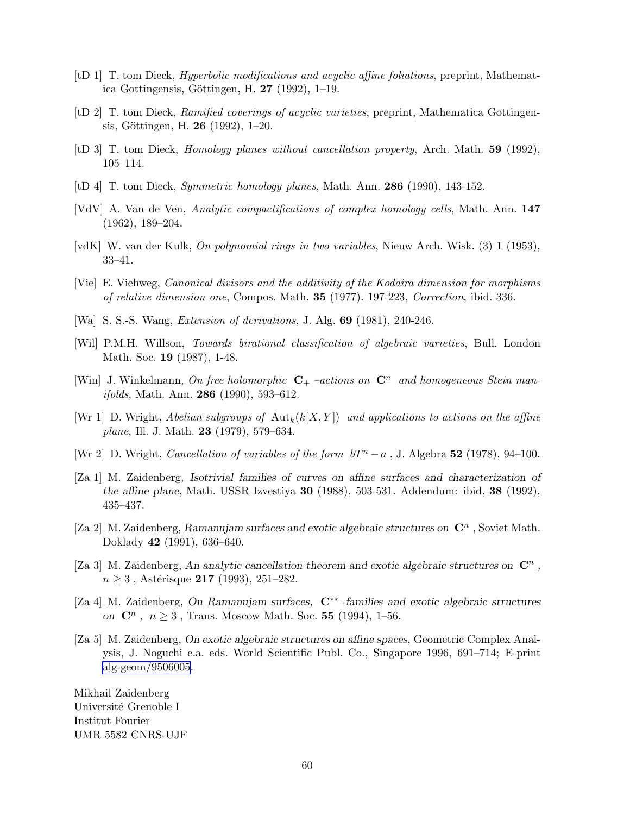- <span id="page-59-0"></span>[tD 1] T. tom Dieck, Hyperbolic modifications and acyclic affine foliations, preprint, Mathematica Gottingensis, Göttingen, H.  $27$  (1992), 1–19.
- [tD 2] T. tom Dieck, Ramified coverings of acyclic varieties, preprint, Mathematica Gottingensis, Göttingen, H. 26 (1992),  $1-20$ .
- [tD 3] T. tom Dieck, Homology planes without cancellation property, Arch. Math. 59 (1992), 105–114.
- [tD 4] T. tom Dieck, Symmetric homology planes, Math. Ann. 286 (1990), 143-152.
- [VdV] A. Van de Ven, Analytic compactifications of complex homology cells, Math. Ann. 147 (1962), 189–204.
- [vdK] W. van der Kulk, On polynomial rings in two variables, Nieuw Arch. Wisk. (3) 1 (1953), 33–41.
- [Vie] E. Viehweg, Canonical divisors and the additivity of the Kodaira dimension for morphisms of relative dimension one, Compos. Math. 35 (1977). 197-223, Correction, ibid. 336.
- [Wa] S. S.-S. Wang, Extension of derivations, J. Alg. 69 (1981), 240-246.
- [Wil] P.M.H. Willson, Towards birational classification of algebraic varieties, Bull. London Math. Soc. 19 (1987), 1-48.
- [Win] J. Winkelmann, On free holomorphic  $C_{+}$  –actions on  $C_{n}^{n}$  and homogeneous Stein man*ifolds*, Math. Ann. **286** (1990), 593-612.
- [Wr 1] D. Wright, Abelian subgroups of  $\text{Aut}_k(k[X, Y])$  and applications to actions on the affine plane, Ill. J. Math. 23 (1979), 579–634.
- [Wr 2] D. Wright, *Cancellation of variables of the form*  $bT^n a$ *, J.* Algebra 52 (1978), 94–100.
- [Za 1] M. Zaidenberg, Isotrivial families of curves on affine surfaces and characterization of the affine plane, Math. USSR Izvestiya 30 (1988), 503-531. Addendum: ibid, 38 (1992), 435–437.
- [Za 2] M. Zaidenberg, Ramanujam surfaces and exotic algebraic structures on  $\mathbb{C}^n$ , Soviet Math. Doklady 42 (1991), 636–640.
- [Za 3] M. Zaidenberg, An analytic cancellation theorem and exotic algebraic structures on  $\mathbb{C}^n$ ,  $n \geq 3$ , Astérisque 217 (1993), 251–282.
- [Za 4] M. Zaidenberg, On Ramanujam surfaces, C∗∗ -families and exotic algebraic structures on  $\mathbb{C}^n$ ,  $n \ge 3$ , Trans. Moscow Math. Soc. 55 (1994), 1–56.
- [Za 5] M. Zaidenberg, On exotic algebraic structures on affine spaces, Geometric Complex Analysis, J. Noguchi e.a. eds. World Scientific Publ. Co., Singapore 1996, 691–714; E-print [alg-geom/9506005](http://arxiv.org/abs/alg-geom/9506005).

Mikhail Zaidenberg Université Grenoble I Institut Fourier UMR 5582 CNRS-UJF